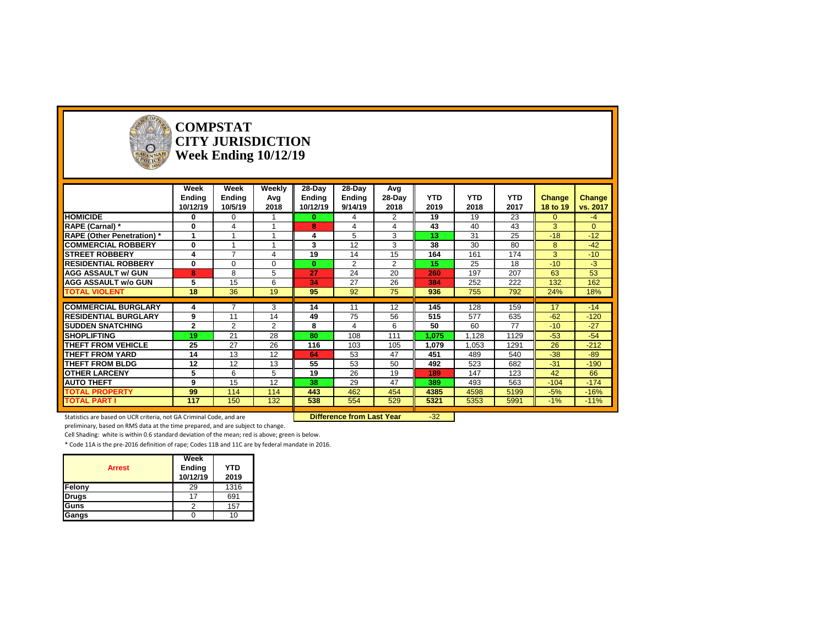

#### **COMPSTAT CITY JURISDICTION Week Ending 10/12/19**

|                                   | Week           | Week           | Weekly         | $28-Day$      | 28-Day        | Avg               |                 |            |            |                 |               |
|-----------------------------------|----------------|----------------|----------------|---------------|---------------|-------------------|-----------------|------------|------------|-----------------|---------------|
|                                   | <b>Ending</b>  | <b>Ending</b>  | Avg            | <b>Ending</b> | <b>Ending</b> | 28-Day            | <b>YTD</b>      | <b>YTD</b> | <b>YTD</b> | Change          | <b>Change</b> |
|                                   | 10/12/19       | 10/5/19        | 2018           | 10/12/19      | 9/14/19       | 2018              | 2019            | 2018       | 2017       | <b>18 to 19</b> | vs. 2017      |
| <b>HOMICIDE</b>                   | $\bf{0}$       | $\Omega$       |                | $\bf{0}$      | 4             | $\overline{2}$    | 19              | 19         | 23         | $\overline{0}$  | $-4$          |
| <b>RAPE (Carnal)</b> *            | $\mathbf{0}$   | $\overline{4}$ |                | 8             | 4             | 4                 | 43              | 40         | 43         | 3               | $\Omega$      |
| <b>RAPE (Other Penetration)</b> * |                |                |                | 4             | 5             | 3                 | 13              | 31         | 25         | $-18$           | $-12$         |
| <b>COMMERCIAL ROBBERY</b>         | $\mathbf{0}$   |                |                | 3             | 12            | 3                 | 38              | 30         | 80         | 8               | $-42$         |
| <b>ISTREET ROBBERY</b>            | 4              | $\overline{ }$ | $\overline{4}$ | 19            | 14            | 15                | 164             | 161        | 174        | 3               | $-10$         |
| <b>RESIDENTIAL ROBBERY</b>        | $\mathbf{0}$   | $\Omega$       | $\Omega$       | 0             | 2             | $\overline{2}$    | 15 <sub>1</sub> | 25         | 18         | $-10$           | $-3$          |
| <b>AGG ASSAULT w/ GUN</b>         | 8              | 8              | 5              | 27            | 24            | 20                | 260             | 197        | 207        | 63              | 53            |
| <b>AGG ASSAULT w/o GUN</b>        | 5              | 15             | 6              | 34            | 27            | 26                | 384             | 252        | 222        | 132             | 162           |
| <b>TOTAL VIOLENT</b>              | 18             | 36             | 19             | 95            | 92            | 75                | 936             | 755        | 792        | 24%             | 18%           |
|                                   |                |                |                |               |               |                   |                 |            |            |                 |               |
| <b>COMMERCIAL BURGLARY</b>        | 4              |                | 3              | 14            | 11            | $12 \overline{ }$ | 145             | 128        | 159        | 17              | $-14$         |
| <b>RESIDENTIAL BURGLARY</b>       | 9              | 11             | 14             | 49            | 75            | 56                | 515             | 577        | 635        | $-62$           | $-120$        |
| <b>SUDDEN SNATCHING</b>           | $\overline{2}$ | 2              | 2              | 8             | 4             | 6                 | 50              | 60         | 77         | $-10$           | $-27$         |
| <b>SHOPLIFTING</b>                | 19             | 21             | 28             | 80            | 108           | 111               | 1,075           | 1,128      | 1129       | $-53$           | $-54$         |
| THEFT FROM VEHICLE                | 25             | 27             | 26             | 116           | 103           | 105               | 1,079           | 1,053      | 1291       | 26              | $-212$        |
| <b>THEFT FROM YARD</b>            | 14             | 13             | 12             | 64            | 53            | 47                | 451             | 489        | 540        | $-38$           | $-89$         |
| <b>THEFT FROM BLDG</b>            | 12             | 12             | 13             | 55            | 53            | 50                | 492             | 523        | 682        | $-31$           | $-190$        |
| <b>OTHER LARCENY</b>              | 5              | 6              | 5              | 19            | 26            | 19                | 189             | 147        | 123        | 42              | 66            |
| <b>AUTO THEFT</b>                 | 9              | 15             | 12             | 38            | 29            | 47                | 389             | 493        | 563        | $-104$          | $-174$        |
| <b>TOTAL PROPERTY</b>             | 99             | 114            | 114            | 443           | 462           | 454               | 4385            | 4598       | 5199       | $-5%$           | $-16%$        |
| <b>TOTAL PART I</b>               | 117            | 150            | 132            | 538           | 554           | 529               | 5321            | 5353       | 5991       | $-1\%$          | $-11%$        |

Statistics are based on UCR criteria, not GA Criminal Code, and are **Difference from Last Year** -32

preliminary, based on RMS data at the time prepared, and are subject to change.

Cell Shading: white is within 0.6 standard deviation of the mean; red is above; green is below.

| <b>Arrest</b> | Week<br>Ending<br>10/12/19 | <b>YTD</b><br>2019 |
|---------------|----------------------------|--------------------|
| Felony        | 29                         | 1316               |
| <b>Drugs</b>  | 17                         | 691                |
| <b>Guns</b>   |                            | 157                |
| Gangs         |                            | 10                 |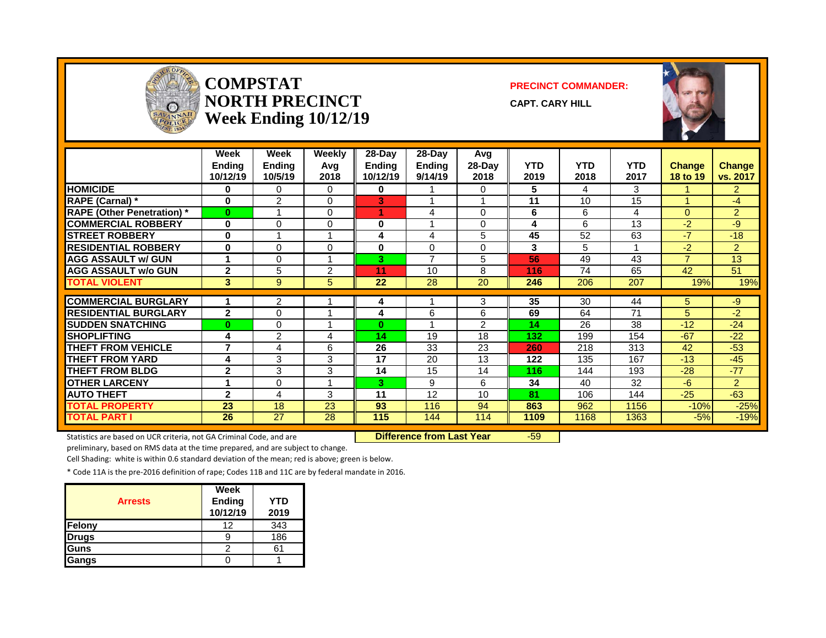

#### **COMPSTAT PRECINCT COMMANDER: NORTH PRECINCT CAPT. CARY HILL Week Ending 10/12/19**



|                                   | Week<br><b>Ending</b><br>10/12/19 | Week<br><b>Ending</b><br>10/5/19 | Weekly<br>Avg<br>2018   | $28-Day$<br><b>Ending</b><br>10/12/19 | $28$ -Day<br><b>Ending</b><br>9/14/19 | Avg<br>28-Day<br>2018 | <b>YTD</b><br>2019 | <b>YTD</b><br>2018 | <b>YTD</b><br>2017 | <b>Change</b><br>18 to 19 | <b>Change</b><br>vs. 2017 |
|-----------------------------------|-----------------------------------|----------------------------------|-------------------------|---------------------------------------|---------------------------------------|-----------------------|--------------------|--------------------|--------------------|---------------------------|---------------------------|
| <b>HOMICIDE</b>                   | 0                                 | 0                                | 0                       | 0                                     |                                       | 0                     | 5                  | 4                  | 3                  |                           | $\overline{2}$            |
| <b>RAPE (Carnal)</b> *            | $\bf{0}$                          | $\overline{2}$                   | 0                       | 3                                     |                                       |                       | 11                 | 10                 | 15                 | ٠                         | $-4$                      |
| <b>RAPE (Other Penetration)</b> * | $\bf{0}$                          |                                  | 0                       |                                       | 4                                     | $\Omega$              | 6                  | 6                  | 4                  | $\Omega$                  | $\overline{2}$            |
| <b>COMMERCIAL ROBBERY</b>         | $\bf{0}$                          | 0                                | 0                       | $\bf{0}$                              |                                       | $\Omega$              | 4                  | 6                  | 13                 | $-2$                      | -9                        |
| <b>STREET ROBBERY</b>             | $\bf{0}$                          |                                  |                         | 4                                     | 4                                     | 5                     | 45                 | 52                 | 63                 | $-7$                      | $-18$                     |
| <b>RESIDENTIAL ROBBERY</b>        | $\bf{0}$                          | 0                                | 0                       | $\bf{0}$                              | 0                                     | $\Omega$              | 3                  | 5                  |                    | $-2$                      | $\overline{2}$            |
| <b>AGG ASSAULT w/ GUN</b>         | 1                                 | 0                                |                         | 3                                     | $\overline{7}$                        | 5                     | 56                 | 49                 | 43                 | $\overline{7}$            | 13                        |
| <b>AGG ASSAULT w/o GUN</b>        | $\mathbf{2}$                      | 5                                | 2                       | 11                                    | 10                                    | 8                     | 116                | 74                 | 65                 | 42                        | 51                        |
| <b>TOTAL VIOLENT</b>              | 3                                 | 9                                | 5                       | 22                                    | 28                                    | 20                    | 246                | 206                | 207                | 19%                       | 19%                       |
|                                   |                                   |                                  |                         |                                       |                                       |                       |                    |                    |                    |                           |                           |
| <b>COMMERCIAL BURGLARY</b>        |                                   | 2                                |                         | 4                                     |                                       | 3                     | 35                 | 30                 | 44                 | 5.                        | $-9$                      |
| <b>RESIDENTIAL BURGLARY</b>       | $\overline{2}$                    | 0                                |                         | 4                                     | 6                                     | 6                     | 69                 | 64                 | 71                 | 5                         | $-2$                      |
| <b>SUDDEN SNATCHING</b>           | 0                                 | 0                                |                         | $\bf{0}$                              |                                       | $\overline{2}$        | 14                 | 26                 | 38                 | $-12$                     | $-24$                     |
| <b>SHOPLIFTING</b>                | 4                                 | $\overline{2}$                   | 4                       | 14                                    | 19                                    | 18                    | 132                | 199                | 154                | $-67$                     | $-22$                     |
| <b>THEFT FROM VEHICLE</b>         | 7                                 | 4                                | 6                       | 26                                    | 33                                    | 23                    | 260                | 218                | 313                | 42                        | $-53$                     |
| <b>THEFT FROM YARD</b>            | 4                                 | 3                                | 3                       | 17                                    | 20                                    | 13                    | 122                | 135                | 167                | $-13$                     | $-45$                     |
| <b>THEFT FROM BLDG</b>            | $\mathbf{2}$                      | 3                                | 3                       | 14                                    | 15                                    | 14                    | 116                | 144                | 193                | $-28$                     | $-77$                     |
| <b>OTHER LARCENY</b>              | 4                                 | 0                                | $\overline{\mathbf{A}}$ | 3                                     | 9                                     | 6                     | 34                 | 40                 | 32                 | $-6$                      | $\overline{2}$            |
| <b>AUTO THEFT</b>                 | $\overline{2}$                    | 4                                | 3                       | 11                                    | 12                                    | 10                    | 81                 | 106                | 144                | $-25$                     | $-63$                     |
| <b>TOTAL PROPERTY</b>             | 23                                | 18                               | 23                      | 93                                    | 116                                   | 94                    | 863                | 962                | 1156               | $-10%$                    | $-25%$                    |
| <b>TOTAL PART I</b>               | $\overline{26}$                   | $\overline{27}$                  | 28                      | 115                                   | 144                                   | 114                   | 1109               | 1168               | 1363               | $-5%$                     | $-19%$                    |

Statistics are based on UCR criteria, not GA Criminal Code, and are **Difference from Last Year** -59

preliminary, based on RMS data at the time prepared, and are subject to change.

Cell Shading: white is within 0.6 standard deviation of the mean; red is above; green is below.

| <b>Arrests</b> | Week<br><b>Ending</b><br>10/12/19 | <b>YTD</b><br>2019 |
|----------------|-----------------------------------|--------------------|
| Felony         | 12                                | 343                |
| <b>Drugs</b>   |                                   | 186                |
| Guns           |                                   |                    |
| Gangs          |                                   |                    |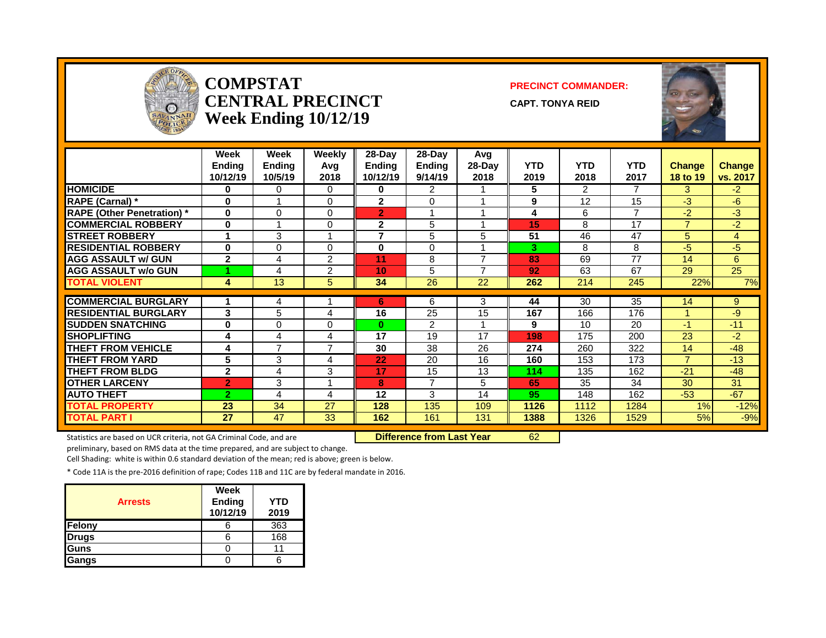

#### **COMPSTAT PRECINCT COMMANDER: capt. Tonya reid Week Ending 10/12/19**



|                                   | Week<br><b>Ending</b><br>10/12/19 | Week<br><b>Ending</b><br>10/5/19 | Weekly<br>Avg<br>2018 | $28-Day$<br>Ending<br>10/12/19 | $28$ -Day<br><b>Ending</b><br>9/14/19 | Avg<br>28-Day<br>2018 | <b>YTD</b><br>2019 | <b>YTD</b><br>2018 | <b>YTD</b><br>2017 | <b>Change</b><br>18 to 19 | <b>Change</b><br>vs. 2017 |
|-----------------------------------|-----------------------------------|----------------------------------|-----------------------|--------------------------------|---------------------------------------|-----------------------|--------------------|--------------------|--------------------|---------------------------|---------------------------|
| <b>HOMICIDE</b>                   | 0                                 | 0                                | 0                     | 0                              | 2                                     |                       | 5.                 | $\overline{2}$     | $\overline{7}$     | 3                         | $-2$                      |
| <b>RAPE (Carnal) *</b>            | 0                                 | $\overline{ }$                   | $\Omega$              | $\overline{2}$                 | $\Omega$                              |                       | 9                  | 12                 | 15                 | $-3$                      | -6                        |
| <b>RAPE (Other Penetration) *</b> | $\bf{0}$                          | $\Omega$                         | 0                     | $\overline{2}$                 |                                       |                       | 4                  | 6                  | $\overline{ }$     | -2                        | $-3$                      |
| <b>COMMERCIAL ROBBERY</b>         | $\bf{0}$                          | 4                                | 0                     | $\overline{2}$                 | 5                                     |                       | 15                 | 8                  | 17                 | $\overline{7}$            | $-2$                      |
| <b>STREET ROBBERY</b>             | 4                                 | 3                                | 4                     | $\overline{ }$                 | 5                                     | 5                     | 51                 | 46                 | 47                 | 5                         | $\overline{4}$            |
| <b>RESIDENTIAL ROBBERY</b>        | $\bf{0}$                          | $\Omega$                         | $\Omega$              | $\bf{0}$                       | $\Omega$                              |                       | 3.                 | 8                  | 8                  | -5                        | -5                        |
| <b>AGG ASSAULT w/ GUN</b>         | $\overline{2}$                    | 4                                | $\overline{2}$        | 11                             | 8                                     | ⇁                     | 83                 | 69                 | 77                 | 14                        | 6                         |
| <b>AGG ASSAULT w/o GUN</b>        |                                   | 4                                | 2                     | 10                             | 5                                     |                       | 92                 | 63                 | 67                 | 29                        | 25                        |
| <b>TOTAL VIOLENT</b>              | 4                                 | 13                               | 5                     | 34                             | $\overline{26}$                       | 22                    | 262                | 214                | 245                | 22%                       | 7%                        |
|                                   |                                   |                                  |                       |                                |                                       |                       |                    |                    |                    |                           |                           |
| <b>COMMERCIAL BURGLARY</b>        | 1                                 | 4                                |                       | 6                              | 6                                     | 3                     | 44                 | 30                 | 35                 | 14                        | 9                         |
| <b>RESIDENTIAL BURGLARY</b>       | 3                                 | 5                                | 4                     | 16                             | 25                                    | 15                    | 167                | 166                | 176                |                           | -9                        |
| <b>SUDDEN SNATCHING</b>           | 0                                 | $\Omega$                         | 0                     | 0                              | $\overline{2}$                        |                       | 9                  | 10                 | 20                 | $-1$                      | $-11$                     |
| <b>SHOPLIFTING</b>                | 4                                 | 4                                | 4                     | 17                             | 19                                    | 17                    | 198                | 175                | 200                | 23                        | $-2$                      |
| <b>THEFT FROM VEHICLE</b>         | 4                                 | $\overline{7}$                   | $\overline{7}$        | 30                             | 38                                    | 26                    | 274                | 260                | 322                | 14                        | $-48$                     |
| <b>THEFT FROM YARD</b>            | 5                                 | 3                                | 4                     | 22                             | 20                                    | 16                    | 160                | 153                | 173                | $\overline{7}$            | $-13$                     |
| <b>THEFT FROM BLDG</b>            | $\mathbf{2}$                      | 4                                | 3                     | 17                             | 15                                    | 13                    | 114                | 135                | 162                | $-21$                     | $-48$                     |
| <b>OTHER LARCENY</b>              | $\overline{2}$                    | 3                                | 4                     | 8                              | $\overline{ }$                        | 5                     | 65                 | 35                 | 34                 | 30                        | 31                        |
| <b>AUTO THEFT</b>                 | $\overline{2}$                    | 4                                | 4                     | 12                             | 3                                     | 14                    | 95                 | 148                | 162                | $-53$                     | $-67$                     |
| <b>TOTAL PROPERTY</b>             | 23                                | 34                               | 27                    | 128                            | 135                                   | 109                   | 1126               | 1112               | 1284               | 1%                        | $-12%$                    |
| <b>TOTAL PART I</b>               | 27                                | 47                               | 33                    | 162                            | 161                                   | 131                   | 1388               | 1326               | 1529               | 5%                        | $-9%$                     |

Statistics are based on UCR criteria, not GA Criminal Code, and are **Difference from Last Year** 62

preliminary, based on RMS data at the time prepared, and are subject to change.

Cell Shading: white is within 0.6 standard deviation of the mean; red is above; green is below.

| <b>Arrests</b> | Week<br>Ending<br>10/12/19 | <b>YTD</b><br>2019 |
|----------------|----------------------------|--------------------|
| Felony         |                            | 363                |
| <b>Drugs</b>   |                            | 168                |
| Guns           |                            |                    |
| Gangs          |                            |                    |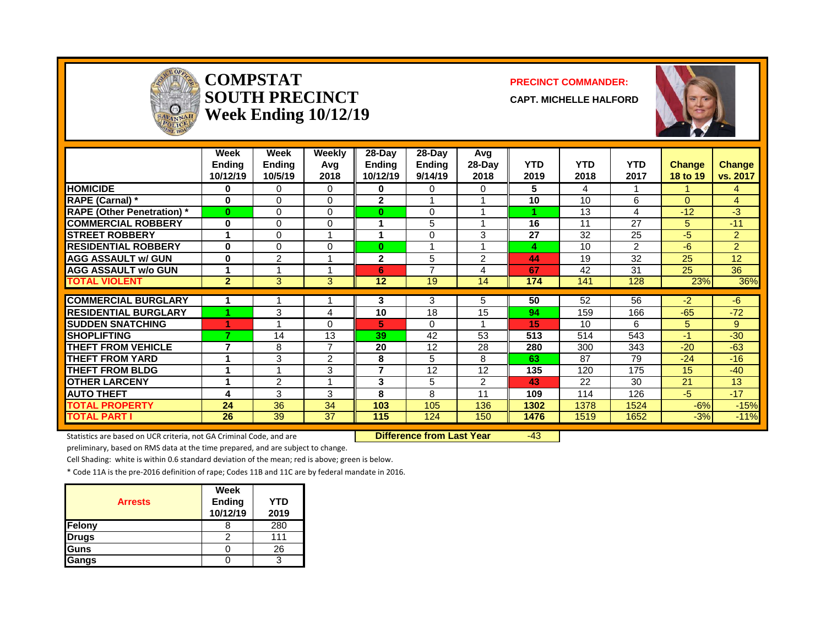

#### **COMPSTAT PRECINCT COMMANDER:**  $\bf \text{SOUTH PRECINCT} \ \text{\footnotesize \text{CAPT}}$ **Week Ending 10/12/19**



|                                   | Week<br>Ending<br>10/12/19 | Week<br><b>Ending</b><br>10/5/19 | <b>Weekly</b><br>Avg<br>2018 | 28-Day<br><b>Ending</b><br>10/12/19 | 28-Day<br><b>Ending</b><br>9/14/19 | Avg<br>28-Day<br>2018 | YTD<br>2019 | <b>YTD</b><br>2018 | <b>YTD</b><br>2017 | Change<br>18 to 19 | <b>Change</b><br>vs. 2017 |
|-----------------------------------|----------------------------|----------------------------------|------------------------------|-------------------------------------|------------------------------------|-----------------------|-------------|--------------------|--------------------|--------------------|---------------------------|
| <b>HOMICIDE</b>                   | 0                          | $\Omega$                         | $\Omega$                     | 0                                   | 0                                  | 0                     | 5           | 4                  |                    |                    | $\overline{4}$            |
| <b>RAPE (Carnal) *</b>            | $\bf{0}$                   | 0                                | $\Omega$                     | $\mathbf 2$                         |                                    |                       | 10          | 10                 | 6                  | $\Omega$           | $\overline{4}$            |
| <b>RAPE (Other Penetration)</b> * | $\bf{0}$                   | 0                                | $\overline{0}$               | $\bf{0}$                            | 0                                  |                       |             | 13                 | 4                  | $-12$              | $-3$                      |
| <b>COMMERCIAL ROBBERY</b>         | $\bf{0}$                   | $\Omega$                         | $\Omega$                     |                                     | 5                                  |                       | 16          | 11                 | 27                 | 5.                 | $-11$                     |
| <b>STREET ROBBERY</b>             |                            | 0                                | 1                            | 1                                   | 0                                  | 3                     | 27          | 32                 | 25                 | $-5$               | $\overline{2}$            |
| <b>RESIDENTIAL ROBBERY</b>        | 0                          | 0                                | 0                            | $\bf{0}$                            |                                    |                       | 4           | 10                 | 2                  | $-6$               | $\overline{2}$            |
| <b>AGG ASSAULT w/ GUN</b>         | 0                          | $\overline{2}$                   | 4                            | 2                                   | 5                                  | 2                     | 44          | 19                 | 32                 | 25                 | 12                        |
| <b>AGG ASSAULT w/o GUN</b>        |                            |                                  |                              | 6                                   | $\overline{ }$                     | 4                     | 67          | 42                 | 31                 | 25                 | 36                        |
| <b>TOTAL VIOLENT</b>              | $\overline{2}$             | 3                                | 3                            | 12                                  | 19                                 | 14                    | 174         | 141                | 128                | 23%                | 36%                       |
|                                   |                            |                                  |                              |                                     |                                    |                       |             |                    |                    |                    |                           |
| <b>COMMERCIAL BURGLARY</b>        |                            |                                  |                              | 3                                   | 3                                  | 5.                    | 50          | 52                 | 56                 | $-2$               | $-6$                      |
| <b>RESIDENTIAL BURGLARY</b>       |                            | 3                                | 4                            | 10                                  | 18                                 | 15                    | 94          | 159                | 166                | $-65$              | $-72$                     |
| <b>SUDDEN SNATCHING</b>           |                            |                                  | $\Omega$                     | 5                                   | $\Omega$                           |                       | 15          | 10 <sup>1</sup>    | 6                  | 5.                 | 9                         |
| <b>SHOPLIFTING</b>                | ⇁                          | 14                               | 13                           | 39                                  | 42                                 | 53                    | 513         | 514                | 543                | $-1$               | $-30$                     |
| <b>THEFT FROM VEHICLE</b>         | 7                          | 8                                | $\overline{7}$               | 20                                  | 12                                 | 28                    | 280         | 300                | 343                | $-20$              | $-63$                     |
| <b>THEFT FROM YARD</b>            | и                          | 3                                | 2                            | 8                                   | 5                                  | 8                     | 63          | 87                 | 79                 | $-24$              | $-16$                     |
| <b>THEFT FROM BLDG</b>            | 4                          |                                  | 3                            | $\overline{7}$                      | 12                                 | 12                    | 135         | 120                | 175                | 15                 | $-40$                     |
| <b>OTHER LARCENY</b>              | и                          | $\overline{2}$                   | 1                            | 3                                   | 5                                  | $\overline{2}$        | 43          | 22                 | 30                 | 21                 | 13                        |
| <b>AUTO THEFT</b>                 | 4                          | 3                                | 3                            | 8                                   | 8                                  | 11                    | 109         | 114                | 126                | $-5$               | $-17$                     |
| <b>TOTAL PROPERTY</b>             | 24                         | 36                               | 34                           | 103                                 | 105                                | 136                   | 1302        | 1378               | 1524               | $-6%$              | $-15%$                    |
| <b>TOTAL PART I</b>               | 26                         | $\overline{39}$                  | $\overline{37}$              | 115                                 | 124                                | 150                   | 1476        | 1519               | 1652               | $-3%$              | $-11%$                    |

Statistics are based on UCR criteria, not GA Criminal Code, and are **Difference from Last Year** -43

preliminary, based on RMS data at the time prepared, and are subject to change.

Cell Shading: white is within 0.6 standard deviation of the mean; red is above; green is below.

| <b>Arrests</b> | Week<br>Ending<br>10/12/19 | <b>YTD</b><br>2019 |
|----------------|----------------------------|--------------------|
| Felony         |                            | 280                |
| Drugs          |                            | 111                |
| Guns           |                            | 26                 |
| Gangs          |                            |                    |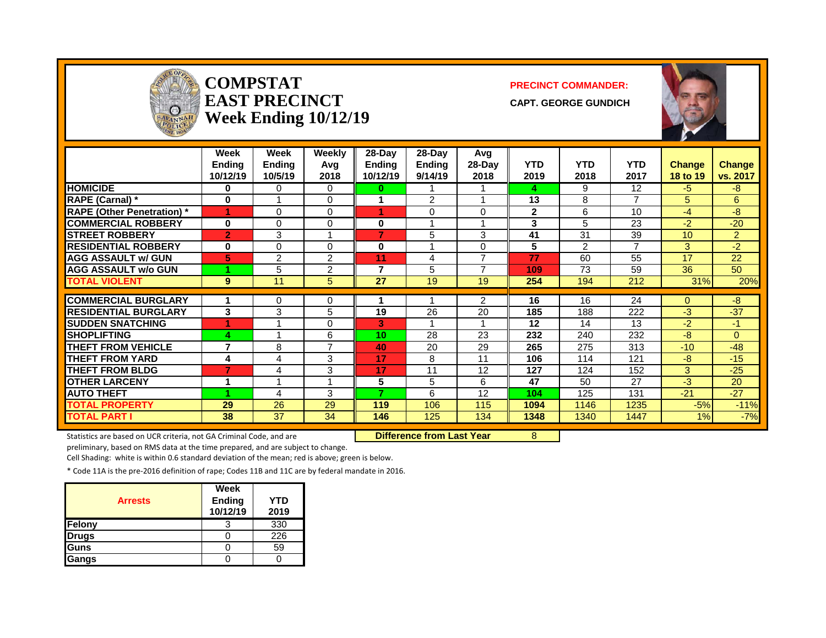

#### **COMPSTAT PRECINCT COMMANDER:**  $\textbf{EAST PRECINCT}$  capt. George gundich **Week Ending 10/12/19**



|                                   | Week<br><b>Ending</b><br>10/12/19 | Week<br><b>Ending</b><br>10/5/19 | Weekly<br>Avg<br>2018   | $28-Day$<br><b>Ending</b><br>10/12/19 | $28$ -Day<br><b>Ending</b><br>9/14/19 | Avg<br>28-Day<br>2018 | <b>YTD</b><br>2019 | <b>YTD</b><br>2018 | <b>YTD</b><br>2017 | <b>Change</b><br>18 to 19 | Change<br>vs. 2017 |
|-----------------------------------|-----------------------------------|----------------------------------|-------------------------|---------------------------------------|---------------------------------------|-----------------------|--------------------|--------------------|--------------------|---------------------------|--------------------|
| <b>HOMICIDE</b>                   | 0                                 | 0                                | $\Omega$                | 0                                     |                                       |                       | 4                  | 9                  | 12                 | $-5$                      | $-8$               |
| <b>RAPE (Carnal)</b> *            | $\bf{0}$                          |                                  | 0                       |                                       | $\overline{2}$                        |                       | 13                 | 8                  | $\overline{7}$     | 5                         | 6                  |
| <b>RAPE (Other Penetration)</b> * |                                   | 0                                | 0                       |                                       | 0                                     | $\Omega$              | $\mathbf 2$        | 6                  | 10                 | $-4$                      | -8                 |
| <b>COMMERCIAL ROBBERY</b>         | $\bf{0}$                          | 0                                | $\Omega$                | $\bf{0}$                              |                                       |                       | 3                  | 5                  | 23                 | $-2$                      | $-20$              |
| <b>STREET ROBBERY</b>             | $\overline{2}$                    | 3                                |                         | 7                                     | 5                                     | 3                     | 41                 | 31                 | 39                 | 10                        | $\overline{2}$     |
| <b>RESIDENTIAL ROBBERY</b>        | 0                                 | 0                                | 0                       | 0                                     |                                       | 0                     | 5                  | $\overline{2}$     | 7                  | 3                         | $-2$               |
| <b>AGG ASSAULT w/ GUN</b>         | 5                                 | 2                                | 2                       | 11                                    | 4                                     | ⇁                     | 77                 | 60                 | 55                 | 17                        | 22                 |
| <b>AGG ASSAULT w/o GUN</b>        |                                   | 5                                | $\overline{2}$          | 7                                     | 5                                     | ⇁                     | 109                | 73                 | 59                 | 36                        | 50                 |
| <b>TOTAL VIOLENT</b>              | 9                                 | 11                               | 5                       | 27                                    | 19                                    | 19                    | 254                | 194                | 212                | 31%                       | 20%                |
|                                   |                                   |                                  |                         |                                       |                                       |                       |                    |                    |                    |                           |                    |
| <b>COMMERCIAL BURGLARY</b>        |                                   | 0                                | 0                       |                                       |                                       | $\overline{2}$        | 16                 | 16                 | 24                 | $\Omega$                  | $-8$               |
| <b>RESIDENTIAL BURGLARY</b>       | 3                                 | 3                                | 5                       | 19                                    | 26                                    | 20                    | 185                | 188                | 222                | $-3$                      | $-37$              |
| <b>ISUDDEN SNATCHING</b>          |                                   |                                  | 0                       | 3                                     |                                       |                       | 12                 | 14                 | 13                 | $-2$                      | -1                 |
| <b>SHOPLIFTING</b>                | 4                                 |                                  | 6                       | 10                                    | 28                                    | 23                    | 232                | 240                | 232                | $-8$                      | $\Omega$           |
| <b>THEFT FROM VEHICLE</b>         | $\overline{7}$                    | 8                                | $\overline{7}$          | 40                                    | 20                                    | 29                    | 265                | 275                | 313                | $-10$                     | $-48$              |
| <b>THEFT FROM YARD</b>            | 4                                 | 4                                | 3                       | 17                                    | 8                                     | 11                    | 106                | 114                | 121                | -8                        | $-15$              |
| <b>THEFT FROM BLDG</b>            | 7                                 | 4                                | 3                       | 17                                    | 11                                    | 12                    | 127                | 124                | 152                | 3                         | $-25$              |
| <b>OTHER LARCENY</b>              | 1                                 |                                  | $\overline{\mathbf{A}}$ | 5                                     | 5                                     | 6                     | 47                 | 50                 | 27                 | $-3$                      | 20                 |
| <b>AUTO THEFT</b>                 |                                   | 4                                | 3                       | 7                                     | 6                                     | 12                    | 104                | 125                | 131                | $-21$                     | $-27$              |
| <b>TOTAL PROPERTY</b>             | 29                                | 26                               | 29                      | 119                                   | 106                                   | 115                   | 1094               | 1146               | 1235               | $-5%$                     | $-11%$             |
| <b>TOTAL PART I</b>               | 38                                | 37                               | 34                      | 146                                   | 125                                   | 134                   | 1348               | 1340               | 1447               | 1%                        | $-7%$              |

Statistics are based on UCR criteria, not GA Criminal Code, and are **Difference from Last Year** 8

preliminary, based on RMS data at the time prepared, and are subject to change.

Cell Shading: white is within 0.6 standard deviation of the mean; red is above; green is below.

| <b>Arrests</b> | Week<br>Ending<br>10/12/19 | <b>YTD</b><br>2019 |
|----------------|----------------------------|--------------------|
| Felony         |                            | 330                |
| <b>Drugs</b>   |                            | 226                |
| Guns           |                            | 59                 |
| Gangs          |                            |                    |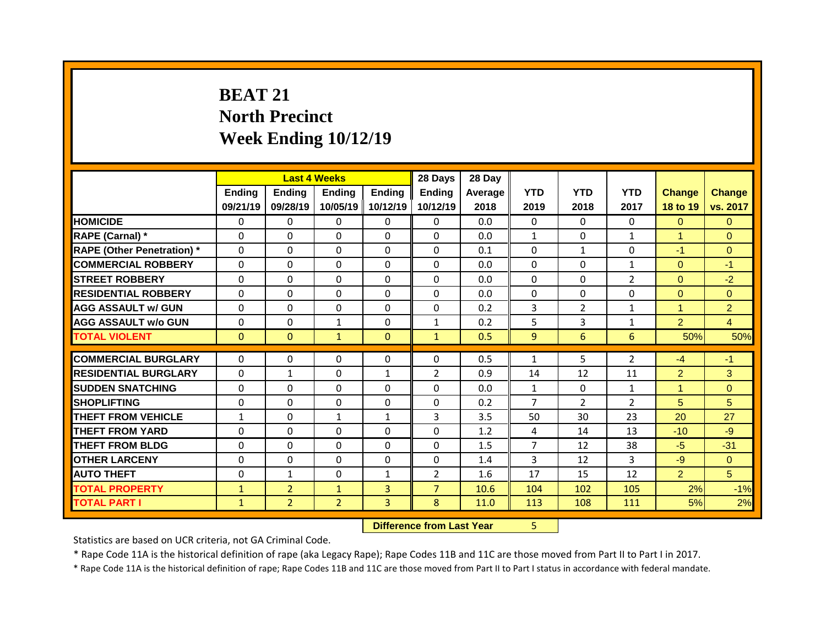## **BEAT 21 North Precinct Week Ending 10/12/19**

|                                   |              |                | <b>Last 4 Weeks</b> |                | 28 Days        | 28 Day  |                |                |                 |                |                |
|-----------------------------------|--------------|----------------|---------------------|----------------|----------------|---------|----------------|----------------|-----------------|----------------|----------------|
|                                   | Ending       | <b>Ending</b>  | <b>Ending</b>       | <b>Ending</b>  | <b>Ending</b>  | Average | <b>YTD</b>     | <b>YTD</b>     | <b>YTD</b>      | <b>Change</b>  | <b>Change</b>  |
|                                   | 09/21/19     | 09/28/19       | 10/05/19            | 10/12/19       | 10/12/19       | 2018    | 2019           | 2018           | 2017            | 18 to 19       | vs. 2017       |
| <b>HOMICIDE</b>                   | $\mathbf{0}$ | 0              | $\Omega$            | $\Omega$       | $\Omega$       | 0.0     | $\Omega$       | $\Omega$       | $\Omega$        | $\overline{0}$ | $\Omega$       |
| <b>RAPE (Carnal) *</b>            | $\mathbf{0}$ | $\Omega$       | $\Omega$            | $\Omega$       | $\Omega$       | 0.0     | $\mathbf{1}$   | $\Omega$       | $\mathbf{1}$    | $\mathbf{1}$   | $\Omega$       |
| <b>RAPE (Other Penetration)</b> * | 0            | 0              | $\Omega$            | $\Omega$       | $\Omega$       | 0.1     | $\Omega$       | $\mathbf{1}$   | $\Omega$        | $-1$           | $\overline{0}$ |
| <b>COMMERCIAL ROBBERY</b>         | $\mathbf 0$  | 0              | $\Omega$            | $\Omega$       | $\Omega$       | 0.0     | $\Omega$       | $\Omega$       | $\mathbf{1}$    | $\Omega$       | $-1$           |
| <b>STREET ROBBERY</b>             | 0            | 0              | 0                   | $\Omega$       | $\Omega$       | 0.0     | $\Omega$       | $\Omega$       | $\overline{2}$  | $\overline{0}$ | $-2$           |
| <b>RESIDENTIAL ROBBERY</b>        | $\Omega$     | $\Omega$       | $\Omega$            | $\Omega$       | $\Omega$       | 0.0     | $\Omega$       | $\Omega$       | $\Omega$        | $\overline{0}$ | $\overline{0}$ |
| <b>AGG ASSAULT w/ GUN</b>         | 0            | 0              | 0                   | $\Omega$       | $\Omega$       | 0.2     | 3              | $\overline{2}$ | $\mathbf{1}$    | $\mathbf{1}$   | $\overline{2}$ |
| <b>AGG ASSAULT w/o GUN</b>        | $\mathbf 0$  | 0              | $\mathbf{1}$        | 0              | $\mathbf{1}$   | 0.2     | 5              | 3              | $\mathbf{1}$    | $\overline{2}$ | $\overline{4}$ |
| <b>TOTAL VIOLENT</b>              | $\mathbf{0}$ | $\mathbf{0}$   | $\mathbf{1}$        | $\mathbf{0}$   | $\mathbf{1}$   | 0.5     | 9              | 6              | $6\overline{6}$ | 50%            | 50%            |
| <b>COMMERCIAL BURGLARY</b>        | 0            |                |                     |                |                | 0.5     |                | 5.             | $\overline{2}$  | $-4$           | $-1$           |
|                                   |              | $\Omega$       | $\Omega$            | $\mathbf{0}$   | $\Omega$       |         | $\mathbf{1}$   |                |                 |                |                |
|                                   |              |                |                     |                |                |         |                |                |                 |                |                |
| <b>RESIDENTIAL BURGLARY</b>       | 0            | $\mathbf{1}$   | 0                   | 1              | $\overline{2}$ | 0.9     | 14             | 12             | 11              | $\overline{2}$ | 3              |
| <b>SUDDEN SNATCHING</b>           | 0            | 0              | 0                   | $\Omega$       | $\Omega$       | 0.0     | $\mathbf{1}$   | $\Omega$       | $\mathbf{1}$    | $\mathbf{1}$   | $\Omega$       |
| <b>SHOPLIFTING</b>                | $\mathbf{0}$ | 0              | 0                   | $\Omega$       | 0              | 0.2     | $\overline{7}$ | $\overline{2}$ | $\overline{2}$  | 5 <sup>5</sup> | 5              |
| <b>THEFT FROM VEHICLE</b>         | $\mathbf{1}$ | $\Omega$       | $\mathbf{1}$        | $\mathbf{1}$   | 3              | 3.5     | 50             | 30             | 23              | 20             | 27             |
| <b>THEFT FROM YARD</b>            | $\mathbf{0}$ | $\Omega$       | $\Omega$            | $\Omega$       | 0              | 1.2     | 4              | 14             | 13              | $-10$          | $-9$           |
| <b>THEFT FROM BLDG</b>            | $\mathbf{0}$ | 0              | 0                   | 0              | 0              | 1.5     | $\overline{7}$ | 12             | 38              | $-5$           | $-31$          |
| <b>OTHER LARCENY</b>              | $\mathbf{0}$ | 0              | $\Omega$            | $\Omega$       | 0              | 1.4     | 3              | 12             | 3               | $-9$           | $\Omega$       |
| <b>AUTO THEFT</b>                 | $\mathbf{0}$ | $\mathbf{1}$   | 0                   | $\mathbf{1}$   | $\overline{2}$ | 1.6     | 17             | 15             | 12              | $\overline{2}$ | 5              |
| <b>TOTAL PROPERTY</b>             | $\mathbf{1}$ | 2 <sup>1</sup> | $\mathbf{1}$        | 3 <sup>1</sup> | $\overline{7}$ | 10.6    | 104            | 102            | 105             | 2%             | $-1%$          |
| <b>TOTAL PART I</b>               | $\mathbf{1}$ | $\overline{2}$ | $\overline{2}$      | $\overline{3}$ | 8              | 11.0    | 113            | 108            | 111             | 5%             | 2%             |

**Difference from Last Year** 5

Statistics are based on UCR criteria, not GA Criminal Code.

\* Rape Code 11A is the historical definition of rape (aka Legacy Rape); Rape Codes 11B and 11C are those moved from Part II to Part I in 2017.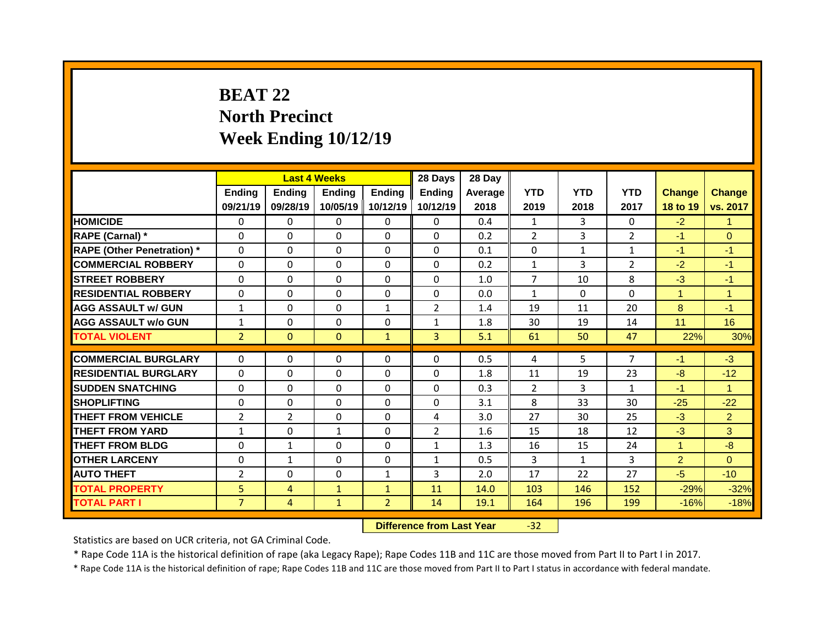## **BEAT 22 North Precinct Week Ending 10/12/19**

|                                   |                |                | <b>Last 4 Weeks</b> |                | 28 Days        | 28 Day  |                |              |                |                |                |
|-----------------------------------|----------------|----------------|---------------------|----------------|----------------|---------|----------------|--------------|----------------|----------------|----------------|
|                                   | Ending         | <b>Ending</b>  | <b>Ending</b>       | <b>Ending</b>  | <b>Ending</b>  | Average | <b>YTD</b>     | <b>YTD</b>   | <b>YTD</b>     | <b>Change</b>  | <b>Change</b>  |
|                                   | 09/21/19       | 09/28/19       | 10/05/19            | 10/12/19       | 10/12/19       | 2018    | 2019           | 2018         | 2017           | 18 to 19       | vs. 2017       |
| <b>HOMICIDE</b>                   | $\Omega$       | 0              | $\Omega$            | $\Omega$       | $\Omega$       | 0.4     | $\mathbf{1}$   | 3            | 0              | $-2$           | 1              |
| RAPE (Carnal) *                   | $\mathbf{0}$   | 0              | 0                   | $\Omega$       | $\Omega$       | 0.2     | $\overline{2}$ | 3            | $\overline{2}$ | $-1$           | $\Omega$       |
| <b>RAPE (Other Penetration) *</b> | $\Omega$       | 0              | $\Omega$            | $\Omega$       | $\Omega$       | 0.1     | $\mathbf{0}$   | $\mathbf{1}$ | $\mathbf{1}$   | $-1$           | $-1$           |
| <b>COMMERCIAL ROBBERY</b>         | $\Omega$       | $\Omega$       | $\Omega$            | $\Omega$       | $\Omega$       | 0.2     | $\mathbf{1}$   | 3            | $\overline{2}$ | $-2$           | $-1$           |
| <b>STREET ROBBERY</b>             | $\mathbf{0}$   | 0              | 0                   | $\Omega$       | 0              | 1.0     | $\overline{7}$ | 10           | 8              | $-3$           | $-1$           |
| <b>RESIDENTIAL ROBBERY</b>        | $\mathbf 0$    | 0              | 0                   | $\Omega$       | $\Omega$       | 0.0     | $\mathbf{1}$   | $\Omega$     | $\Omega$       | $\mathbf{1}$   | 1              |
| <b>AGG ASSAULT w/ GUN</b>         | $\mathbf{1}$   | 0              | 0                   | $\mathbf{1}$   | $\overline{2}$ | 1.4     | 19             | 11           | 20             | 8              | $-1$           |
| <b>AGG ASSAULT w/o GUN</b>        | $\mathbf{1}$   | 0              | 0                   | $\Omega$       | $\mathbf{1}$   | 1.8     | 30             | 19           | 14             | 11             | 16             |
| <b>TOTAL VIOLENT</b>              | $\overline{2}$ | $\overline{0}$ | $\mathbf{0}$        | $\mathbf{1}$   | $\overline{3}$ | 5.1     | 61             | 50           | 47             | 22%            | 30%            |
|                                   |                |                |                     |                |                |         |                |              |                |                |                |
| <b>COMMERCIAL BURGLARY</b>        | $\mathbf 0$    | $\Omega$       | 0                   | $\Omega$       | $\Omega$       | 0.5     | 4              | 5.           | $\overline{7}$ | $-1$           | $-3$           |
| <b>RESIDENTIAL BURGLARY</b>       | 0              | 0              | 0                   | $\Omega$       | 0              | 1.8     | 11             | 19           | 23             | $-8$           | $-12$          |
| <b>SUDDEN SNATCHING</b>           | 0              | $\Omega$       | 0                   | $\Omega$       | 0              | 0.3     | $\overline{2}$ | 3            | $\mathbf{1}$   | $-1$           | $\mathbf{1}$   |
| <b>SHOPLIFTING</b>                | $\mathbf{0}$   | 0              | 0                   | 0              | 0              | 3.1     | 8              | 33           | 30             | $-25$          | $-22$          |
| <b>THEFT FROM VEHICLE</b>         | $\overline{2}$ | $\overline{2}$ | 0                   | $\Omega$       | 4              | 3.0     | 27             | 30           | 25             | $-3$           | $\overline{2}$ |
| <b>THEFT FROM YARD</b>            | $\mathbf{1}$   | 0              | $\mathbf{1}$        | $\Omega$       | $\overline{2}$ | 1.6     | 15             | 18           | 12             | $-3$           | 3              |
| <b>THEFT FROM BLDG</b>            | $\mathbf{0}$   | $\mathbf{1}$   | $\Omega$            | $\Omega$       | $\mathbf{1}$   | 1.3     | 16             | 15           | 24             | $\mathbf{1}$   | $-8$           |
| <b>OTHER LARCENY</b>              | $\mathbf{0}$   | $\mathbf{1}$   | $\Omega$            | $\Omega$       | $\mathbf{1}$   | 0.5     | 3              | $\mathbf{1}$ | 3              | $\overline{2}$ | $\Omega$       |
| <b>AUTO THEFT</b>                 | $\overline{2}$ | 0              | 0                   | $\mathbf{1}$   | 3              | 2.0     | 17             | 22           | 27             | $-5$           | $-10$          |
| <b>TOTAL PROPERTY</b>             | 5              | $\overline{4}$ | $\mathbf{1}$        | $\mathbf{1}$   | 11             | 14.0    | 103            | 146          | 152            | $-29%$         | $-32%$         |
| <b>TOTAL PART I</b>               | $\overline{7}$ | $\overline{4}$ | $\mathbf{1}$        | 2 <sup>1</sup> | 14             | 19.1    | 164            | 196          | 199            | $-16%$         | $-18%$         |
|                                   |                |                |                     |                |                |         |                |              |                |                |                |

**Difference from Last Year** -32

Statistics are based on UCR criteria, not GA Criminal Code.

\* Rape Code 11A is the historical definition of rape (aka Legacy Rape); Rape Codes 11B and 11C are those moved from Part II to Part I in 2017.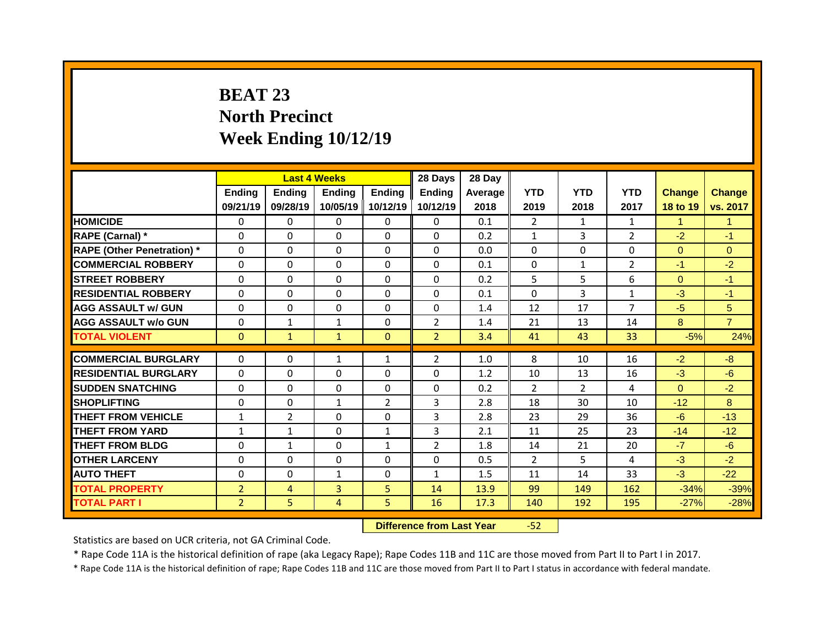## **BEAT 23 North Precinct Week Ending 10/12/19**

|                                              |                                  |                | <b>Last 4 Weeks</b> |                | 28 Days        | 28 Day       |                |                |                 |                  |                  |
|----------------------------------------------|----------------------------------|----------------|---------------------|----------------|----------------|--------------|----------------|----------------|-----------------|------------------|------------------|
|                                              | <b>Ending</b>                    | <b>Ending</b>  | <b>Ending</b>       | <b>Ending</b>  | <b>Ending</b>  | Average      | <b>YTD</b>     | <b>YTD</b>     | <b>YTD</b>      | <b>Change</b>    | <b>Change</b>    |
|                                              | 09/21/19                         | 09/28/19       | 10/05/19            | 10/12/19       | 10/12/19       | 2018         | 2019           | 2018           | 2017            | 18 to 19         | vs. 2017         |
| <b>HOMICIDE</b>                              | $\Omega$                         | $\Omega$       | $\Omega$            | $\Omega$       | $\Omega$       | 0.1          | $\overline{2}$ | $\mathbf{1}$   | $\mathbf{1}$    | $\mathbf{1}$     | $\mathbf{1}$     |
| RAPE (Carnal) *                              | $\Omega$                         | $\Omega$       | $\Omega$            | $\Omega$       | $\Omega$       | 0.2          | $\mathbf{1}$   | 3              | $\overline{2}$  | $-2$             | $-1$             |
| <b>RAPE (Other Penetration) *</b>            | 0                                | 0              | $\Omega$            | $\Omega$       | 0              | 0.0          | 0              | 0              | 0               | $\overline{0}$   | $\Omega$         |
| <b>COMMERCIAL ROBBERY</b>                    | 0                                | 0              | $\Omega$            | $\Omega$       | 0              | 0.1          | $\mathbf{0}$   | $\mathbf{1}$   | $\overline{2}$  | $-1$             | $-2$             |
| <b>STREET ROBBERY</b>                        | $\Omega$                         | 0              | $\Omega$            | $\Omega$       | 0              | 0.2          | 5              | 5              | 6               | $\Omega$         | $-1$             |
| <b>RESIDENTIAL ROBBERY</b>                   | 0                                | 0              | $\Omega$            | $\Omega$       | 0              | 0.1          | 0              | 3              | $\mathbf{1}$    | $-3$             | $-1$             |
| <b>AGG ASSAULT w/ GUN</b>                    | 0                                | 0              | $\Omega$            | $\Omega$       | 0              | 1.4          | 12             | 17             | $\overline{7}$  | $-5$             | 5                |
| <b>AGG ASSAULT W/o GUN</b>                   | 0                                | $\mathbf{1}$   | $\mathbf{1}$        | $\mathbf 0$    | $\overline{2}$ | 1.4          | 21             | 13             | 14              | 8                | $\overline{7}$   |
| <b>TOTAL VIOLENT</b>                         | $\mathbf{0}$                     | $\mathbf{1}$   | $\mathbf{1}$        | $\overline{0}$ | 2 <sup>1</sup> | 3.4          | 41             | 43             | 33              | $-5%$            | 24%              |
| <b>COMMERCIAL BURGLARY</b>                   | 0                                | 0              | $\mathbf{1}$        | $\mathbf{1}$   | $\overline{2}$ | 1.0          | 8              | 10             | 16              | $-2$             | $-8$             |
| <b>RESIDENTIAL BURGLARY</b>                  | 0                                | $\mathbf{0}$   | $\mathbf{0}$        | $\Omega$       | 0              | 1.2          | 10             | 13             | 16              | $-3$             | $-6$             |
| <b>SUDDEN SNATCHING</b>                      | 0                                | 0              | 0                   | $\mathbf 0$    | 0              | 0.2          | $\overline{2}$ | $\overline{2}$ | 4               | $\Omega$         | $-2$             |
| <b>SHOPLIFTING</b>                           | $\Omega$                         | $\mathbf{0}$   | $\mathbf{1}$        | $\overline{2}$ | 3              | 2.8          | 18             | 30             | 10 <sup>1</sup> | $-12$            | 8                |
| <b>THEFT FROM VEHICLE</b>                    | $\mathbf{1}$                     | $\overline{2}$ | $\Omega$            | $\Omega$       | 3              | 2.8          | 23             | 29             | 36              | $-6$             | $-13$            |
| <b>THEFT FROM YARD</b>                       | $\mathbf{1}$                     | $\mathbf{1}$   | $\Omega$            | $\mathbf{1}$   | 3              | 2.1          | 11             | 25             | 23              | $-14$            | $-12$            |
| <b>THEFT FROM BLDG</b>                       | $\Omega$                         | $\mathbf{1}$   | $\Omega$            | $\mathbf{1}$   | $\overline{2}$ | 1.8          | 14             | 21             | 20              | $-7$             | $-6$             |
| <b>OTHER LARCENY</b>                         | 0                                | 0              | $\Omega$            | $\Omega$       | 0              | 0.5          | $\overline{2}$ | 5              | 4               | $-3$             | $-2$             |
|                                              |                                  |                |                     | $\mathbf 0$    | $\mathbf{1}$   | 1.5          | 11             | 14             | 33              | $-3$             | $-22$            |
|                                              |                                  |                |                     |                |                |              |                |                |                 |                  |                  |
| <b>AUTO THEFT</b>                            | 0                                | 0              | $\mathbf{1}$        |                |                |              |                |                |                 |                  |                  |
| <b>TOTAL PROPERTY</b><br><b>TOTAL PART I</b> | $\overline{2}$<br>$\overline{2}$ | 4<br>5         | 3<br>4              | 5<br>5         | 14<br>16       | 13.9<br>17.3 | 99<br>140      | 149<br>192     | 162<br>195      | $-34%$<br>$-27%$ | $-39%$<br>$-28%$ |

**Difference from Last Year 47 -52** 

Statistics are based on UCR criteria, not GA Criminal Code.

\* Rape Code 11A is the historical definition of rape (aka Legacy Rape); Rape Codes 11B and 11C are those moved from Part II to Part I in 2017.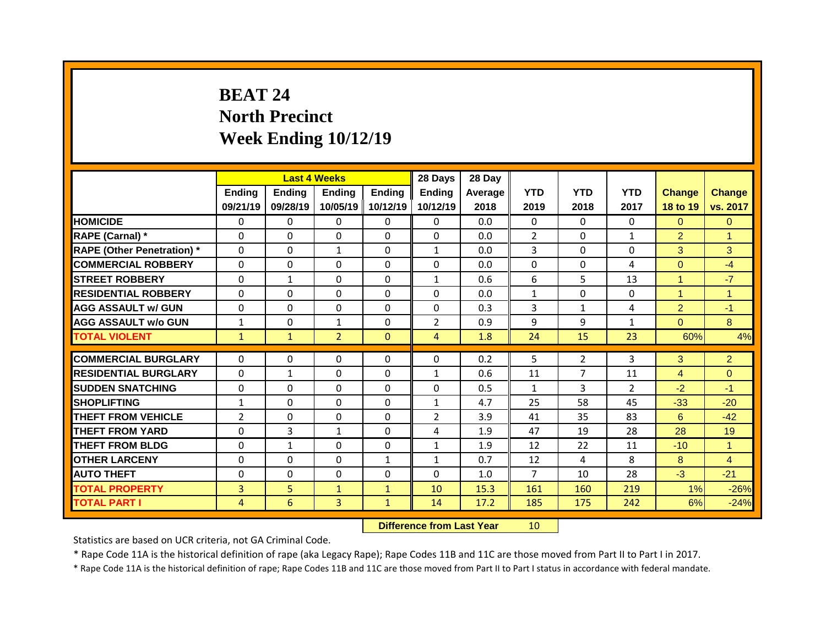## **BEAT 24 North Precinct Week Ending 10/12/19**

|                                   |                |                | <b>Last 4 Weeks</b> |               | 28 Days        | 28 Day  |                |                |                |                |                |
|-----------------------------------|----------------|----------------|---------------------|---------------|----------------|---------|----------------|----------------|----------------|----------------|----------------|
|                                   | Ending         | <b>Ending</b>  | <b>Ending</b>       | <b>Ending</b> | <b>Ending</b>  | Average | <b>YTD</b>     | <b>YTD</b>     | <b>YTD</b>     | <b>Change</b>  | <b>Change</b>  |
|                                   | 09/21/19       | 09/28/19       | 10/05/19            | 10/12/19      | 10/12/19       | 2018    | 2019           | 2018           | 2017           | 18 to 19       | vs. 2017       |
| <b>HOMICIDE</b>                   | $\Omega$       | 0              | $\Omega$            | $\Omega$      | $\Omega$       | 0.0     | $\Omega$       | $\Omega$       | $\Omega$       | $\Omega$       | $\Omega$       |
| RAPE (Carnal) *                   | $\mathbf 0$    | 0              | 0                   | 0             | 0              | 0.0     | $\overline{2}$ | $\Omega$       | $\mathbf{1}$   | $\overline{2}$ | $\mathbf{1}$   |
| <b>RAPE (Other Penetration)</b> * | 0              | 0              | $\mathbf{1}$        | $\Omega$      | $\mathbf{1}$   | 0.0     | 3              | $\Omega$       | $\Omega$       | 3              | 3              |
| <b>COMMERCIAL ROBBERY</b>         | $\mathbf 0$    | 0              | 0                   | 0             | $\Omega$       | 0.0     | 0              | $\Omega$       | 4              | $\overline{0}$ | $-4$           |
| <b>STREET ROBBERY</b>             | 0              | $\mathbf{1}$   | 0                   | $\Omega$      | $\mathbf{1}$   | 0.6     | 6              | 5              | 13             | $\mathbf{1}$   | $-7$           |
| <b>RESIDENTIAL ROBBERY</b>        | $\Omega$       | 0              | $\Omega$            | $\Omega$      | $\Omega$       | 0.0     | $\mathbf{1}$   | $\Omega$       | $\Omega$       | $\mathbf{1}$   | $\overline{1}$ |
| <b>AGG ASSAULT w/ GUN</b>         | $\mathbf 0$    | 0              | 0                   | $\Omega$      | $\Omega$       | 0.3     | 3              | $\mathbf{1}$   | 4              | $\overline{2}$ | $-1$           |
| <b>AGG ASSAULT w/o GUN</b>        | $\mathbf{1}$   | 0              | $\mathbf{1}$        | 0             | $\overline{2}$ | 0.9     | 9              | 9              | $\mathbf{1}$   | $\overline{0}$ | 8              |
| <b>TOTAL VIOLENT</b>              | $\mathbf{1}$   | $\mathbf{1}$   | $\overline{2}$      | $\mathbf{0}$  | 4              | 1.8     | 24             | 15             | 23             | 60%            | 4%             |
| <b>COMMERCIAL BURGLARY</b>        | 0              | 0              | 0                   | $\mathbf{0}$  | 0              | 0.2     | 5              | $\overline{2}$ | 3              | 3              | $\overline{2}$ |
|                                   |                |                |                     |               |                |         |                |                |                |                |                |
| <b>RESIDENTIAL BURGLARY</b>       | $\Omega$       | $\mathbf{1}$   | $\Omega$            | $\Omega$      | $\mathbf{1}$   | 0.6     | 11             | 7              | 11             | 4              | $\Omega$       |
| <b>SUDDEN SNATCHING</b>           | $\mathbf{0}$   | $\Omega$       | 0                   | $\mathbf{0}$  | 0              | 0.5     | $\mathbf{1}$   | 3              | $\overline{2}$ | $-2$           | $-1$           |
| <b>SHOPLIFTING</b>                | $\mathbf{1}$   | 0              | $\Omega$            | $\Omega$      | $\mathbf{1}$   | 4.7     | 25             | 58             | 45             | $-33$          | $-20$          |
| <b>THEFT FROM VEHICLE</b>         | $\overline{2}$ | 0              | 0                   | $\Omega$      | $\overline{2}$ | 3.9     | 41             | 35             | 83             | 6              | $-42$          |
| <b>THEFT FROM YARD</b>            | $\mathbf{0}$   | 3              | $\mathbf{1}$        | $\Omega$      | 4              | 1.9     | 47             | 19             | 28             | 28             | 19             |
| <b>THEFT FROM BLDG</b>            | $\mathbf{0}$   | $\mathbf{1}$   | 0                   | $\Omega$      | $\mathbf{1}$   | 1.9     | 12             | 22             | 11             | $-10$          | $\mathbf{1}$   |
| <b>OTHER LARCENY</b>              | $\mathbf{0}$   | 0              | $\Omega$            | $\mathbf{1}$  | $\mathbf{1}$   | 0.7     | 12             | 4              | 8              | 8              | $\overline{4}$ |
| <b>AUTO THEFT</b>                 | 0              | 0              | 0                   | 0             | $\Omega$       | 1.0     | $\overline{7}$ | 10             | 28             | $-3$           | $-21$          |
| <b>TOTAL PROPERTY</b>             | $\overline{3}$ | 5              | $\mathbf{1}$        | $\mathbf{1}$  | 10             | 15.3    | 161            | 160            | 219            | 1%             | $-26%$         |
| <b>TOTAL PART I</b>               | $\overline{4}$ | $6\phantom{1}$ | 3                   | $\mathbf{1}$  | 14             | 17.2    | 185            | 175            | 242            | 6%             | $-24%$         |

**Difference from Last Year** 10

Statistics are based on UCR criteria, not GA Criminal Code.

\* Rape Code 11A is the historical definition of rape (aka Legacy Rape); Rape Codes 11B and 11C are those moved from Part II to Part I in 2017.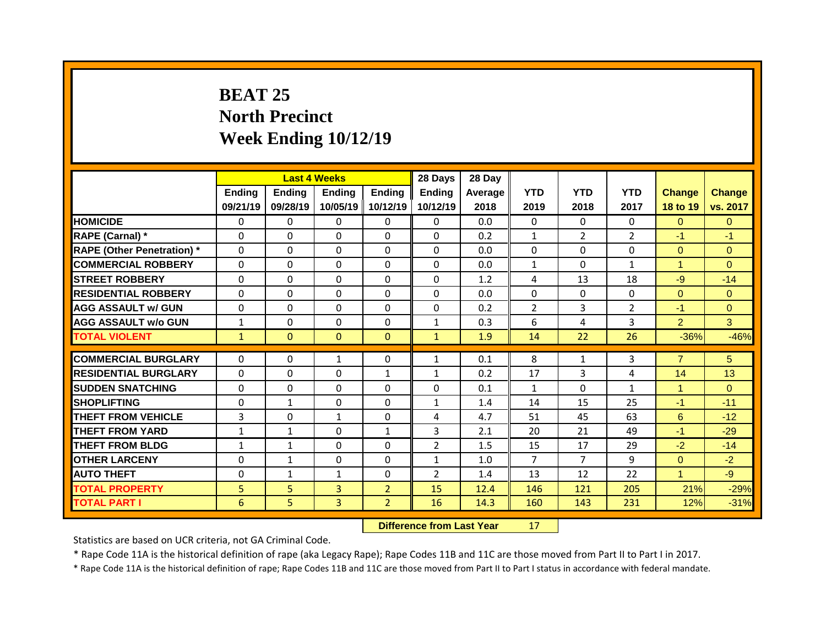## **BEAT 25 North Precinct Week Ending 10/12/19**

|                                              |              |               | <b>Last 4 Weeks</b> |                                  | 28 Days           | 28 Day       |                |                |                |                |                  |
|----------------------------------------------|--------------|---------------|---------------------|----------------------------------|-------------------|--------------|----------------|----------------|----------------|----------------|------------------|
|                                              | Ending       | <b>Ending</b> | <b>Ending</b>       | <b>Ending</b>                    | <b>Ending</b>     | Average      | <b>YTD</b>     | <b>YTD</b>     | <b>YTD</b>     | <b>Change</b>  | <b>Change</b>    |
|                                              | 09/21/19     | 09/28/19      | 10/05/19            | 10/12/19                         | 10/12/19          | 2018         | 2019           | 2018           | 2017           | 18 to 19       | vs. 2017         |
| <b>HOMICIDE</b>                              | $\Omega$     | 0             | $\Omega$            | $\Omega$                         | $\Omega$          | 0.0          | $\Omega$       | $\Omega$       | $\Omega$       | $\Omega$       | $\Omega$         |
| RAPE (Carnal) *                              | $\mathbf 0$  | 0             | 0                   | 0                                | $\Omega$          | 0.2          | $\mathbf{1}$   | $\overline{2}$ | $\overline{2}$ | $-1$           | $-1$             |
| <b>RAPE (Other Penetration)</b> *            | 0            | 0             | $\Omega$            | $\Omega$                         | $\Omega$          | 0.0          | $\Omega$       | $\Omega$       | $\Omega$       | $\overline{0}$ | $\Omega$         |
| <b>COMMERCIAL ROBBERY</b>                    | $\mathbf 0$  | 0             | 0                   | 0                                | $\Omega$          | 0.0          | $\mathbf{1}$   | $\Omega$       | $\mathbf{1}$   | $\mathbf{1}$   | $\overline{0}$   |
| <b>STREET ROBBERY</b>                        | 0            | 0             | $\Omega$            | $\Omega$                         | $\Omega$          | 1.2          | 4              | 13             | 18             | $-9$           | $-14$            |
| <b>RESIDENTIAL ROBBERY</b>                   | $\Omega$     | 0             | $\Omega$            | $\Omega$                         | $\Omega$          | 0.0          | $\Omega$       | $\Omega$       | $\Omega$       | $\overline{0}$ | $\overline{0}$   |
| <b>AGG ASSAULT w/ GUN</b>                    | $\mathbf 0$  | 0             | 0                   | $\Omega$                         | $\Omega$          | 0.2          | $\overline{2}$ | $\overline{3}$ | $\overline{2}$ | $-1$           | $\overline{0}$   |
| <b>AGG ASSAULT w/o GUN</b>                   | $\mathbf{1}$ | 0             | 0                   | $\Omega$                         | $\mathbf{1}$      | 0.3          | 6              | 4              | 3              | $\overline{2}$ | 3                |
| <b>TOTAL VIOLENT</b>                         | $\mathbf{1}$ | $\mathbf{0}$  | $\mathbf{0}$        | $\mathbf{0}$                     | $\mathbf{1}$      | 1.9          | 14             | 22             | 26             | $-36%$         | $-46%$           |
| <b>COMMERCIAL BURGLARY</b>                   | 0            | $\Omega$      | $\mathbf{1}$        | $\mathbf{0}$                     | $\mathbf{1}$      | 0.1          | 8              | $\mathbf{1}$   | 3              | $\overline{7}$ | 5                |
| <b>RESIDENTIAL BURGLARY</b>                  | $\Omega$     | $\Omega$      | $\Omega$            | $\mathbf{1}$                     |                   | 0.2          | 17             | 3              | 4              | 14             | 13               |
| <b>SUDDEN SNATCHING</b>                      | $\mathbf{0}$ | $\Omega$      | 0                   | 0                                | $\mathbf{1}$<br>0 | 0.1          | $\mathbf{1}$   | $\Omega$       | $\mathbf{1}$   | $\mathbf{1}$   | $\Omega$         |
| <b>SHOPLIFTING</b>                           | $\Omega$     | $\mathbf{1}$  | $\Omega$            | $\Omega$                         | $\mathbf{1}$      | 1.4          | 14             | 15             | 25             | $-1$           | $-11$            |
|                                              |              |               |                     |                                  |                   |              |                |                |                |                |                  |
|                                              |              |               |                     |                                  |                   |              |                |                |                |                |                  |
| <b>THEFT FROM VEHICLE</b>                    | 3            | 0             | $\mathbf{1}$        | $\Omega$                         | 4                 | 4.7          | 51             | 45             | 63             | 6              | $-12$            |
| <b>THEFT FROM YARD</b>                       | $\mathbf{1}$ | $\mathbf{1}$  | $\Omega$            | $\mathbf{1}$                     | 3                 | 2.1          | 20             | 21             | 49             | $-1$           | $-29$            |
| <b>THEFT FROM BLDG</b>                       | $\mathbf{1}$ | $\mathbf{1}$  | 0                   | $\Omega$                         | $\overline{2}$    | 1.5          | 15             | 17             | 29             | $-2$           | $-14$            |
| <b>OTHER LARCENY</b>                         | $\mathbf{0}$ | $\mathbf{1}$  | 0                   | $\Omega$                         | $\mathbf{1}$      | 1.0          | $\overline{7}$ | $\overline{7}$ | 9              | $\overline{0}$ | $-2$             |
| <b>AUTO THEFT</b>                            | 0            | $\mathbf{1}$  | $\mathbf{1}$        | 0                                | $\overline{2}$    | 1.4          | 13             | 12             | 22             | $\mathbf{1}$   | $-9$             |
| <b>TOTAL PROPERTY</b><br><b>TOTAL PART I</b> | 5<br>6       | 5<br>5        | 3<br>3              | $\overline{2}$<br>$\overline{2}$ | 15<br>16          | 12.4<br>14.3 | 146<br>160     | 121<br>143     | 205<br>231     | 21%<br>12%     | $-29%$<br>$-31%$ |

**Difference from Last Year** 17

Statistics are based on UCR criteria, not GA Criminal Code.

\* Rape Code 11A is the historical definition of rape (aka Legacy Rape); Rape Codes 11B and 11C are those moved from Part II to Part I in 2017.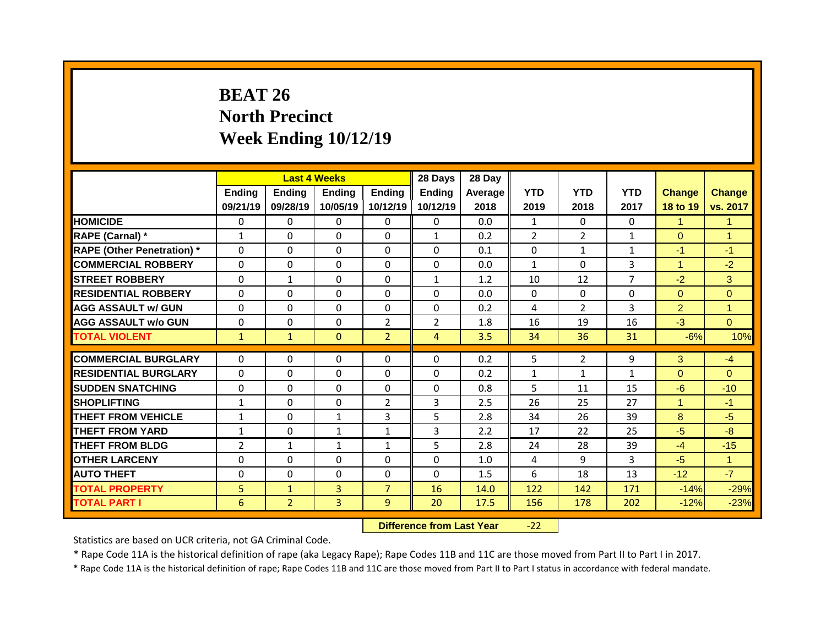## **BEAT 26 North Precinct Week Ending 10/12/19**

|                                   |                |                | <b>Last 4 Weeks</b> |                | 28 Days        | 28 Day  |                |                |                |                |                      |
|-----------------------------------|----------------|----------------|---------------------|----------------|----------------|---------|----------------|----------------|----------------|----------------|----------------------|
|                                   | Ending         | <b>Ending</b>  | <b>Ending</b>       | Ending         | <b>Ending</b>  | Average | <b>YTD</b>     | <b>YTD</b>     | <b>YTD</b>     | <b>Change</b>  | Change               |
|                                   | 09/21/19       | 09/28/19       | 10/05/19            | 10/12/19       | 10/12/19       | 2018    | 2019           | 2018           | 2017           | 18 to 19       | vs. 2017             |
| <b>HOMICIDE</b>                   | $\Omega$       | $\Omega$       | $\Omega$            | $\Omega$       | $\Omega$       | 0.0     | $\mathbf{1}$   | $\Omega$       | 0              | $\mathbf{1}$   | $\blacktriangleleft$ |
| RAPE (Carnal) *                   | $\mathbf{1}$   | $\Omega$       | $\Omega$            | $\Omega$       | $\mathbf{1}$   | 0.2     | $\overline{2}$ | $\overline{2}$ | $\mathbf{1}$   | $\Omega$       | $\mathbf{1}$         |
| <b>RAPE (Other Penetration) *</b> | $\Omega$       | 0              | $\Omega$            | $\Omega$       | $\Omega$       | 0.1     | $\mathbf{0}$   | $\mathbf{1}$   | $\mathbf{1}$   | $-1$           | $-1$                 |
| <b>COMMERCIAL ROBBERY</b>         | 0              | 0              | 0                   | $\Omega$       | 0              | 0.0     | $\mathbf{1}$   | $\mathbf 0$    | $\overline{3}$ | $\mathbf{1}$   | $-2$                 |
| <b>STREET ROBBERY</b>             | 0              | $\mathbf{1}$   | $\Omega$            | $\Omega$       | $\mathbf{1}$   | 1.2     | 10             | 12             | $\overline{7}$ | $-2$           | 3                    |
| <b>RESIDENTIAL ROBBERY</b>        | $\Omega$       | $\Omega$       | $\Omega$            | $\Omega$       | $\Omega$       | 0.0     | $\Omega$       | $\Omega$       | $\Omega$       | $\Omega$       | $\Omega$             |
| <b>AGG ASSAULT w/ GUN</b>         | 0              | 0              | $\Omega$            | $\Omega$       | 0              | 0.2     | 4              | $\overline{2}$ | $\overline{3}$ | $\overline{2}$ | $\mathbf{1}$         |
| <b>AGG ASSAULT w/o GUN</b>        | 0              | 0              | 0                   | $\overline{2}$ | $\overline{2}$ | 1.8     | 16             | 19             | 16             | $-3$           | $\Omega$             |
| <b>TOTAL VIOLENT</b>              | $\mathbf{1}$   | $\mathbf{1}$   | $\mathbf{0}$        | 2 <sup>1</sup> | 4              | 3.5     | 34             | 36             | 31             | $-6%$          | 10%                  |
|                                   |                |                |                     |                |                |         |                |                |                |                |                      |
| <b>COMMERCIAL BURGLARY</b>        | 0              | $\mathbf{0}$   | $\mathbf{0}$        | $\Omega$       | $\Omega$       | 0.2     | 5              | $\overline{2}$ | 9              | 3              | $-4$                 |
| <b>RESIDENTIAL BURGLARY</b>       | $\Omega$       | $\mathbf{0}$   | $\Omega$            | $\Omega$       | 0              | 0.2     | 1              | $\mathbf{1}$   | $\mathbf{1}$   | $\Omega$       | $\Omega$             |
| <b>SUDDEN SNATCHING</b>           | $\Omega$       | $\mathbf{0}$   | $\Omega$            | $\Omega$       | 0              | 0.8     | 5              | 11             | 15             | $-6$           | $-10$                |
| <b>SHOPLIFTING</b>                | $\mathbf{1}$   | $\mathbf{0}$   | $\Omega$            | $\overline{2}$ | 3              | 2.5     | 26             | 25             | 27             | $\mathbf{1}$   | $-1$                 |
| <b>THEFT FROM VEHICLE</b>         | $\mathbf{1}$   | 0              | $\mathbf{1}$        | 3              | 5              | 2.8     | 34             | 26             | 39             | 8              | $-5$                 |
| <b>THEFT FROM YARD</b>            | $\mathbf{1}$   | 0              | $\mathbf{1}$        | $\mathbf{1}$   | 3              | 2.2     | 17             | 22             | 25             | $-5$           | $-8$                 |
| <b>THEFT FROM BLDG</b>            | $\overline{2}$ | $\mathbf{1}$   | $\mathbf{1}$        | $\mathbf{1}$   | 5              | 2.8     | 24             | 28             | 39             | $-4$           | $-15$                |
| <b>OTHER LARCENY</b>              | 0              | $\Omega$       | $\Omega$            | $\Omega$       | $\Omega$       | 1.0     | 4              | 9              | 3              | $-5$           | $\mathbf{1}$         |
| <b>AUTO THEFT</b>                 | 0              | 0              | 0                   | $\Omega$       | 0              | 1.5     | 6              | 18             | 13             | $-12$          | $-7$                 |
| <b>TOTAL PROPERTY</b>             | 5              | $\mathbf{1}$   | 3                   | $\overline{7}$ | 16             | 14.0    | 122            | 142            | 171            | $-14%$         | $-29%$               |
| <b>TOTAL PART I</b>               | 6              | $\overline{2}$ | 3                   | 9              | 20             | 17.5    | 156            | 178            | 202            | $-12%$         | $-23%$               |

**Difference from Last Year** -22

Statistics are based on UCR criteria, not GA Criminal Code.

\* Rape Code 11A is the historical definition of rape (aka Legacy Rape); Rape Codes 11B and 11C are those moved from Part II to Part I in 2017.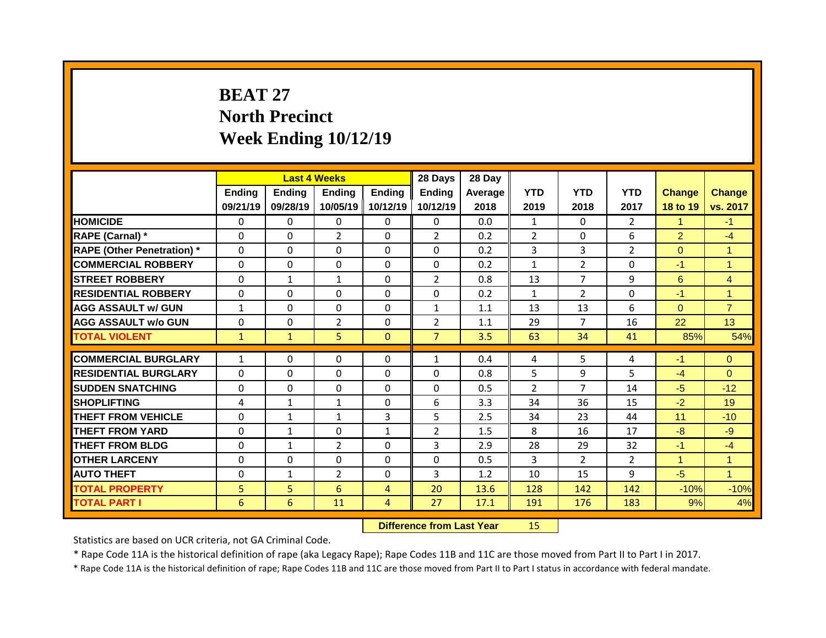## **BEAT 27 North Precinct Week Ending 10/12/19**

|                                              |              |                     | <b>Last 4 Weeks</b> |                                  | 28 Days        | 28 Day       |                |                |                |                |                |
|----------------------------------------------|--------------|---------------------|---------------------|----------------------------------|----------------|--------------|----------------|----------------|----------------|----------------|----------------|
|                                              | Ending       | Ending              | <b>Ending</b>       | Ending                           | <b>Ending</b>  | Average      | <b>YTD</b>     | <b>YTD</b>     | <b>YTD</b>     | <b>Change</b>  | <b>Change</b>  |
|                                              | 09/21/19     | 09/28/19            | 10/05/19            | 10/12/19                         | 10/12/19       | 2018         | 2019           | 2018           | 2017           | 18 to 19       | vs. 2017       |
| <b>HOMICIDE</b>                              | $\mathbf{0}$ | 0                   | $\Omega$            | $\Omega$                         | $\Omega$       | 0.0          | $\mathbf{1}$   | $\Omega$       | $\overline{2}$ | $\mathbf 1$    | $-1$           |
| RAPE (Carnal) *                              | $\mathbf{0}$ | $\Omega$            | $\overline{2}$      | $\Omega$                         | $\overline{2}$ | 0.2          | $\overline{2}$ | $\Omega$       | 6              | $\overline{2}$ | $-4$           |
| <b>RAPE (Other Penetration)</b> *            | 0            | 0                   | 0                   | $\Omega$                         | $\Omega$       | 0.2          | 3              | 3              | $\overline{2}$ | $\overline{0}$ | $\mathbf{1}$   |
| <b>COMMERCIAL ROBBERY</b>                    | $\mathbf 0$  | 0                   | 0                   | $\Omega$                         | $\Omega$       | 0.2          | $\mathbf{1}$   | $\overline{2}$ | $\Omega$       | $-1$           | $\overline{1}$ |
| <b>STREET ROBBERY</b>                        | $\Omega$     | $\mathbf{1}$        | $\mathbf{1}$        | $\Omega$                         | $\overline{2}$ | 0.8          | 13             | $\overline{7}$ | 9              | 6              | $\overline{4}$ |
| <b>RESIDENTIAL ROBBERY</b>                   | 0            | 0                   | 0                   | 0                                | 0              | 0.2          | $\mathbf{1}$   | $\overline{2}$ | 0              | $-1$           | $\mathbf{1}$   |
| <b>AGG ASSAULT w/ GUN</b>                    | $\mathbf{1}$ | 0                   | 0                   | $\Omega$                         | $\mathbf{1}$   | 1.1          | 13             | 13             | 6              | $\overline{0}$ | $\overline{7}$ |
| <b>AGG ASSAULT W/o GUN</b>                   | $\mathbf 0$  | 0                   | $\overline{2}$      | 0                                | $\overline{2}$ | 1.1          | 29             | $\overline{7}$ | 16             | 22             | 13             |
| <b>TOTAL VIOLENT</b>                         | $\mathbf{1}$ | $\mathbf{1}$        | 5                   | $\mathbf{0}$                     | $\overline{7}$ | 3.5          | 63             | 34             | 41             | 85%            | 54%            |
| <b>COMMERCIAL BURGLARY</b>                   | $\mathbf{1}$ | $\Omega$            | $\Omega$            | $\mathbf{0}$                     | $\mathbf{1}$   | 0.4          | 4              | 5              | 4              |                | $\Omega$       |
|                                              |              |                     |                     |                                  |                |              |                |                |                |                |                |
|                                              |              |                     |                     |                                  |                |              |                |                |                | $-1$           |                |
| <b>RESIDENTIAL BURGLARY</b>                  | $\Omega$     | $\Omega$            | 0                   | $\Omega$                         | 0              | 0.8          | 5              | 9              | 5.             | $-4$           | $\Omega$       |
| <b>SUDDEN SNATCHING</b>                      | $\mathbf{0}$ | 0                   | 0                   | $\mathbf{0}$                     | 0              | 0.5          | $\overline{2}$ | $\overline{7}$ | 14             | $-5$           | $-12$          |
| <b>SHOPLIFTING</b>                           | 4            | $\mathbf{1}$        | $\mathbf{1}$        | $\Omega$                         | 6              | 3.3          | 34             | 36             | 15             | $-2$           | 19             |
| <b>THEFT FROM VEHICLE</b>                    | $\mathbf{0}$ | 1                   | $\mathbf{1}$        | 3                                | 5              | 2.5          | 34             | 23             | 44             | 11             | $-10$          |
| <b>THEFT FROM YARD</b>                       | $\Omega$     | $\mathbf{1}$        | $\Omega$            | $\mathbf{1}$                     | $\overline{2}$ | 1.5          | 8              | 16             | 17             | $-8$           | $-9$           |
| <b>THEFT FROM BLDG</b>                       | $\mathbf{0}$ | $\mathbf{1}$        | $\overline{2}$      | $\Omega$                         | 3              | 2.9          | 28             | 29             | 32             | $-1$           | $-4$           |
| <b>OTHER LARCENY</b>                         | $\mathbf 0$  | 0                   | 0                   | $\Omega$                         | $\Omega$       | 0.5          | $\overline{3}$ | $\overline{2}$ | $\overline{2}$ | $\mathbf{1}$   | $\mathbf{1}$   |
| <b>AUTO THEFT</b>                            | $\mathbf 0$  | $\mathbf{1}$        | $\overline{2}$      | 0                                | 3              | 1.2          | 10             | 15             | 9              | $-5$           | $\mathbf{1}$   |
| <b>TOTAL PROPERTY</b><br><b>TOTAL PART I</b> | 5<br>6       | 5 <sup>1</sup><br>6 | 6<br>11             | $\overline{4}$<br>$\overline{4}$ | 20<br>27       | 13.6<br>17.1 | 128<br>191     | 142<br>176     | 142<br>183     | $-10%$<br>9%   | $-10%$<br>4%   |

**Difference from Last Year** 15

Statistics are based on UCR criteria, not GA Criminal Code.

\* Rape Code 11A is the historical definition of rape (aka Legacy Rape); Rape Codes 11B and 11C are those moved from Part II to Part I in 2017.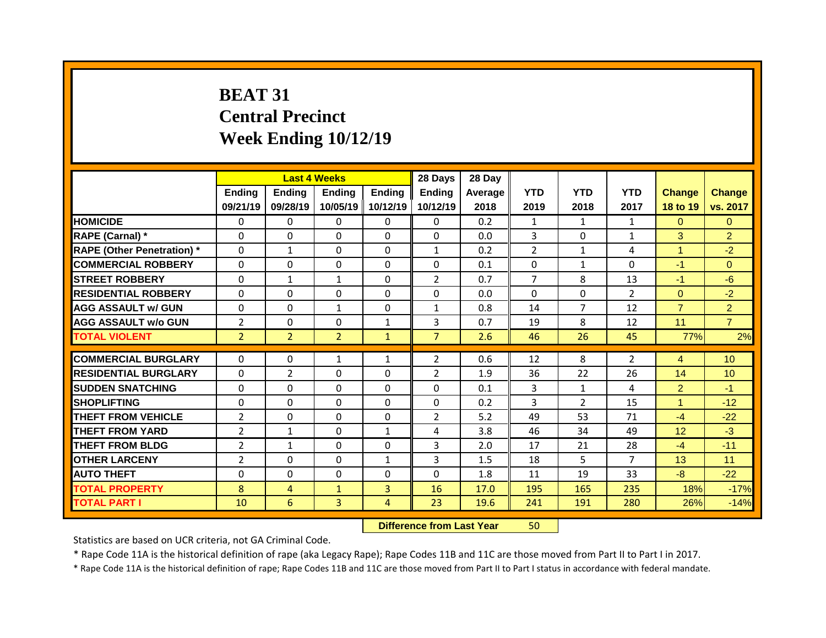# **BEAT 31 Central Precinct Week Ending 10/12/19**

|                                   |                |                | <b>Last 4 Weeks</b> |                | 28 Days        | 28 Day  |                |                |                |                 |                 |
|-----------------------------------|----------------|----------------|---------------------|----------------|----------------|---------|----------------|----------------|----------------|-----------------|-----------------|
|                                   | <b>Ending</b>  | <b>Ending</b>  | <b>Ending</b>       | <b>Ending</b>  | <b>Ending</b>  | Average | <b>YTD</b>     | <b>YTD</b>     | <b>YTD</b>     | <b>Change</b>   | Change          |
|                                   | 09/21/19       | 09/28/19       | 10/05/19            | 10/12/19       | 10/12/19       | 2018    | 2019           | 2018           | 2017           | 18 to 19        | vs. 2017        |
| <b>HOMICIDE</b>                   | $\Omega$       | $\Omega$       | $\Omega$            | $\Omega$       | $\Omega$       | 0.2     | $\mathbf{1}$   | $\mathbf{1}$   | $\mathbf{1}$   | $\mathbf{0}$    | $\Omega$        |
| RAPE (Carnal) *                   | $\Omega$       | $\Omega$       | $\Omega$            | $\Omega$       | $\Omega$       | 0.0     | 3              | $\Omega$       | $\mathbf{1}$   | 3               | $\overline{2}$  |
| <b>RAPE (Other Penetration)</b> * | 0              | $\mathbf{1}$   | $\Omega$            | $\Omega$       | $\mathbf{1}$   | 0.2     | $\overline{2}$ | $\mathbf{1}$   | 4              | $\mathbf{1}$    | $-2$            |
| <b>COMMERCIAL ROBBERY</b>         | 0              | 0              | $\mathbf 0$         | $\Omega$       | $\Omega$       | 0.1     | $\mathbf{0}$   | $\mathbf{1}$   | $\Omega$       | $-1$            | $\Omega$        |
| <b>STREET ROBBERY</b>             | $\Omega$       | $\mathbf{1}$   | $\mathbf{1}$        | $\Omega$       | $\overline{2}$ | 0.7     | $\overline{7}$ | 8              | 13             | $-1$            | $-6$            |
| <b>RESIDENTIAL ROBBERY</b>        | 0              | $\Omega$       | $\mathbf 0$         | $\Omega$       | $\Omega$       | 0.0     | $\Omega$       | $\Omega$       | $\overline{2}$ | $\overline{0}$  | $-2$            |
| <b>AGG ASSAULT w/ GUN</b>         | 0              | 0              | $\mathbf{1}$        | $\Omega$       | $\mathbf{1}$   | 0.8     | 14             | $\overline{7}$ | 12             | $\overline{7}$  | $\overline{2}$  |
| <b>AGG ASSAULT W/o GUN</b>        | $\overline{2}$ | 0              | $\mathbf 0$         | $\mathbf{1}$   | 3              | 0.7     | 19             | 8              | 12             | 11              | $\overline{7}$  |
| <b>TOTAL VIOLENT</b>              | $\overline{2}$ | 2 <sup>1</sup> | $\overline{2}$      | $\mathbf{1}$   | $\overline{7}$ | 2.6     | 46             | 26             | 45             | 77%             | 2%              |
| <b>COMMERCIAL BURGLARY</b>        | 0              | 0              | $\mathbf{1}$        | $\mathbf{1}$   | $\overline{2}$ | 0.6     | 12             | 8              | $\overline{2}$ | $\overline{4}$  | 10 <sup>°</sup> |
| <b>RESIDENTIAL BURGLARY</b>       | $\mathbf{0}$   | $\overline{2}$ | $\Omega$            | $\Omega$       | $\overline{2}$ | 1.9     | 36             | 22             | 26             | 14              | 10 <sup>°</sup> |
| <b>SUDDEN SNATCHING</b>           | 0              | 0              | $\mathbf 0$         | $\Omega$       | 0              | 0.1     | 3              | $\mathbf{1}$   | 4              | $\overline{2}$  | $-1$            |
| <b>SHOPLIFTING</b>                | $\Omega$       | $\Omega$       | $\Omega$            | $\Omega$       | $\Omega$       | 0.2     | 3              | $\overline{2}$ | 15             | $\mathbf{1}$    | $-12$           |
| <b>THEFT FROM VEHICLE</b>         | $\overline{2}$ | $\Omega$       | $\Omega$            | $\Omega$       | $\overline{2}$ | 5.2     | 49             | 53             | 71             | $-4$            | $-22$           |
| <b>THEFT FROM YARD</b>            | $\overline{2}$ | $\mathbf{1}$   | $\Omega$            | $\mathbf{1}$   | 4              | 3.8     | 46             | 34             | 49             | 12 <sup>°</sup> | $-3$            |
| <b>THEFT FROM BLDG</b>            | $\overline{2}$ | $\mathbf{1}$   | $\Omega$            | $\Omega$       | 3              | 2.0     | 17             | 21             | 28             | $-4$            | $-11$           |
| <b>OTHER LARCENY</b>              | $\overline{2}$ | 0              | $\Omega$            | $\mathbf{1}$   | 3              | 1.5     | 18             | 5              | $\overline{7}$ | 13              | 11              |
| <b>AUTO THEFT</b>                 | 0              | 0              | $\mathbf 0$         | 0              | 0              | 1.8     | 11             | 19             | 33             | $-8$            | $-22$           |
| <b>TOTAL PROPERTY</b>             | 8              |                |                     | $\overline{3}$ | 16             | 17.0    | 195            | 165            | 235            | 18%             | $-17%$          |
|                                   |                | 4              | $\mathbf{1}$        |                |                |         |                |                |                |                 |                 |
| <b>TOTAL PART I</b>               | 10             | 6              | 3                   | 4              | 23             | 19.6    | 241            | 191            | 280            | 26%             | $-14%$          |

**Difference from Last Year** 50

Statistics are based on UCR criteria, not GA Criminal Code.

\* Rape Code 11A is the historical definition of rape (aka Legacy Rape); Rape Codes 11B and 11C are those moved from Part II to Part I in 2017.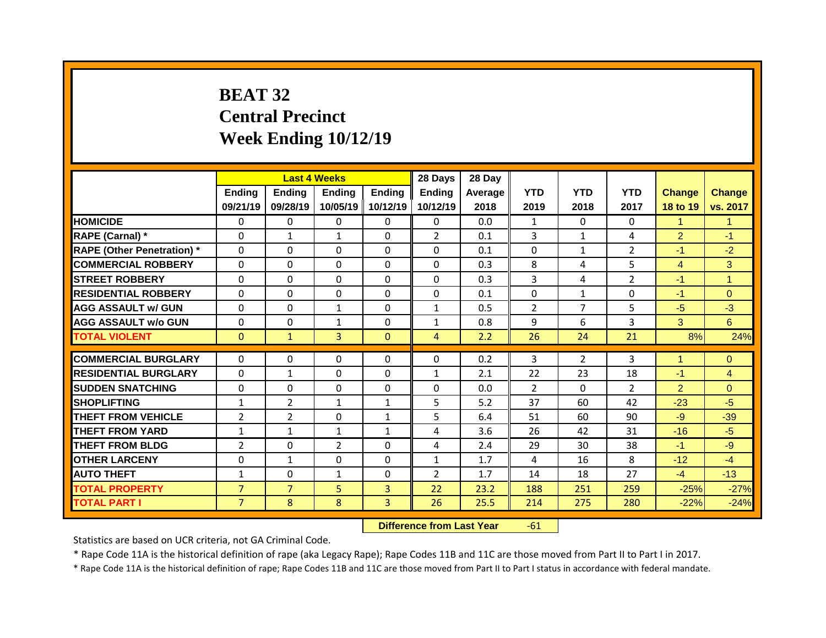## **BEAT 32 Central Precinct Week Ending 10/12/19**

|                                   |                | <b>Last 4 Weeks</b> |                |                | 28 Days                      | 28 Day  |                |                |                |                |                     |
|-----------------------------------|----------------|---------------------|----------------|----------------|------------------------------|---------|----------------|----------------|----------------|----------------|---------------------|
|                                   | Ending         | <b>Ending</b>       | <b>Ending</b>  | <b>Ending</b>  | <b>Ending</b>                | Average | <b>YTD</b>     | <b>YTD</b>     | <b>YTD</b>     | <b>Change</b>  | Change              |
|                                   | 09/21/19       | 09/28/19            | 10/05/19       | 10/12/19       | 10/12/19                     | 2018    | 2019           | 2018           | 2017           | 18 to 19       | vs. 2017            |
| <b>HOMICIDE</b>                   | $\Omega$       | $\mathbf{0}$        | $\Omega$       | $\Omega$       | $\Omega$                     | 0.0     | $\mathbf{1}$   | $\Omega$       | 0              | $\mathbf{1}$   | $\mathbf{1}$        |
| RAPE (Carnal) *                   | $\mathbf{0}$   | $\mathbf{1}$        | $\mathbf{1}$   | $\Omega$       | $\overline{2}$               | 0.1     | 3              | $\mathbf{1}$   | 4              | $\overline{2}$ | $-1$                |
| <b>RAPE (Other Penetration)</b> * | 0              | 0                   | $\Omega$       | $\Omega$       | $\Omega$                     | 0.1     | 0              | $\mathbf{1}$   | $\overline{2}$ | $-1$           | $-2$                |
| <b>COMMERCIAL ROBBERY</b>         | 0              | 0                   | $\Omega$       | $\Omega$       | $\Omega$                     | 0.3     | 8              | 4              | 5              | $\overline{4}$ | 3                   |
| <b>STREET ROBBERY</b>             | $\Omega$       | 0                   | $\Omega$       | $\Omega$       | $\Omega$                     | 0.3     | $\overline{3}$ | 4              | $\overline{2}$ | $-1$           | $\mathbf{1}$        |
| <b>RESIDENTIAL ROBBERY</b>        | 0              | 0                   | $\mathbf 0$    | $\Omega$       | $\Omega$                     | 0.1     | $\mathbf 0$    | $\mathbf{1}$   | 0              | $-1$           | $\overline{0}$      |
| <b>AGG ASSAULT w/ GUN</b>         | 0              | 0                   | $\mathbf{1}$   | $\Omega$       | $\mathbf{1}$                 | 0.5     | $\overline{2}$ | $\overline{7}$ | 5              | $-5$           | $-3$                |
| <b>AGG ASSAULT W/o GUN</b>        | $\mathbf 0$    | 0                   | $\mathbf{1}$   | 0              | $\mathbf{1}$                 | 0.8     | 9              | 6              | 3              | 3              | 6                   |
| <b>TOTAL VIOLENT</b>              | $\mathbf{0}$   | $\mathbf{1}$        | $\overline{3}$ | $\mathbf{0}$   | $\overline{4}$               | 2.2     | 26             | 24             | 21             | 8%             | 24%                 |
| <b>COMMERCIAL BURGLARY</b>        | 0              | 0                   | $\mathbf{0}$   | 0              | 0                            | 0.2     | 3              | $\overline{2}$ | 3              | 1              | $\Omega$            |
| <b>RESIDENTIAL BURGLARY</b>       | $\mathbf{0}$   |                     | $\mathbf{0}$   | $\Omega$       |                              | 2.1     | 22             | 23             | 18             | $-1$           |                     |
| <b>SUDDEN SNATCHING</b>           | 0              | $\mathbf{1}$<br>0   | $\mathbf 0$    | $\Omega$       | $\mathbf{1}$<br>$\mathbf{0}$ | 0.0     | $\overline{2}$ | $\Omega$       | $\overline{2}$ | $\overline{2}$ | 4<br>$\overline{0}$ |
| <b>SHOPLIFTING</b>                | $\mathbf{1}$   | $\overline{2}$      | $\mathbf{1}$   | $\mathbf{1}$   | 5                            | 5.2     | 37             | 60             | 42             | $-23$          | $-5$                |
| <b>THEFT FROM VEHICLE</b>         | $\overline{2}$ | $\overline{2}$      | $\Omega$       | $\mathbf{1}$   | 5                            | 6.4     | 51             | 60             | 90             | $-9$           | $-39$               |
| <b>THEFT FROM YARD</b>            | $\mathbf{1}$   | $\mathbf{1}$        | $\mathbf{1}$   | $\mathbf{1}$   | 4                            | 3.6     | 26             | 42             | 31             | $-16$          | $-5$                |
| <b>THEFT FROM BLDG</b>            | $\overline{2}$ | 0                   | 2              | $\Omega$       | 4                            | 2.4     | 29             | 30             | 38             | $-1$           | $-9$                |
| <b>OTHER LARCENY</b>              | $\mathbf 0$    | $\mathbf{1}$        | $\Omega$       | $\Omega$       | $\mathbf{1}$                 | 1.7     | 4              | 16             | 8              | $-12$          | $-4$                |
| <b>AUTO THEFT</b>                 | $\mathbf{1}$   | 0                   | $\mathbf{1}$   | 0              | $\overline{2}$               | 1.7     | 14             | 18             | 27             | $-4$           | $-13$               |
| <b>TOTAL PROPERTY</b>             | $\overline{7}$ | $\overline{7}$      | 5              | $\overline{3}$ | 22                           | 23.2    | 188            | 251            | 259            | $-25%$         | $-27%$              |
|                                   |                |                     | 8              |                | 26                           |         |                |                |                |                |                     |
| <b>TOTAL PART I</b>               | 7 <sup>1</sup> | 8                   |                | 3 <sup>1</sup> |                              | 25.5    | 214            | 275            | 280            | $-22%$         | $-24%$              |

**Difference from Last Year** -61

Statistics are based on UCR criteria, not GA Criminal Code.

\* Rape Code 11A is the historical definition of rape (aka Legacy Rape); Rape Codes 11B and 11C are those moved from Part II to Part I in 2017.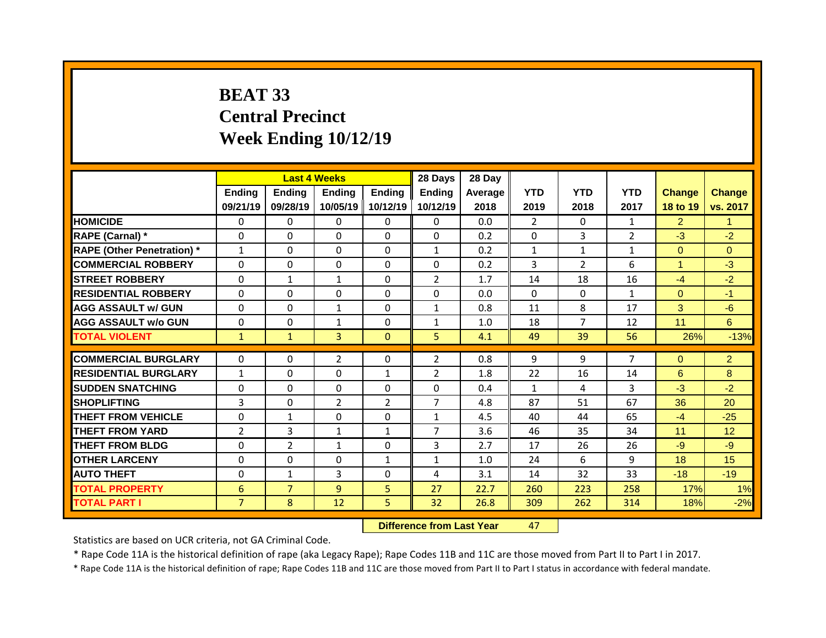# **BEAT 33 Central Precinct Week Ending 10/12/19**

|                                   |                |                | <b>Last 4 Weeks</b> |              | 28 Days        | 28 Day  |                |                |                |                |                 |
|-----------------------------------|----------------|----------------|---------------------|--------------|----------------|---------|----------------|----------------|----------------|----------------|-----------------|
|                                   | Ending         | <b>Ending</b>  | <b>Ending</b>       | Ending       | <b>Ending</b>  | Average | <b>YTD</b>     | <b>YTD</b>     | <b>YTD</b>     | <b>Change</b>  | <b>Change</b>   |
|                                   | 09/21/19       | 09/28/19       | 10/05/19            | 10/12/19     | 10/12/19       | 2018    | 2019           | 2018           | 2017           | 18 to 19       | vs. 2017        |
| <b>HOMICIDE</b>                   | $\Omega$       | $\Omega$       | $\Omega$            | $\Omega$     | $\Omega$       | 0.0     | $\overline{2}$ | $\Omega$       | $\mathbf{1}$   | $\overline{2}$ | 1               |
| RAPE (Carnal) *                   | $\mathbf{0}$   | 0              | $\Omega$            | $\Omega$     | $\Omega$       | 0.2     | 0              | 3              | $\overline{2}$ | $-3$           | $-2$            |
| <b>RAPE (Other Penetration)</b> * | $\mathbf{1}$   | 0              | $\Omega$            | $\Omega$     | $\mathbf{1}$   | 0.2     | $\mathbf{1}$   | $\mathbf{1}$   | $\mathbf{1}$   | $\overline{0}$ | $\Omega$        |
| <b>COMMERCIAL ROBBERY</b>         | $\mathbf 0$    | 0              | 0                   | $\Omega$     | $\Omega$       | 0.2     | 3              | $\overline{2}$ | 6              | $\mathbf{1}$   | $-3$            |
| <b>STREET ROBBERY</b>             | $\Omega$       | $\mathbf{1}$   | $\mathbf{1}$        | $\Omega$     | $\overline{2}$ | 1.7     | 14             | 18             | 16             | $-4$           | $-2$            |
| <b>RESIDENTIAL ROBBERY</b>        | $\mathbf 0$    | 0              | 0                   | $\Omega$     | $\Omega$       | 0.0     | $\Omega$       | $\Omega$       | $\mathbf{1}$   | $\overline{0}$ | $-1$            |
| <b>AGG ASSAULT w/ GUN</b>         | $\Omega$       | 0              | $\mathbf{1}$        | $\Omega$     | $\mathbf{1}$   | 0.8     | 11             | 8              | 17             | 3              | $-6$            |
| <b>AGG ASSAULT W/o GUN</b>        | $\mathbf 0$    | 0              | $\mathbf{1}$        | 0            | $\mathbf{1}$   | 1.0     | 18             | $\overline{7}$ | 12             | 11             | 6               |
| <b>TOTAL VIOLENT</b>              | $\mathbf{1}$   | $\mathbf{1}$   | 3                   | $\mathbf{0}$ | 5              | 4.1     | 49             | 39             | 56             | 26%            | $-13%$          |
|                                   |                |                |                     |              |                |         |                |                |                |                |                 |
|                                   |                |                |                     |              |                |         |                |                |                |                |                 |
| <b>COMMERCIAL BURGLARY</b>        | 0              | $\Omega$       | $\overline{2}$      | $\mathbf{0}$ | $\overline{2}$ | 0.8     | 9              | 9              | $\overline{7}$ | $\overline{0}$ | $\overline{2}$  |
| <b>RESIDENTIAL BURGLARY</b>       | $\mathbf{1}$   | $\Omega$       | $\Omega$            | $\mathbf{1}$ | $\overline{2}$ | 1.8     | 22             | 16             | 14             | 6              | 8               |
| <b>SUDDEN SNATCHING</b>           | $\mathbf{0}$   | 0              | 0                   | 0            | $\Omega$       | 0.4     | $\mathbf{1}$   | 4              | 3              | $-3$           | $-2$            |
| <b>SHOPLIFTING</b>                | $\overline{3}$ | 0              | $\overline{2}$      | 2            | $\overline{7}$ | 4.8     | 87             | 51             | 67             | 36             | 20              |
| <b>THEFT FROM VEHICLE</b>         | $\mathbf{0}$   | $\mathbf{1}$   | 0                   | 0            | $\mathbf{1}$   | 4.5     | 40             | 44             | 65             | $-4$           | $-25$           |
| <b>THEFT FROM YARD</b>            | $\overline{2}$ | 3              | $\mathbf{1}$        | $\mathbf{1}$ | $\overline{7}$ | 3.6     | 46             | 35             | 34             | 11             | 12 <sup>°</sup> |
| <b>THEFT FROM BLDG</b>            | $\mathbf{0}$   | $\overline{2}$ | $\mathbf{1}$        | $\mathbf{0}$ | 3              | 2.7     | 17             | 26             | 26             | $-9$           | $-9$            |
| <b>OTHER LARCENY</b>              | $\Omega$       | 0              | $\Omega$            | $\mathbf{1}$ | $\mathbf{1}$   | 1.0     | 24             | 6              | 9              | 18             | 15              |
| <b>AUTO THEFT</b>                 | $\mathbf{0}$   | $\mathbf{1}$   | 3                   | $\mathbf{0}$ | 4              | 3.1     | 14             | 32             | 33             | $-18$          | $-19$           |
| <b>TOTAL PROPERTY</b>             | 6              | $\overline{7}$ | 9                   | 5            | 27             | 22.7    | 260            | 223            | 258            | 17%            | 1%              |
| <b>TOTAL PART I</b>               | $\overline{7}$ | 8              | 12                  | 5            | 32             | 26.8    | 309            | 262            | 314            | 18%            | $-2%$           |

**Difference from Last Year** 47

Statistics are based on UCR criteria, not GA Criminal Code.

\* Rape Code 11A is the historical definition of rape (aka Legacy Rape); Rape Codes 11B and 11C are those moved from Part II to Part I in 2017.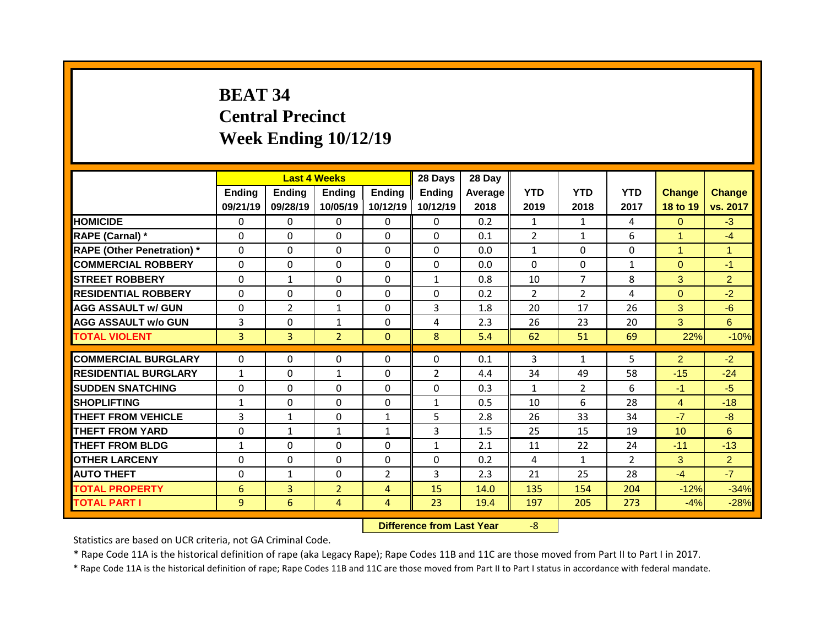# **BEAT 34 Central Precinct Week Ending 10/12/19**

|                                   |                |                | <b>Last 4 Weeks</b> |                | 28 Days        | 28 Day  |                |                |                |                |                |
|-----------------------------------|----------------|----------------|---------------------|----------------|----------------|---------|----------------|----------------|----------------|----------------|----------------|
|                                   | <b>Ending</b>  | <b>Ending</b>  | <b>Ending</b>       | <b>Ending</b>  | <b>Ending</b>  | Average | <b>YTD</b>     | <b>YTD</b>     | <b>YTD</b>     | <b>Change</b>  | <b>Change</b>  |
|                                   | 09/21/19       | 09/28/19       | 10/05/19            | 10/12/19       | 10/12/19       | 2018    | 2019           | 2018           | 2017           | 18 to 19       | vs. 2017       |
| <b>HOMICIDE</b>                   | $\mathbf{0}$   | 0              | $\Omega$            | $\mathbf{0}$   | $\mathbf{0}$   | 0.2     | $\mathbf{1}$   | $\mathbf{1}$   | 4              | $\Omega$       | $-3$           |
| <b>RAPE (Carnal) *</b>            | $\mathbf{0}$   | $\Omega$       | $\Omega$            | $\Omega$       | $\Omega$       | 0.1     | $\overline{2}$ | $\mathbf{1}$   | 6              | $\mathbf{1}$   | $-4$           |
| <b>RAPE (Other Penetration)</b> * | $\mathbf 0$    | 0              | $\Omega$            | $\Omega$       | $\Omega$       | 0.0     | $\mathbf{1}$   | $\Omega$       | $\Omega$       | $\mathbf{1}$   | $\mathbf{1}$   |
| <b>COMMERCIAL ROBBERY</b>         | $\mathbf 0$    | 0              | 0                   | 0              | 0              | 0.0     | 0              | $\mathbf 0$    | $\mathbf{1}$   | $\overline{0}$ | $-1$           |
| <b>STREET ROBBERY</b>             | $\mathbf 0$    | $\mathbf{1}$   | 0                   | 0              | $\mathbf{1}$   | 0.8     | 10             | $\overline{7}$ | 8              | 3              | $\overline{2}$ |
| <b>RESIDENTIAL ROBBERY</b>        | $\mathbf{0}$   | 0              | 0                   | 0              | $\Omega$       | 0.2     | $\overline{2}$ | $\overline{2}$ | 4              | $\overline{0}$ | $-2$           |
| <b>AGG ASSAULT w/ GUN</b>         | 0              | $\overline{2}$ | $\mathbf{1}$        | 0              | 3              | 1.8     | 20             | 17             | 26             | 3              | $-6$           |
| <b>AGG ASSAULT W/o GUN</b>        | 3              | 0              | $\mathbf{1}$        | 0              | 4              | 2.3     | 26             | 23             | 20             | 3              | 6              |
| <b>TOTAL VIOLENT</b>              | 3              | $\overline{3}$ | $\overline{2}$      | $\mathbf{0}$   | 8              | 5.4     | 62             | 51             | 69             | 22%            | $-10%$         |
|                                   |                |                |                     |                |                |         |                |                |                |                |                |
| <b>COMMERCIAL BURGLARY</b>        | $\mathbf{0}$   | $\Omega$       | 0                   | $\Omega$       | $\Omega$       | 0.1     | 3              | $\mathbf{1}$   | 5              | $\overline{2}$ | $-2$           |
| <b>RESIDENTIAL BURGLARY</b>       | $\mathbf{1}$   | $\Omega$       | $\mathbf{1}$        | $\Omega$       | $\overline{2}$ | 4.4     | 34             | 49             | 58             | $-15$          | $-24$          |
| <b>SUDDEN SNATCHING</b>           | 0              | 0              | 0                   | 0              | 0              | 0.3     | $\mathbf{1}$   | $\overline{2}$ | 6              | $-1$           | $-5$           |
| <b>SHOPLIFTING</b>                | $\mathbf{1}$   | 0              | 0                   | 0              | $\mathbf{1}$   | 0.5     | 10             | 6              | 28             | $\overline{4}$ | $-18$          |
| <b>THEFT FROM VEHICLE</b>         | $\overline{3}$ | $\mathbf{1}$   | 0                   | $\mathbf{1}$   | 5              | 2.8     | 26             | 33             | 34             | $-7$           | $-8$           |
| <b>THEFT FROM YARD</b>            | $\mathbf 0$    | $\mathbf{1}$   | $\mathbf{1}$        | $\mathbf{1}$   | 3              | 1.5     | 25             | 15             | 19             | 10             | 6              |
| <b>THEFT FROM BLDG</b>            | $\mathbf{1}$   | $\Omega$       | $\Omega$            | 0              | $\mathbf{1}$   | 2.1     | 11             | 22             | 24             | $-11$          | $-13$          |
| <b>OTHER LARCENY</b>              | 0              | 0              | 0                   | 0              | 0              | 0.2     | 4              | $\mathbf{1}$   | $\overline{2}$ | 3              | $\overline{2}$ |
| <b>AUTO THEFT</b>                 | 0              | $\mathbf{1}$   | 0                   | $\overline{2}$ | 3              | 2.3     | 21             | 25             | 28             | $-4$           | $-7$           |
| <b>TOTAL PROPERTY</b>             | 6              | 3              | $\overline{2}$      | $\overline{4}$ | 15             | 14.0    | 135            | 154            | 204            | $-12%$         | $-34%$         |
| <b>TOTAL PART I</b>               | 9              | 6              | 4                   | $\overline{4}$ | 23             | 19.4    | 197            | 205            | 273            | $-4%$          | $-28%$         |

**Difference from Last Year** -8

Statistics are based on UCR criteria, not GA Criminal Code.

\* Rape Code 11A is the historical definition of rape (aka Legacy Rape); Rape Codes 11B and 11C are those moved from Part II to Part I in 2017.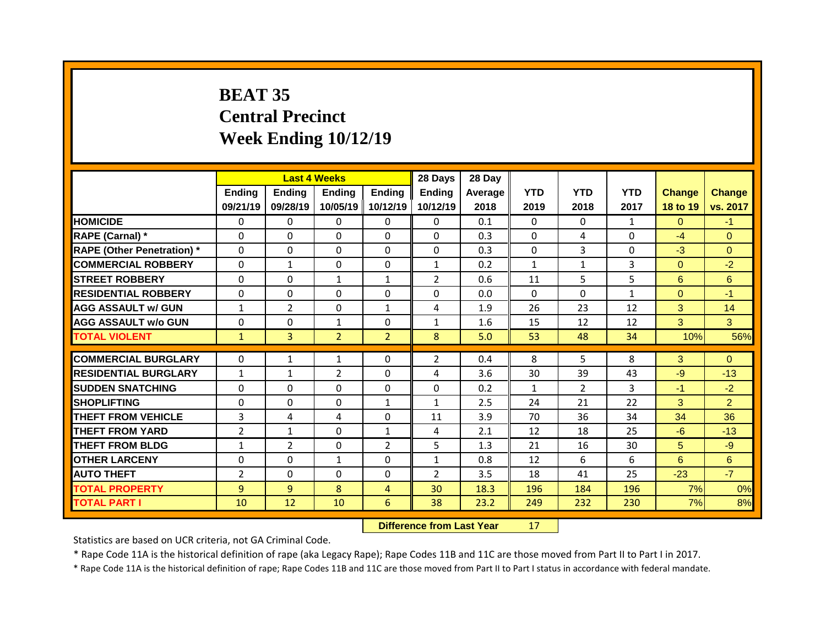## **BEAT 35 Central Precinct Week Ending 10/12/19**

|                                              |                              |                      | <b>Last 4 Weeks</b> |                     | 28 Days        | 28 Day       |              |                |              |                |                  |
|----------------------------------------------|------------------------------|----------------------|---------------------|---------------------|----------------|--------------|--------------|----------------|--------------|----------------|------------------|
|                                              | Ending                       | <b>Ending</b>        | <b>Ending</b>       | <b>Ending</b>       | <b>Ending</b>  | Average      | <b>YTD</b>   | <b>YTD</b>     | <b>YTD</b>   | <b>Change</b>  | <b>Change</b>    |
|                                              | 09/21/19                     | 09/28/19             | 10/05/19            | 10/12/19            | 10/12/19       | 2018         | 2019         | 2018           | 2017         | 18 to 19       | vs. 2017         |
| <b>HOMICIDE</b>                              | $\mathbf{0}$                 | 0                    | $\Omega$            | $\Omega$            | $\Omega$       | 0.1          | $\Omega$     | $\Omega$       | $\mathbf{1}$ | $\Omega$       | $-1$             |
| RAPE (Carnal) *                              | $\mathbf{0}$                 | $\Omega$             | $\Omega$            | $\Omega$            | $\Omega$       | 0.3          | $\Omega$     | 4              | $\Omega$     | $-4$           | $\Omega$         |
| <b>RAPE (Other Penetration)</b> *            | 0                            | 0                    | 0                   | $\Omega$            | $\Omega$       | 0.3          | 0            | 3              | $\Omega$     | $-3$           | $\overline{0}$   |
| <b>COMMERCIAL ROBBERY</b>                    | $\mathbf 0$                  | $\mathbf{1}$         | 0                   | 0                   | $\mathbf{1}$   | 0.2          | $\mathbf{1}$ | $\mathbf{1}$   | 3            | $\overline{0}$ | $-2$             |
| <b>STREET ROBBERY</b>                        | $\Omega$                     | 0                    | $\mathbf{1}$        | $\mathbf{1}$        | $\overline{2}$ | 0.6          | 11           | 5              | 5            | 6              | 6 <sup>1</sup>   |
| <b>RESIDENTIAL ROBBERY</b>                   | 0                            | 0                    | 0                   | 0                   | $\Omega$       | 0.0          | $\Omega$     | $\Omega$       | $\mathbf{1}$ | $\overline{0}$ | $-1$             |
| <b>AGG ASSAULT w/ GUN</b>                    | $\mathbf{1}$                 | $\overline{2}$       | 0                   | $\mathbf{1}$        | 4              | 1.9          | 26           | 23             | 12           | 3              | 14               |
| <b>AGG ASSAULT W/o GUN</b>                   | $\mathbf 0$                  | 0                    | $\mathbf{1}$        | 0                   | $\mathbf{1}$   | 1.6          | 15           | 12             | 12           | 3              | $\overline{3}$   |
| <b>TOTAL VIOLENT</b>                         | $\mathbf{1}$                 | $\overline{3}$       | $\overline{2}$      | 2 <sup>1</sup>      | 8              | 5.0          | 53           | 48             | 34           | 10%            | 56%              |
| <b>COMMERCIAL BURGLARY</b>                   | 0                            | $\mathbf{1}$         | $\mathbf{1}$        | $\mathbf{0}$        | $\overline{2}$ | 0.4          | 8            | 5              | 8            | 3              | $\Omega$         |
| <b>RESIDENTIAL BURGLARY</b>                  |                              |                      | $\overline{2}$      | $\Omega$            | 4              | 3.6          | 30           | 39             | 43           | $-9$           | $-13$            |
| <b>SUDDEN SNATCHING</b>                      | $\mathbf{1}$<br>$\mathbf{0}$ | $\mathbf{1}$<br>0    | 0                   | 0                   | 0              | 0.2          | $\mathbf{1}$ | $\overline{2}$ | 3            | $-1$           | $-2$             |
| <b>SHOPLIFTING</b>                           | $\Omega$                     | $\Omega$             | $\Omega$            | $\mathbf{1}$        | $\mathbf{1}$   | 2.5          | 24           | 21             | 22           | 3              | $\overline{2}$   |
| <b>THEFT FROM VEHICLE</b>                    | 3                            | 4                    | 4                   | $\Omega$            | 11             | 3.9          | 70           | 36             | 34           | 34             | 36               |
|                                              |                              |                      |                     |                     |                |              |              |                |              |                |                  |
|                                              |                              |                      |                     |                     |                |              |              |                |              |                |                  |
| <b>THEFT FROM YARD</b>                       | $\overline{2}$               | $\mathbf{1}$         | $\Omega$            | $\mathbf{1}$        | 4              | 2.1          | 12           | 18             | 25           | $-6$           | $-13$            |
| <b>THEFT FROM BLDG</b>                       | $\mathbf{1}$                 | $\overline{2}$       | 0                   | $\overline{2}$      | 5              | 1.3          | 21           | 16             | 30           | 5 <sup>5</sup> | $-9$             |
| <b>OTHER LARCENY</b>                         | $\mathbf 0$                  | 0                    | $\mathbf{1}$        | $\Omega$            | $\mathbf{1}$   | 0.8          | 12           | 6              | 6            | 6 <sup>1</sup> | $6 \overline{6}$ |
| <b>AUTO THEFT</b>                            | $\overline{2}$               | 0                    | 0                   | 0                   | $\overline{2}$ | 3.5          | 18           | 41             | 25           | $-23$          | $-7$             |
| <b>TOTAL PROPERTY</b><br><b>TOTAL PART I</b> | 9<br>10                      | 9 <sup>°</sup><br>12 | 8<br>10             | $\overline{4}$<br>6 | 30<br>38       | 18.3<br>23.2 | 196<br>249   | 184<br>232     | 196<br>230   | 7%<br>7%       | 0%<br>8%         |

**Difference from Last Year** 17

Statistics are based on UCR criteria, not GA Criminal Code.

\* Rape Code 11A is the historical definition of rape (aka Legacy Rape); Rape Codes 11B and 11C are those moved from Part II to Part I in 2017.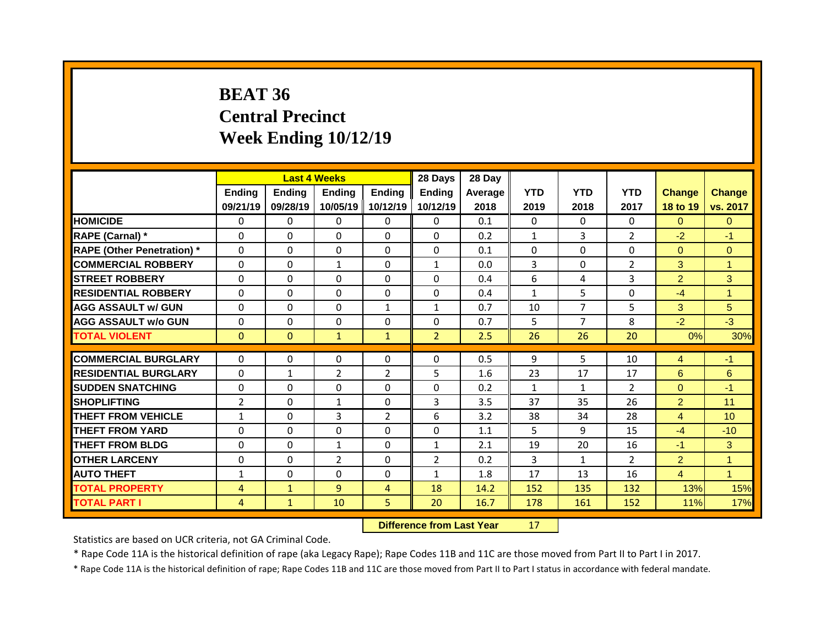# **BEAT 36 Central Precinct Week Ending 10/12/19**

|                                   |                |              | <b>Last 4 Weeks</b> |                | 28 Days        | 28 Day  |              |                |                |                |                      |
|-----------------------------------|----------------|--------------|---------------------|----------------|----------------|---------|--------------|----------------|----------------|----------------|----------------------|
|                                   | <b>Ending</b>  | Ending       | Ending              | <b>Ending</b>  | Ending         | Average | <b>YTD</b>   | <b>YTD</b>     | <b>YTD</b>     | <b>Change</b>  | <b>Change</b>        |
|                                   | 09/21/19       | 09/28/19     | 10/05/19            | 10/12/19       | 10/12/19       | 2018    | 2019         | 2018           | 2017           | 18 to 19       | vs. 2017             |
| <b>HOMICIDE</b>                   | 0              | 0            | 0                   | $\mathbf{0}$   | 0              | 0.1     | $\mathbf{0}$ | $\Omega$       | $\Omega$       | $\Omega$       | $\Omega$             |
| <b>RAPE (Carnal) *</b>            | $\mathbf{0}$   | $\Omega$     | 0                   | 0              | 0              | 0.2     | $\mathbf{1}$ | 3              | $\overline{2}$ | $-2$           | $-1$                 |
| <b>RAPE (Other Penetration)</b> * | 0              | 0            | 0                   | $\Omega$       | 0              | 0.1     | $\mathbf{0}$ | $\Omega$       | $\Omega$       | $\overline{0}$ | $\overline{0}$       |
| <b>COMMERCIAL ROBBERY</b>         | $\mathbf{0}$   | $\Omega$     | $\mathbf{1}$        | 0              | $\mathbf{1}$   | 0.0     | 3            | $\Omega$       | $\overline{2}$ | 3              | $\mathbf{1}$         |
| <b>STREET ROBBERY</b>             | $\Omega$       | 0            | $\Omega$            | $\Omega$       | $\Omega$       | 0.4     | 6            | 4              | 3              | $\overline{2}$ | 3                    |
| <b>RESIDENTIAL ROBBERY</b>        | $\mathbf{0}$   | $\Omega$     | 0                   | 0              | 0              | 0.4     | $\mathbf{1}$ | 5              | $\Omega$       | $-4$           | $\mathbf{1}$         |
| <b>AGG ASSAULT w/ GUN</b>         | $\mathbf{0}$   | 0            | 0                   | $\mathbf{1}$   | $\mathbf{1}$   | 0.7     | 10           | $\overline{7}$ | 5              | 3              | 5                    |
| <b>AGG ASSAULT W/o GUN</b>        | $\mathbf{0}$   | $\Omega$     | 0                   | $\Omega$       | 0              | 0.7     | 5            | $\overline{7}$ | 8              | $-2$           | $-3$                 |
| <b>TOTAL VIOLENT</b>              | $\mathbf{0}$   | $\mathbf{0}$ | $\mathbf{1}$        | $\mathbf{1}$   | 2 <sup>1</sup> | 2.5     | 26           | 26             | 20             | 0%             | 30%                  |
|                                   |                |              |                     |                |                |         |              |                |                |                |                      |
| <b>COMMERCIAL BURGLARY</b>        | 0              | 0            | 0                   | 0              | $\mathbf{0}$   | 0.5     | 9            | 5              | 10             | 4              | $-1$                 |
| <b>RESIDENTIAL BURGLARY</b>       | 0              | $\mathbf{1}$ | $\overline{2}$      | $\overline{2}$ | 5              | 1.6     | 23           | 17             | 17             | $6\phantom{1}$ | 6                    |
| <b>SUDDEN SNATCHING</b>           | 0              | 0            | 0                   | $\Omega$       | 0              | 0.2     | $\mathbf{1}$ | $\mathbf{1}$   | $\overline{2}$ | $\overline{0}$ | $-1$                 |
| <b>SHOPLIFTING</b>                | $\overline{2}$ | 0            | $\mathbf{1}$        | 0              | 3              | 3.5     | 37           | 35             | 26             | $\overline{2}$ | 11                   |
| <b>THEFT FROM VEHICLE</b>         | $\mathbf{1}$   | $\Omega$     | 3                   | $\overline{2}$ | 6              | 3.2     | 38           | 34             | 28             | 4              | 10 <sup>°</sup>      |
| <b>THEFT FROM YARD</b>            | $\mathbf{0}$   | 0            | 0                   | 0              | 0              | 1.1     | 5            | 9              | 15             | $-4$           | $-10$                |
| <b>THEFT FROM BLDG</b>            | $\mathbf{0}$   | 0            | $\mathbf{1}$        | 0              | $\mathbf{1}$   | 2.1     | 19           | 20             | 16             | $-1$           | 3                    |
| <b>OTHER LARCENY</b>              | $\mathbf{0}$   | 0            | $\overline{2}$      | $\Omega$       | $\overline{2}$ | 0.2     | 3            | $\mathbf{1}$   | $\overline{2}$ | $\overline{2}$ | $\mathbf{1}$         |
| <b>AUTO THEFT</b>                 | $\mathbf{1}$   | $\Omega$     | 0                   | $\Omega$       | $\mathbf{1}$   | 1.8     | 17           | 13             | 16             | $\overline{4}$ | $\blacktriangleleft$ |
| <b>TOTAL PROPERTY</b>             | 4              | $\mathbf{1}$ | 9                   | $\overline{4}$ | 18             | 14.2    | 152          | 135            | 132            | 13%            | 15%                  |
| <b>TOTAL PART I</b>               | $\overline{4}$ | $\mathbf{1}$ | 10                  | 5              | 20             | 16.7    | 178          | 161            | 152            | 11%            | 17%                  |
|                                   |                |              |                     |                |                |         |              |                |                |                |                      |

**Difference from Last Year** 17 |

Statistics are based on UCR criteria, not GA Criminal Code.

\* Rape Code 11A is the historical definition of rape (aka Legacy Rape); Rape Codes 11B and 11C are those moved from Part II to Part I in 2017.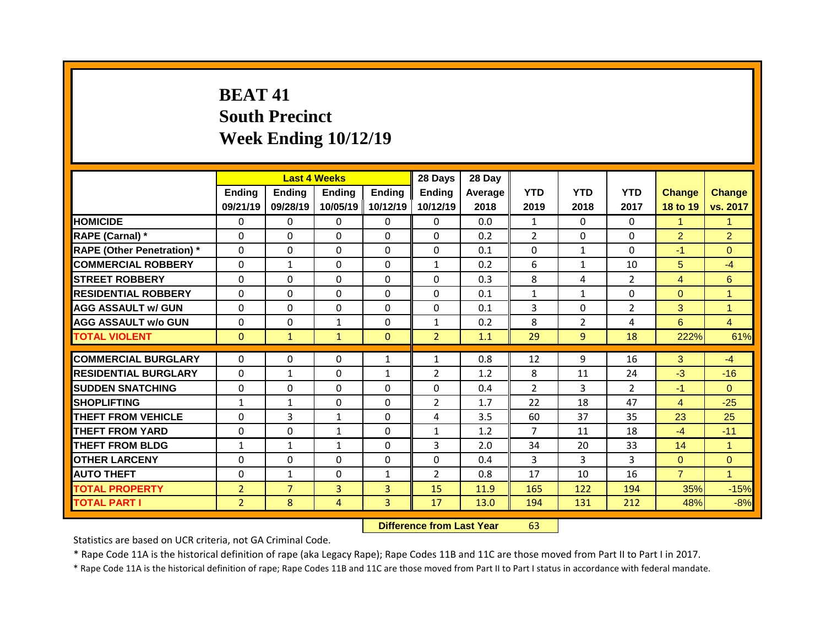## **BEAT 41 South Precinct Week Ending 10/12/19**

|                                   |                | <b>Last 4 Weeks</b> |                |                | 28 Days        | 28 Day  |                |                |                |                |                |
|-----------------------------------|----------------|---------------------|----------------|----------------|----------------|---------|----------------|----------------|----------------|----------------|----------------|
|                                   | Ending         | <b>Ending</b>       | <b>Ending</b>  | <b>Ending</b>  | Ending         | Average | <b>YTD</b>     | <b>YTD</b>     | <b>YTD</b>     | <b>Change</b>  | Change         |
|                                   | 09/21/19       | 09/28/19            | 10/05/19       | 10/12/19       | 10/12/19       | 2018    | 2019           | 2018           | 2017           | 18 to 19       | vs. 2017       |
| <b>HOMICIDE</b>                   | $\Omega$       | $\Omega$            | $\Omega$       | $\Omega$       | $\Omega$       | 0.0     | $\mathbf{1}$   | $\Omega$       | 0              | $\mathbf{1}$   | 1              |
| RAPE (Carnal) *                   | 0              | 0                   | $\Omega$       | $\Omega$       | $\Omega$       | 0.2     | $\overline{2}$ | $\Omega$       | 0              | $\overline{2}$ | $\overline{2}$ |
| <b>RAPE (Other Penetration)</b> * | 0              | 0                   | $\Omega$       | $\Omega$       | $\Omega$       | 0.1     | $\mathbf{0}$   | $\mathbf{1}$   | 0              | $-1$           | $\Omega$       |
| <b>COMMERCIAL ROBBERY</b>         | $\mathbf 0$    | $\mathbf{1}$        | $\mathbf 0$    | $\Omega$       | $\mathbf{1}$   | 0.2     | 6              | $\mathbf{1}$   | 10             | 5 <sup>5</sup> | $-4$           |
| <b>STREET ROBBERY</b>             | 0              | 0                   | $\Omega$       | $\Omega$       | $\Omega$       | 0.3     | 8              | 4              | $\overline{2}$ | $\overline{4}$ | $6\phantom{1}$ |
| <b>RESIDENTIAL ROBBERY</b>        | $\Omega$       | $\Omega$            | $\Omega$       | $\Omega$       | $\Omega$       | 0.1     | $\mathbf{1}$   | $\mathbf{1}$   | $\Omega$       | $\Omega$       | 1              |
| <b>AGG ASSAULT w/ GUN</b>         | 0              | 0                   | $\Omega$       | $\Omega$       | $\Omega$       | 0.1     | 3              | $\Omega$       | $\overline{2}$ | 3              | $\mathbf{1}$   |
| <b>AGG ASSAULT w/o GUN</b>        | $\mathbf 0$    | 0                   | $\mathbf{1}$   | $\Omega$       | $\mathbf{1}$   | 0.2     | 8              | $\overline{2}$ | 4              | $6^{\circ}$    | $\overline{4}$ |
| <b>TOTAL VIOLENT</b>              | $\mathbf{0}$   | $\mathbf{1}$        | $\mathbf{1}$   | $\mathbf{0}$   | 2 <sup>1</sup> | 1.1     | 29             | 9              | 18             | 222%           | 61%            |
|                                   |                |                     |                |                |                |         |                |                |                |                | $-4$           |
| <b>COMMERCIAL BURGLARY</b>        | 0              | $\Omega$            | $\mathbf{0}$   | $\mathbf{1}$   | $\mathbf{1}$   | 0.8     | 12             | 9              | 16             | 3              |                |
| <b>RESIDENTIAL BURGLARY</b>       | $\Omega$       | $\mathbf{1}$        | $\Omega$       | $\mathbf{1}$   | $\overline{2}$ | 1.2     | 8              | 11             | 24             | $-3$           | $-16$          |
| <b>SUDDEN SNATCHING</b>           | $\mathbf{0}$   | $\Omega$            | $\mathbf{0}$   | $\Omega$       | 0              | 0.4     | 2              | 3              | $\overline{2}$ | $-1$           | $\Omega$       |
| <b>SHOPLIFTING</b>                | $\mathbf{1}$   | $\mathbf{1}$        | $\Omega$       | $\Omega$       | $\overline{2}$ | 1.7     | 22             | 18             | 47             | $\overline{4}$ | $-25$          |
| <b>THEFT FROM VEHICLE</b>         | 0              | 3                   | $\mathbf{1}$   | $\Omega$       | 4              | 3.5     | 60             | 37             | 35             | 23             | 25             |
| <b>THEFT FROM YARD</b>            | $\mathbf{0}$   | 0                   | $\mathbf{1}$   | $\Omega$       | $\mathbf{1}$   | 1.2     | $\overline{7}$ | 11             | 18             | $-4$           | $-11$          |
| <b>THEFT FROM BLDG</b>            | $\mathbf{1}$   | $\mathbf{1}$        | $\mathbf{1}$   | $\Omega$       | 3              | 2.0     | 34             | 20             | 33             | 14             | 1              |
| <b>OTHER LARCENY</b>              | 0              | 0                   | $\Omega$       | $\Omega$       | $\Omega$       | 0.4     | 3              | 3              | 3              | $\Omega$       | $\Omega$       |
| <b>AUTO THEFT</b>                 | 0              | $\mathbf{1}$        | $\mathbf 0$    | $\mathbf{1}$   | $\overline{2}$ | 0.8     | 17             | 10             | 16             | $\overline{7}$ | $\mathbf{1}$   |
| <b>TOTAL PROPERTY</b>             | $\overline{2}$ | $\overline{7}$      | 3              | $\overline{3}$ | 15             | 11.9    | 165            | 122            | 194            | 35%            | $-15%$         |
| <b>TOTAL PART I</b>               | $\overline{2}$ | 8                   | $\overline{4}$ | $\overline{3}$ | 17             | 13.0    | 194            | 131            | 212            | 48%            | $-8%$          |
|                                   |                |                     |                |                |                |         |                |                |                |                |                |

**Difference from Last Year** 63

Statistics are based on UCR criteria, not GA Criminal Code.

\* Rape Code 11A is the historical definition of rape (aka Legacy Rape); Rape Codes 11B and 11C are those moved from Part II to Part I in 2017.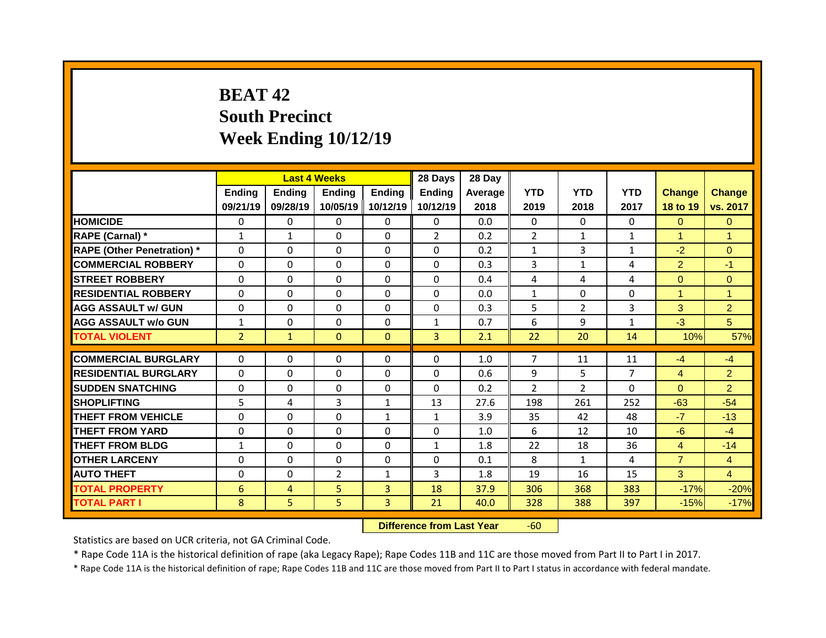## **BEAT 42 South Precinct Week Ending 10/12/19**

| <b>YTD</b><br><b>YTD</b><br>Ending<br>Ending<br>Ending<br><b>YTD</b><br><b>Ending</b><br><b>Ending</b><br><b>Change</b><br>Average<br>09/21/19<br>09/28/19<br>10/05/19<br>10/12/19<br>10/12/19<br>2018<br>2017<br>2019<br>2018<br>18 to 19<br><b>HOMICIDE</b><br>$\Omega$<br>0.0<br>0<br>$\mathbf{0}$<br>$\Omega$<br>$\Omega$<br>$\Omega$<br>$\Omega$<br>$\Omega$<br>$\Omega$<br>RAPE (Carnal) *<br>$\overline{2}$<br>0.2<br>$\overline{2}$<br>$\mathbf{1}$<br>$\Omega$<br>$\Omega$<br>$\mathbf{1}$<br>$\mathbf{1}$<br>$\mathbf{1}$<br>$\mathbf{1}$<br><b>RAPE (Other Penetration)</b> *<br>0<br>$\Omega$<br>$\Omega$<br>3<br>$\Omega$<br>$\Omega$<br>0.2<br>$\mathbf{1}$<br>$-2$<br>$\mathbf{1}$<br><b>COMMERCIAL ROBBERY</b><br>0<br>$\Omega$<br>$\Omega$<br>$\Omega$<br>0.3<br>3<br>$\overline{2}$<br>$\Omega$<br>$\mathbf{1}$<br>4<br>0<br>0<br>$\Omega$<br>$\Omega$<br><b>STREET ROBBERY</b><br>$\Omega$<br>0.4<br>4<br>4<br>$\overline{0}$<br>4<br><b>RESIDENTIAL ROBBERY</b><br>$\Omega$<br>$\Omega$<br>$\Omega$<br>0.0<br>$\Omega$<br>$\Omega$<br>$\Omega$<br>$\Omega$<br>$\mathbf{1}$<br>$\mathbf{1}$<br>0<br>$\mathbf 0$<br>5<br>$\overline{2}$<br>3<br>3<br><b>AGG ASSAULT w/ GUN</b><br>$\Omega$<br>$\Omega$<br>0<br>0.3<br>0<br>$\Omega$<br>$\mathbf{1}$<br>0.7<br>6<br>9<br>$\mathbf{1}$<br>$-3$<br><b>AGG ASSAULT W/o GUN</b><br>$\mathbf{1}$<br>$\Omega$<br>$\overline{2}$<br>$\overline{3}$<br><b>TOTAL VIOLENT</b><br>$\mathbf{0}$<br>$\Omega$<br>2.1<br>22<br>20<br>10%<br>$\mathbf{1}$<br>14<br>$\overline{7}$<br>0<br><b>COMMERCIAL BURGLARY</b><br>$\Omega$<br>$\Omega$<br>$\Omega$<br>$\Omega$<br>1.0<br>11<br>11<br>$-4$<br>$-4$<br>$\overline{7}$<br><b>RESIDENTIAL BURGLARY</b><br>0<br>0<br>$\mathbf 0$<br>$\Omega$<br>9<br>5<br>$\Omega$<br>0.6<br>$\overline{4}$<br>$\overline{\phantom{a}}$<br>$\overline{2}$<br>$\overline{2}$<br><b>SUDDEN SNATCHING</b><br>$\mathbf{0}$<br>$\Omega$<br>$\Omega$<br>$\Omega$<br>$\Omega$<br>0.2<br>$\Omega$<br>$\Omega$<br>5<br>3<br>13<br>27.6<br>261<br>$-63$<br><b>SHOPLIFTING</b><br>4<br>$\mathbf{1}$<br>198<br>252 |  | <b>Last 4 Weeks</b> |  | 28 Days | 28 Day |  |  |                |
|------------------------------------------------------------------------------------------------------------------------------------------------------------------------------------------------------------------------------------------------------------------------------------------------------------------------------------------------------------------------------------------------------------------------------------------------------------------------------------------------------------------------------------------------------------------------------------------------------------------------------------------------------------------------------------------------------------------------------------------------------------------------------------------------------------------------------------------------------------------------------------------------------------------------------------------------------------------------------------------------------------------------------------------------------------------------------------------------------------------------------------------------------------------------------------------------------------------------------------------------------------------------------------------------------------------------------------------------------------------------------------------------------------------------------------------------------------------------------------------------------------------------------------------------------------------------------------------------------------------------------------------------------------------------------------------------------------------------------------------------------------------------------------------------------------------------------------------------------------------------------------------------------------------------------------------------------------------------------------------------------------------------------------------------------------------------------------------|--|---------------------|--|---------|--------|--|--|----------------|
|                                                                                                                                                                                                                                                                                                                                                                                                                                                                                                                                                                                                                                                                                                                                                                                                                                                                                                                                                                                                                                                                                                                                                                                                                                                                                                                                                                                                                                                                                                                                                                                                                                                                                                                                                                                                                                                                                                                                                                                                                                                                                          |  |                     |  |         |        |  |  | <b>Change</b>  |
|                                                                                                                                                                                                                                                                                                                                                                                                                                                                                                                                                                                                                                                                                                                                                                                                                                                                                                                                                                                                                                                                                                                                                                                                                                                                                                                                                                                                                                                                                                                                                                                                                                                                                                                                                                                                                                                                                                                                                                                                                                                                                          |  |                     |  |         |        |  |  | vs. 2017       |
|                                                                                                                                                                                                                                                                                                                                                                                                                                                                                                                                                                                                                                                                                                                                                                                                                                                                                                                                                                                                                                                                                                                                                                                                                                                                                                                                                                                                                                                                                                                                                                                                                                                                                                                                                                                                                                                                                                                                                                                                                                                                                          |  |                     |  |         |        |  |  | $\mathbf{0}$   |
|                                                                                                                                                                                                                                                                                                                                                                                                                                                                                                                                                                                                                                                                                                                                                                                                                                                                                                                                                                                                                                                                                                                                                                                                                                                                                                                                                                                                                                                                                                                                                                                                                                                                                                                                                                                                                                                                                                                                                                                                                                                                                          |  |                     |  |         |        |  |  | 1              |
|                                                                                                                                                                                                                                                                                                                                                                                                                                                                                                                                                                                                                                                                                                                                                                                                                                                                                                                                                                                                                                                                                                                                                                                                                                                                                                                                                                                                                                                                                                                                                                                                                                                                                                                                                                                                                                                                                                                                                                                                                                                                                          |  |                     |  |         |        |  |  | $\Omega$       |
|                                                                                                                                                                                                                                                                                                                                                                                                                                                                                                                                                                                                                                                                                                                                                                                                                                                                                                                                                                                                                                                                                                                                                                                                                                                                                                                                                                                                                                                                                                                                                                                                                                                                                                                                                                                                                                                                                                                                                                                                                                                                                          |  |                     |  |         |        |  |  | $-1$           |
|                                                                                                                                                                                                                                                                                                                                                                                                                                                                                                                                                                                                                                                                                                                                                                                                                                                                                                                                                                                                                                                                                                                                                                                                                                                                                                                                                                                                                                                                                                                                                                                                                                                                                                                                                                                                                                                                                                                                                                                                                                                                                          |  |                     |  |         |        |  |  | $\Omega$       |
|                                                                                                                                                                                                                                                                                                                                                                                                                                                                                                                                                                                                                                                                                                                                                                                                                                                                                                                                                                                                                                                                                                                                                                                                                                                                                                                                                                                                                                                                                                                                                                                                                                                                                                                                                                                                                                                                                                                                                                                                                                                                                          |  |                     |  |         |        |  |  | 1              |
|                                                                                                                                                                                                                                                                                                                                                                                                                                                                                                                                                                                                                                                                                                                                                                                                                                                                                                                                                                                                                                                                                                                                                                                                                                                                                                                                                                                                                                                                                                                                                                                                                                                                                                                                                                                                                                                                                                                                                                                                                                                                                          |  |                     |  |         |        |  |  | $\overline{2}$ |
|                                                                                                                                                                                                                                                                                                                                                                                                                                                                                                                                                                                                                                                                                                                                                                                                                                                                                                                                                                                                                                                                                                                                                                                                                                                                                                                                                                                                                                                                                                                                                                                                                                                                                                                                                                                                                                                                                                                                                                                                                                                                                          |  |                     |  |         |        |  |  | 5              |
|                                                                                                                                                                                                                                                                                                                                                                                                                                                                                                                                                                                                                                                                                                                                                                                                                                                                                                                                                                                                                                                                                                                                                                                                                                                                                                                                                                                                                                                                                                                                                                                                                                                                                                                                                                                                                                                                                                                                                                                                                                                                                          |  |                     |  |         |        |  |  | 57%            |
|                                                                                                                                                                                                                                                                                                                                                                                                                                                                                                                                                                                                                                                                                                                                                                                                                                                                                                                                                                                                                                                                                                                                                                                                                                                                                                                                                                                                                                                                                                                                                                                                                                                                                                                                                                                                                                                                                                                                                                                                                                                                                          |  |                     |  |         |        |  |  |                |
|                                                                                                                                                                                                                                                                                                                                                                                                                                                                                                                                                                                                                                                                                                                                                                                                                                                                                                                                                                                                                                                                                                                                                                                                                                                                                                                                                                                                                                                                                                                                                                                                                                                                                                                                                                                                                                                                                                                                                                                                                                                                                          |  |                     |  |         |        |  |  |                |
|                                                                                                                                                                                                                                                                                                                                                                                                                                                                                                                                                                                                                                                                                                                                                                                                                                                                                                                                                                                                                                                                                                                                                                                                                                                                                                                                                                                                                                                                                                                                                                                                                                                                                                                                                                                                                                                                                                                                                                                                                                                                                          |  |                     |  |         |        |  |  | $\overline{2}$ |
|                                                                                                                                                                                                                                                                                                                                                                                                                                                                                                                                                                                                                                                                                                                                                                                                                                                                                                                                                                                                                                                                                                                                                                                                                                                                                                                                                                                                                                                                                                                                                                                                                                                                                                                                                                                                                                                                                                                                                                                                                                                                                          |  |                     |  |         |        |  |  |                |
|                                                                                                                                                                                                                                                                                                                                                                                                                                                                                                                                                                                                                                                                                                                                                                                                                                                                                                                                                                                                                                                                                                                                                                                                                                                                                                                                                                                                                                                                                                                                                                                                                                                                                                                                                                                                                                                                                                                                                                                                                                                                                          |  |                     |  |         |        |  |  |                |
| <b>THEFT FROM VEHICLE</b><br>$\Omega$<br>$\Omega$<br>$\Omega$<br>$\mathbf{1}$<br>3.9<br>35<br>42<br>48<br>$-7$<br>$\mathbf{1}$                                                                                                                                                                                                                                                                                                                                                                                                                                                                                                                                                                                                                                                                                                                                                                                                                                                                                                                                                                                                                                                                                                                                                                                                                                                                                                                                                                                                                                                                                                                                                                                                                                                                                                                                                                                                                                                                                                                                                           |  |                     |  |         |        |  |  | $-54$          |
| <b>THEFT FROM YARD</b><br>0<br>$\Omega$<br>$\Omega$<br>$\Omega$<br>$\Omega$<br>12<br>1.0<br>6<br>10<br>$-6$                                                                                                                                                                                                                                                                                                                                                                                                                                                                                                                                                                                                                                                                                                                                                                                                                                                                                                                                                                                                                                                                                                                                                                                                                                                                                                                                                                                                                                                                                                                                                                                                                                                                                                                                                                                                                                                                                                                                                                              |  |                     |  |         |        |  |  | $-13$          |
| <b>THEFT FROM BLDG</b><br>$\Omega$<br>$\Omega$<br>$\Omega$<br>1.8<br>22<br>18<br>36<br>4<br>$\mathbf{1}$<br>$\mathbf{1}$                                                                                                                                                                                                                                                                                                                                                                                                                                                                                                                                                                                                                                                                                                                                                                                                                                                                                                                                                                                                                                                                                                                                                                                                                                                                                                                                                                                                                                                                                                                                                                                                                                                                                                                                                                                                                                                                                                                                                                 |  |                     |  |         |        |  |  | $-4$           |
| $\overline{7}$<br><b>OTHER LARCENY</b><br>0<br>$\Omega$<br>$\Omega$<br>8<br>$\Omega$<br>$\Omega$<br>0.1<br>4<br>$\mathbf{1}$                                                                                                                                                                                                                                                                                                                                                                                                                                                                                                                                                                                                                                                                                                                                                                                                                                                                                                                                                                                                                                                                                                                                                                                                                                                                                                                                                                                                                                                                                                                                                                                                                                                                                                                                                                                                                                                                                                                                                             |  |                     |  |         |        |  |  | $-14$          |
| $\overline{2}$<br>3<br>3<br><b>AUTO THEFT</b><br>0<br>0<br>1.8<br>19<br>$\mathbf{1}$<br>16<br>15                                                                                                                                                                                                                                                                                                                                                                                                                                                                                                                                                                                                                                                                                                                                                                                                                                                                                                                                                                                                                                                                                                                                                                                                                                                                                                                                                                                                                                                                                                                                                                                                                                                                                                                                                                                                                                                                                                                                                                                         |  |                     |  |         |        |  |  | $\overline{4}$ |
| 5<br>6<br>$\overline{3}$<br>18<br>37.9<br><b>TOTAL PROPERTY</b><br>306<br>368<br>383<br>$-17%$<br>$\overline{4}$                                                                                                                                                                                                                                                                                                                                                                                                                                                                                                                                                                                                                                                                                                                                                                                                                                                                                                                                                                                                                                                                                                                                                                                                                                                                                                                                                                                                                                                                                                                                                                                                                                                                                                                                                                                                                                                                                                                                                                         |  |                     |  |         |        |  |  | $\overline{4}$ |
| 5<br>5<br>8<br>$\overline{3}$<br>21<br>$-17%$<br><b>TOTAL PART I</b><br>40.0<br>388<br>397<br>$-15%$<br>328                                                                                                                                                                                                                                                                                                                                                                                                                                                                                                                                                                                                                                                                                                                                                                                                                                                                                                                                                                                                                                                                                                                                                                                                                                                                                                                                                                                                                                                                                                                                                                                                                                                                                                                                                                                                                                                                                                                                                                              |  |                     |  |         |        |  |  | $-20%$         |

**Difference from Last Year** -60

Statistics are based on UCR criteria, not GA Criminal Code.

\* Rape Code 11A is the historical definition of rape (aka Legacy Rape); Rape Codes 11B and 11C are those moved from Part II to Part I in 2017.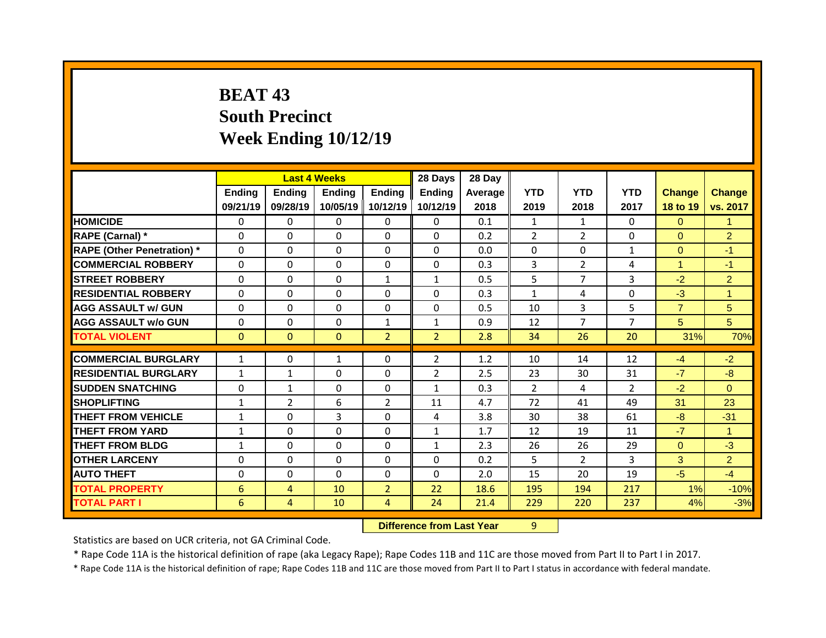## **BEAT 43 South Precinct Week Ending 10/12/19**

|                                   |               |                | <b>Last 4 Weeks</b> |                | 28 Days        | 28 Day  |                |                |                |                |                |
|-----------------------------------|---------------|----------------|---------------------|----------------|----------------|---------|----------------|----------------|----------------|----------------|----------------|
|                                   | <b>Ending</b> | <b>Ending</b>  | <b>Ending</b>       | <b>Ending</b>  | <b>Ending</b>  | Average | <b>YTD</b>     | <b>YTD</b>     | <b>YTD</b>     | <b>Change</b>  | Change         |
|                                   | 09/21/19      | 09/28/19       | 10/05/19            | 10/12/19       | 10/12/19       | 2018    | 2019           | 2018           | 2017           | 18 to 19       | vs. 2017       |
| <b>HOMICIDE</b>                   | $\mathbf{0}$  | 0              | $\Omega$            | $\Omega$       | $\mathbf{0}$   | 0.1     | $\mathbf{1}$   | $\mathbf{1}$   | $\Omega$       | $\Omega$       | $\mathbf{1}$   |
| RAPE (Carnal) *                   | $\Omega$      | $\Omega$       | $\Omega$            | $\Omega$       | $\Omega$       | 0.2     | $\overline{2}$ | $\overline{2}$ | $\Omega$       | $\Omega$       | $\overline{2}$ |
| <b>RAPE (Other Penetration)</b> * | $\mathbf 0$   | 0              | $\Omega$            | $\Omega$       | $\Omega$       | 0.0     | 0              | $\Omega$       | $\mathbf{1}$   | $\overline{0}$ | $-1$           |
| <b>COMMERCIAL ROBBERY</b>         | $\mathbf 0$   | 0              | 0                   | $\Omega$       | $\Omega$       | 0.3     | 3              | $\overline{2}$ | 4              | $\mathbf{1}$   | $-1$           |
| <b>STREET ROBBERY</b>             | $\mathbf 0$   | 0              | 0                   | $\mathbf{1}$   | $\mathbf{1}$   | 0.5     | 5              | $\overline{7}$ | 3              | $-2$           | $\overline{2}$ |
| <b>RESIDENTIAL ROBBERY</b>        | $\mathbf{0}$  | 0              | 0                   | 0              | $\Omega$       | 0.3     | $\mathbf{1}$   | 4              | 0              | $-3$           | $\mathbf{1}$   |
| <b>AGG ASSAULT w/ GUN</b>         | $\mathbf 0$   | 0              | 0                   | $\mathbf 0$    | 0              | 0.5     | 10             | $\overline{3}$ | 5              | $\overline{7}$ | 5              |
| <b>AGG ASSAULT w/o GUN</b>        | $\mathbf 0$   | 0              | 0                   | $\mathbf{1}$   | $\mathbf{1}$   | 0.9     | 12             | $\overline{7}$ | $\overline{7}$ | 5              | 5 <sup>5</sup> |
| <b>TOTAL VIOLENT</b>              | $\mathbf{0}$  | $\mathbf{0}$   | $\mathbf{0}$        | $\overline{2}$ | 2 <sup>2</sup> | 2.8     | 34             | 26             | 20             | 31%            | 70%            |
| <b>COMMERCIAL BURGLARY</b>        |               |                |                     | $\Omega$       |                |         |                |                |                |                | $-2$           |
|                                   | $\mathbf{1}$  | $\Omega$       | $\mathbf{1}$        |                | $\overline{2}$ | 1.2     | 10             | 14             | 12             | $-4$           |                |
| <b>RESIDENTIAL BURGLARY</b>       | $\mathbf{1}$  | $\mathbf{1}$   | $\Omega$            | $\Omega$       | $\overline{2}$ | 2.5     | 23             | 30             | 31             | $-7$           | $-8$           |
| <b>SUDDEN SNATCHING</b>           | $\mathbf{0}$  | $\mathbf{1}$   | $\Omega$            | $\Omega$       | $\mathbf{1}$   | 0.3     | $\overline{2}$ | 4              | $\overline{2}$ | $-2$           | $\Omega$       |
| <b>SHOPLIFTING</b>                | $\mathbf{1}$  | $\overline{2}$ | 6                   | $\overline{2}$ | 11             | 4.7     | 72             | 41             | 49             | 31             | 23             |
| <b>THEFT FROM VEHICLE</b>         | $\mathbf{1}$  | 0              | 3                   | $\Omega$       | 4              | 3.8     | 30             | 38             | 61             | $-8$           | $-31$          |
| <b>THEFT FROM YARD</b>            | $\mathbf{1}$  | 0              | $\Omega$            | $\Omega$       | $\mathbf{1}$   | 1.7     | 12             | 19             | 11             | $-7$           | $\mathbf{1}$   |
| <b>THEFT FROM BLDG</b>            | $\mathbf{1}$  | 0              | 0                   | 0              | $\mathbf{1}$   | 2.3     | 26             | 26             | 29             | $\overline{0}$ | $-3$           |
| <b>OTHER LARCENY</b>              | 0             | 0              | $\Omega$            | $\Omega$       | $\Omega$       | 0.2     | 5              | $\overline{2}$ | $\overline{3}$ | 3              | $\overline{2}$ |
| <b>AUTO THEFT</b>                 | $\mathbf 0$   | $\Omega$       | $\Omega$            | $\Omega$       | $\Omega$       | 2.0     | 15             | 20             | 19             | $-5$           | $-4$           |
| <b>TOTAL PROPERTY</b>             | 6             | $\overline{4}$ | 10                  | 2 <sup>1</sup> | 22             | 18.6    | 195            | 194            | 217            | 1%             | $-10%$         |
| <b>TOTAL PART I</b>               | 6             | $\overline{4}$ | 10                  | $\overline{4}$ | 24             | 21.4    | 229            | 220            | 237            | 4%             | $-3%$          |

**Difference from Last Year** 9

Statistics are based on UCR criteria, not GA Criminal Code.

\* Rape Code 11A is the historical definition of rape (aka Legacy Rape); Rape Codes 11B and 11C are those moved from Part II to Part I in 2017.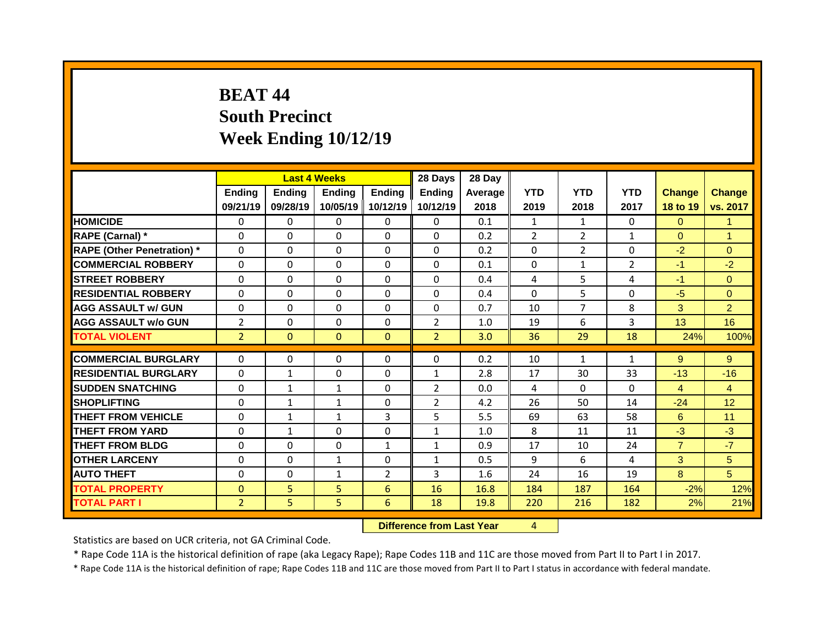## **BEAT 44 South Precinct Week Ending 10/12/19**

|                                   |                |                | <b>Last 4 Weeks</b> |                | 28 Days        | 28 Day  |                |                |                |                |                 |
|-----------------------------------|----------------|----------------|---------------------|----------------|----------------|---------|----------------|----------------|----------------|----------------|-----------------|
|                                   | Ending         | <b>Ending</b>  | <b>Ending</b>       | Ending         | <b>Ending</b>  | Average | <b>YTD</b>     | <b>YTD</b>     | <b>YTD</b>     | <b>Change</b>  | <b>Change</b>   |
|                                   | 09/21/19       | 09/28/19       | 10/05/19            | 10/12/19       | 10/12/19       | 2018    | 2019           | 2018           | 2017           | 18 to 19       | vs. 2017        |
| <b>HOMICIDE</b>                   | $\Omega$       | $\Omega$       | $\Omega$            | $\Omega$       | $\Omega$       | 0.1     | $\mathbf{1}$   | $\mathbf{1}$   | $\Omega$       | $\Omega$       | $\mathbf{1}$    |
| RAPE (Carnal) *                   | $\mathbf{0}$   | 0              | 0                   | $\Omega$       | $\Omega$       | 0.2     | $\overline{2}$ | $\overline{2}$ | $\mathbf{1}$   | $\overline{0}$ | $\mathbf{1}$    |
| <b>RAPE (Other Penetration)</b> * | $\mathbf{0}$   | 0              | $\Omega$            | $\Omega$       | $\Omega$       | 0.2     | $\Omega$       | $\overline{2}$ | $\Omega$       | $-2$           | $\Omega$        |
| <b>COMMERCIAL ROBBERY</b>         | $\mathbf 0$    | $\Omega$       | $\Omega$            | $\Omega$       | $\Omega$       | 0.1     | $\Omega$       | $\mathbf{1}$   | $\overline{2}$ | $-1$           | $-2$            |
| <b>STREET ROBBERY</b>             | $\mathbf{0}$   | 0              | $\Omega$            | $\Omega$       | $\Omega$       | 0.4     | 4              | 5              | 4              | $-1$           | $\Omega$        |
| <b>RESIDENTIAL ROBBERY</b>        | $\Omega$       | $\Omega$       | $\Omega$            | $\Omega$       | $\Omega$       | 0.4     | $\Omega$       | 5              | $\Omega$       | $-5$           | $\Omega$        |
| <b>AGG ASSAULT w/ GUN</b>         | $\mathbf 0$    | 0              | 0                   | 0              | 0              | 0.7     | 10             | $\overline{7}$ | 8              | 3              | $\overline{2}$  |
| <b>AGG ASSAULT W/o GUN</b>        | $\overline{2}$ | 0              | 0                   | 0              | $\overline{2}$ | 1.0     | 19             | 6              | 3              | 13             | 16              |
| <b>TOTAL VIOLENT</b>              | $\overline{2}$ | $\overline{0}$ | $\mathbf{0}$        | $\mathbf{0}$   | 2 <sup>1</sup> | 3.0     | 36             | 29             | 18             | 24%            | 100%            |
|                                   |                |                |                     |                |                |         |                |                |                |                |                 |
| <b>COMMERCIAL BURGLARY</b>        | $\mathbf{0}$   | $\Omega$       | $\Omega$            | $\Omega$       | 0              | 0.2     | 10             | $\mathbf{1}$   | $\mathbf{1}$   | 9              | 9               |
| <b>RESIDENTIAL BURGLARY</b>       | 0              | $\mathbf{1}$   | 0                   | $\Omega$       | $\mathbf{1}$   | 2.8     | 17             | 30             | 33             | $-13$          | $-16$           |
| <b>SUDDEN SNATCHING</b>           | $\mathbf{0}$   | $\mathbf{1}$   | $\mathbf{1}$        | $\Omega$       | $\overline{2}$ | 0.0     | 4              | $\Omega$       | $\Omega$       | $\overline{4}$ | $\overline{4}$  |
| <b>SHOPLIFTING</b>                | $\mathbf{0}$   | $\mathbf{1}$   | $\mathbf{1}$        | 0              | $\overline{2}$ | 4.2     | 26             | 50             | 14             | $-24$          | 12 <sup>°</sup> |
| <b>THEFT FROM VEHICLE</b>         | $\mathbf{0}$   | $\mathbf{1}$   | $\mathbf{1}$        | 3              | 5              | 5.5     | 69             | 63             | 58             | 6              | 11              |
| <b>THEFT FROM YARD</b>            | $\Omega$       | $\mathbf{1}$   | $\Omega$            | $\Omega$       | $\mathbf{1}$   | 1.0     | 8              | 11             | 11             | $-3$           | $-3$            |
| <b>THEFT FROM BLDG</b>            | $\mathbf{0}$   | $\Omega$       | $\Omega$            | $\mathbf{1}$   | $\mathbf{1}$   | 0.9     | 17             | 10             | 24             | $\overline{7}$ | $-7$            |
| <b>OTHER LARCENY</b>              | $\mathbf{0}$   | 0              | $\mathbf{1}$        | $\Omega$       | $\mathbf{1}$   | 0.5     | 9              | 6              | 4              | 3              | 5 <sup>5</sup>  |
| <b>AUTO THEFT</b>                 | $\mathbf 0$    | 0              | $\mathbf{1}$        | $\overline{2}$ | 3              | 1.6     | 24             | 16             | 19             | 8              | 5               |
| <b>TOTAL PROPERTY</b>             | $\mathbf{0}$   | 5              | 5                   | 6              | 16             | 16.8    | 184            | 187            | 164            | $-2%$          | 12%             |
| <b>TOTAL PART I</b>               | $\overline{2}$ | 5              | 5                   | 6              | 18             | 19.8    | 220            | 216            | 182            | 2%             | 21%             |

**Difference from Last Year** 4

Statistics are based on UCR criteria, not GA Criminal Code.

\* Rape Code 11A is the historical definition of rape (aka Legacy Rape); Rape Codes 11B and 11C are those moved from Part II to Part I in 2017.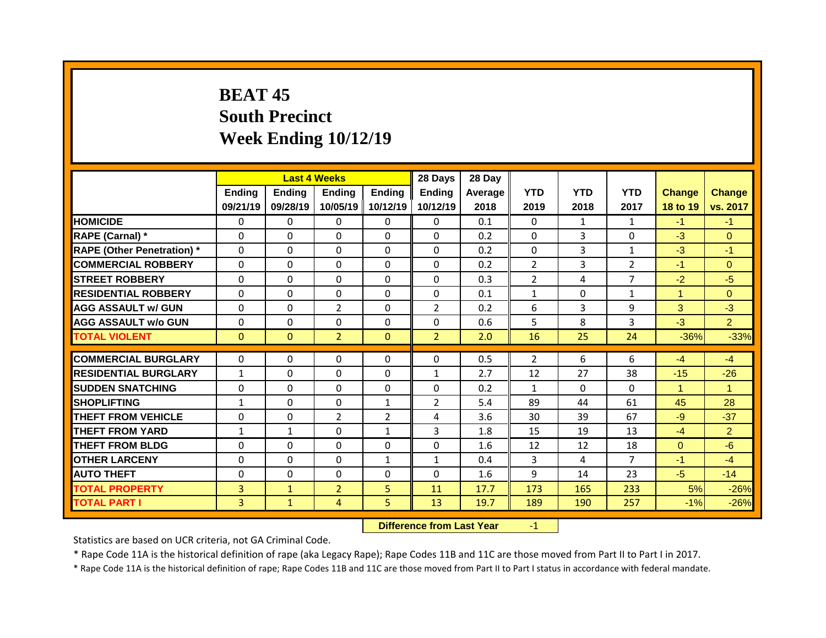## **BEAT 45 South Precinct Week Ending 10/12/19**

|                                   |              | <b>Last 4 Weeks</b> |                |                | 28 Days        | 28 Day  |                    |                |                |               |                |
|-----------------------------------|--------------|---------------------|----------------|----------------|----------------|---------|--------------------|----------------|----------------|---------------|----------------|
|                                   | Ending       | <b>Ending</b>       | <b>Ending</b>  | <b>Ending</b>  | <b>Ending</b>  | Average | <b>YTD</b>         | <b>YTD</b>     | <b>YTD</b>     | <b>Change</b> | Change         |
|                                   | 09/21/19     | 09/28/19            | 10/05/19       | 10/12/19       | 10/12/19       | 2018    | 2019               | 2018           | 2017           | 18 to 19      | vs. 2017       |
| <b>HOMICIDE</b>                   | $\Omega$     | $\Omega$            | $\Omega$       | $\Omega$       | $\Omega$       | 0.1     | $\Omega$           | $\mathbf{1}$   | $\mathbf{1}$   | $-1$          | $-1$           |
| RAPE (Carnal) *                   | $\Omega$     | $\Omega$            | $\Omega$       | $\Omega$       | $\Omega$       | 0.2     | $\Omega$           | 3              | $\Omega$       | $-3$          | $\Omega$       |
| <b>RAPE (Other Penetration) *</b> | $\mathbf 0$  | 0                   | 0              | $\Omega$       | $\Omega$       | 0.2     | $\mathbf 0$        | 3              | $\mathbf{1}$   | $-3$          | $-1$           |
| <b>COMMERCIAL ROBBERY</b>         | $\mathbf 0$  | 0                   | 0              | 0              | $\Omega$       | 0.2     | $\overline{2}$     | 3              | $\overline{2}$ | $-1$          | $\Omega$       |
| <b>STREET ROBBERY</b>             | $\Omega$     | 0                   | $\Omega$       | $\Omega$       | $\Omega$       | 0.3     | $\overline{2}$     | 4              | $\overline{7}$ | $-2$          | $-5$           |
| <b>RESIDENTIAL ROBBERY</b>        | $\mathbf 0$  | 0                   | 0              | $\Omega$       | $\Omega$       | 0.1     | $\mathbf{1}$       | $\Omega$       | $\mathbf{1}$   | $\mathbf{1}$  | $\overline{0}$ |
| <b>AGG ASSAULT w/ GUN</b>         | $\mathbf 0$  | 0                   | $\overline{2}$ | $\Omega$       | $\overline{2}$ | 0.2     | 6                  | $\overline{3}$ | 9              | 3             | $-3$           |
| <b>AGG ASSAULT w/o GUN</b>        | $\mathbf 0$  | 0                   | 0              | 0              | 0              | 0.6     | 5                  | 8              | 3              | $-3$          | $\overline{2}$ |
| <b>TOTAL VIOLENT</b>              | $\mathbf{0}$ | $\mathbf{0}$        | $\overline{2}$ | $\mathbf{0}$   | 2 <sup>1</sup> | 2.0     | 16                 | 25             | 24             | $-36%$        | $-33%$         |
| <b>COMMERCIAL BURGLARY</b>        | $\mathbf 0$  | 0                   | 0              | 0              | 0              | 0.5     | $\overline{2}$     | 6              | 6              | $-4$          | $-4$           |
|                                   |              |                     |                |                |                |         |                    |                | 38             |               |                |
| <b>RESIDENTIAL BURGLARY</b>       | $\mathbf{1}$ | $\Omega$            | 0              | $\Omega$       | $\mathbf{1}$   | 2.7     | 12<br>$\mathbf{1}$ | 27<br>$\Omega$ | 0              | $-15$         | $-26$          |
| <b>SUDDEN SNATCHING</b>           | $\mathbf{0}$ | 0                   | 0              | 0              | 0              | 0.2     |                    |                | 61             | $\mathbf{1}$  | $\mathbf{1}$   |
| <b>SHOPLIFTING</b>                | $\mathbf{1}$ | $\Omega$            | $\Omega$       | $\mathbf{1}$   | $\overline{2}$ | 5.4     | 89                 | 44             |                | 45            | 28             |
| <b>THEFT FROM VEHICLE</b>         | $\mathbf{0}$ | 0                   | $\overline{2}$ | $\overline{2}$ | 4              | 3.6     | 30                 | 39             | 67             | $-9$          | $-37$          |
| <b>THEFT FROM YARD</b>            | $\mathbf{1}$ | $\mathbf{1}$        | $\Omega$       | $\mathbf{1}$   | $\overline{3}$ | 1.8     | 15                 | 19             | 13             | $-4$          | $\overline{2}$ |
| <b>THEFT FROM BLDG</b>            | $\mathbf{0}$ | 0                   | 0              | 0              | $\Omega$       | 1.6     | 12                 | 12             | 18             | $\Omega$      | $-6$           |
| <b>OTHER LARCENY</b>              | $\mathbf 0$  | 0                   | 0              | $\mathbf{1}$   | $\mathbf{1}$   | 0.4     | 3                  | 4              | $\overline{7}$ | $-1$          | $-4$           |
| <b>AUTO THEFT</b>                 | $\mathbf 0$  | 0                   | 0              | 0              | 0              | 1.6     | 9                  | 14             | 23             | $-5$          | $-14$          |
| <b>TOTAL PROPERTY</b>             | 3            | $\mathbf{1}$        | $\overline{2}$ | 5              | 11             | 17.7    | 173                | 165            | 233            | 5%            | $-26%$         |
| <b>TOTAL PART I</b>               | 3            | $\mathbf{1}$        | 4              | 5              | 13             | 19.7    | 189                | 190            | 257            | $-1%$         | $-26%$         |

**Difference from Last Year** -1

Statistics are based on UCR criteria, not GA Criminal Code.

\* Rape Code 11A is the historical definition of rape (aka Legacy Rape); Rape Codes 11B and 11C are those moved from Part II to Part I in 2017.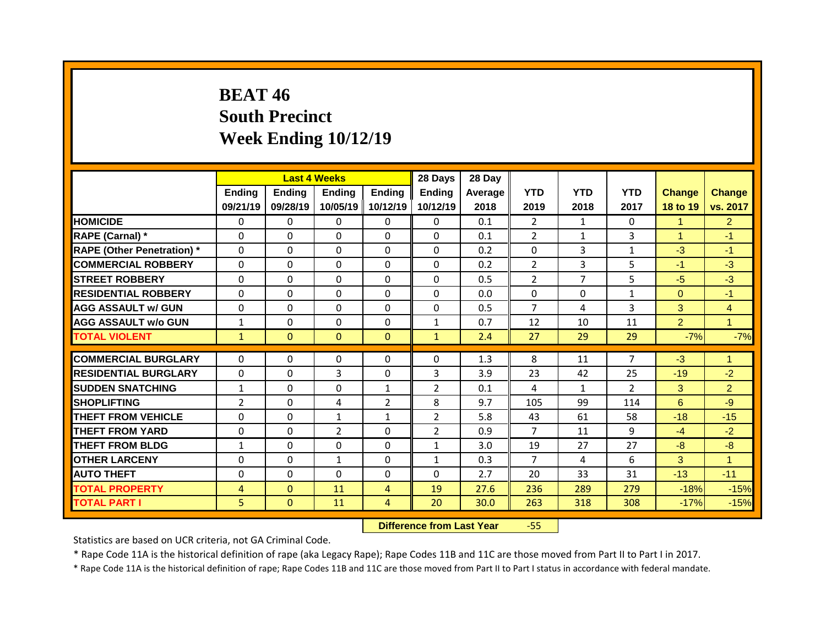## **BEAT 46 South Precinct Week Ending 10/12/19**

|                                   |                |               | <b>Last 4 Weeks</b> |                | 28 Days        | 28 Day  |                |                |                |                |                |
|-----------------------------------|----------------|---------------|---------------------|----------------|----------------|---------|----------------|----------------|----------------|----------------|----------------|
|                                   | <b>Ending</b>  | <b>Ending</b> | <b>Ending</b>       | <b>Ending</b>  | <b>Ending</b>  | Average | <b>YTD</b>     | <b>YTD</b>     | <b>YTD</b>     | <b>Change</b>  | <b>Change</b>  |
|                                   | 09/21/19       | 09/28/19      | 10/05/19            | 10/12/19       | 10/12/19       | 2018    | 2019           | 2018           | 2017           | 18 to 19       | vs. 2017       |
| <b>HOMICIDE</b>                   | $\Omega$       | $\Omega$      | $\Omega$            | $\Omega$       | $\Omega$       | 0.1     | $\overline{2}$ | $\mathbf{1}$   | 0              | $\mathbf{1}$   | $\overline{2}$ |
| RAPE (Carnal) *                   | $\Omega$       | $\Omega$      | $\Omega$            | $\Omega$       | $\Omega$       | 0.1     | $\overline{2}$ | $\mathbf{1}$   | 3              | $\mathbf{1}$   | $-1$           |
| <b>RAPE (Other Penetration) *</b> | 0              | 0             | $\Omega$            | $\Omega$       | 0              | 0.2     | 0              | 3              | $\mathbf{1}$   | $-3$           | $-1$           |
| <b>COMMERCIAL ROBBERY</b>         | 0              | 0             | $\Omega$            | $\Omega$       | 0              | 0.2     | $\overline{2}$ | 3              | 5              | $-1$           | $-3$           |
| <b>STREET ROBBERY</b>             | $\Omega$       | 0             | $\Omega$            | $\Omega$       | 0              | 0.5     | $\overline{2}$ | $\overline{7}$ | 5              | $-5$           | $-3$           |
| <b>RESIDENTIAL ROBBERY</b>        | 0              | 0             | $\Omega$            | $\Omega$       | 0              | 0.0     | 0              | $\mathbf 0$    | $\mathbf{1}$   | $\overline{0}$ | $-1$           |
| <b>AGG ASSAULT w/ GUN</b>         | 0              | 0             | $\Omega$            | $\Omega$       | $\mathsf{O}$   | 0.5     | $\overline{7}$ | 4              | $\overline{3}$ | 3              | $\overline{4}$ |
| <b>AGG ASSAULT W/o GUN</b>        | $\mathbf{1}$   | 0             | 0                   | $\mathbf 0$    | $\mathbf{1}$   | 0.7     | 12             | 10             | 11             | $\overline{2}$ | $\mathbf{1}$   |
| <b>TOTAL VIOLENT</b>              | $\mathbf{1}$   | $\mathbf{0}$  | $\mathbf{0}$        | $\overline{0}$ | $\mathbf{1}$   | 2.4     | 27             | 29             | 29             | $-7%$          | $-7%$          |
|                                   |                |               |                     |                |                |         |                |                | $\overline{7}$ |                |                |
| <b>COMMERCIAL BURGLARY</b>        | 0              | 0             | $\mathbf{0}$        | $\mathbf 0$    | 0              | 1.3     | 8              | 11             |                | $-3$           | $\mathbf{1}$   |
| <b>RESIDENTIAL BURGLARY</b>       | 0              | $\mathbf{0}$  | 3                   | $\Omega$       | 3              | 3.9     | 23             | 42             | 25             | $-19$          | $-2$           |
| <b>SUDDEN SNATCHING</b>           | $\mathbf{1}$   | $\mathbf{0}$  | 0                   | $\mathbf{1}$   | $\overline{2}$ | 0.1     | 4              | $\mathbf{1}$   | $\overline{2}$ | 3              | $\overline{2}$ |
| <b>SHOPLIFTING</b>                | $\overline{2}$ | $\mathbf{0}$  | 4                   | $\overline{2}$ | 8              | 9.7     | 105            | 99             | 114            | 6              | $-9$           |
| <b>THEFT FROM VEHICLE</b>         | $\Omega$       | $\Omega$      | $\mathbf{1}$        | $\mathbf{1}$   | $\overline{2}$ | 5.8     | 43             | 61             | 58             | $-18$          | $-15$          |
| <b>THEFT FROM YARD</b>            | 0              | $\Omega$      | $\overline{2}$      | $\Omega$       | $\overline{2}$ | 0.9     | $\overline{7}$ | 11             | 9              | $-4$           | $-2$           |
| <b>THEFT FROM BLDG</b>            | $\mathbf{1}$   | $\mathbf{0}$  | 0                   | $\Omega$       | $\mathbf{1}$   | 3.0     | 19             | 27             | 27             | $-8$           | $-8$           |
| <b>OTHER LARCENY</b>              | 0              | 0             | $\mathbf{1}$        | $\Omega$       | $\mathbf{1}$   | 0.3     | $\overline{7}$ | 4              | 6              | 3              | $\mathbf{1}$   |
| <b>AUTO THEFT</b>                 | 0              | 0             | $\Omega$            | $\Omega$       | 0              | 2.7     | 20             | 33             | 31             | $-13$          | $-11$          |
| <b>TOTAL PROPERTY</b>             | $\overline{4}$ | $\mathbf{0}$  | 11                  | $\overline{4}$ | 19             | 27.6    | 236            | 289            | 279            | $-18%$         | $-15%$         |
| <b>TOTAL PART I</b>               | 5              | $\mathbf{0}$  | 11                  | 4              | 20             | 30.0    | 263            | 318            | 308            | $-17%$         | $-15%$         |

**Difference from Last Year** -55

Statistics are based on UCR criteria, not GA Criminal Code.

\* Rape Code 11A is the historical definition of rape (aka Legacy Rape); Rape Codes 11B and 11C are those moved from Part II to Part I in 2017.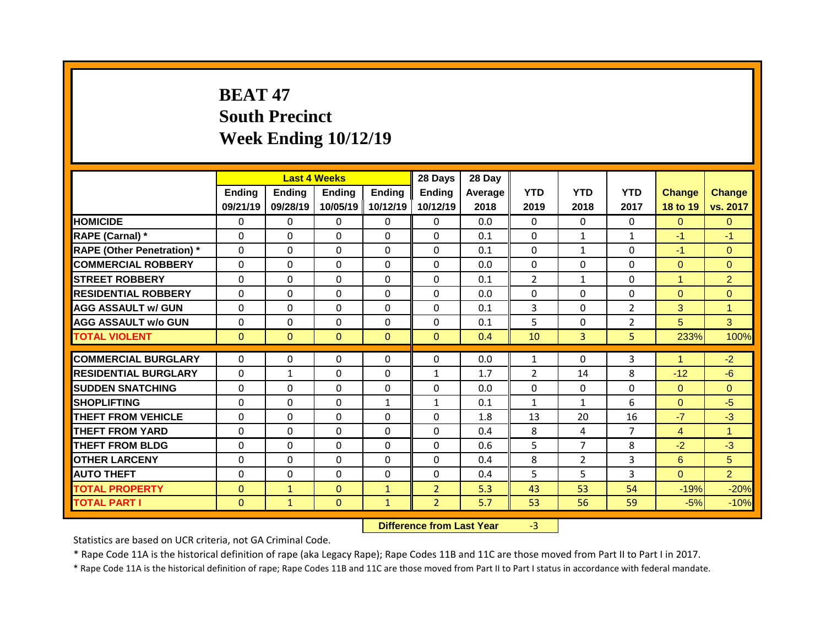# **BEAT 47 South Precinct Week Ending 10/12/19**

|                                   |              |                | <b>Last 4 Weeks</b> |              | 28 Days        | 28 Day  |                |                |                |                |                |
|-----------------------------------|--------------|----------------|---------------------|--------------|----------------|---------|----------------|----------------|----------------|----------------|----------------|
|                                   | Ending       | <b>Ending</b>  | <b>Ending</b>       | Ending       | <b>Ending</b>  | Average | <b>YTD</b>     | <b>YTD</b>     | <b>YTD</b>     | <b>Change</b>  | <b>Change</b>  |
|                                   | 09/21/19     | 09/28/19       | 10/05/19            | 10/12/19     | 10/12/19       | 2018    | 2019           | 2018           | 2017           | 18 to 19       | vs. 2017       |
| <b>HOMICIDE</b>                   | $\Omega$     | $\Omega$       | $\Omega$            | $\Omega$     | $\Omega$       | 0.0     | $\Omega$       | $\Omega$       | $\Omega$       | $\Omega$       | $\Omega$       |
| RAPE (Carnal) *                   | $\mathbf{0}$ | 0              | 0                   | 0            | $\Omega$       | 0.1     | $\mathbf{0}$   | $\mathbf{1}$   | $\mathbf{1}$   | $-1$           | $-1$           |
| <b>RAPE (Other Penetration)</b> * | $\mathbf{0}$ | 0              | $\Omega$            | $\Omega$     | $\Omega$       | 0.1     | $\Omega$       | $\mathbf{1}$   | $\Omega$       | $-1$           | $\Omega$       |
| <b>COMMERCIAL ROBBERY</b>         | $\mathbf 0$  | 0              | $\Omega$            | $\Omega$     | $\Omega$       | 0.0     | $\Omega$       | $\Omega$       | $\Omega$       | $\Omega$       | $\Omega$       |
| <b>STREET ROBBERY</b>             | $\mathbf{0}$ | 0              | $\Omega$            | $\Omega$     | $\Omega$       | 0.1     | $\overline{2}$ | $\mathbf{1}$   | $\Omega$       | $\mathbf{1}$   | $\overline{2}$ |
| <b>RESIDENTIAL ROBBERY</b>        | $\Omega$     | $\Omega$       | $\Omega$            | $\Omega$     | $\Omega$       | 0.0     | $\Omega$       | $\Omega$       | $\Omega$       | $\Omega$       | $\mathbf{0}$   |
| <b>AGG ASSAULT w/ GUN</b>         | $\mathbf 0$  | 0              | 0                   | 0            | 0              | 0.1     | 3              | $\Omega$       | $\overline{2}$ | 3              | $\mathbf{1}$   |
| <b>AGG ASSAULT w/o GUN</b>        | $\mathbf 0$  | 0              | 0                   | 0            | 0              | 0.1     | 5              | $\Omega$       | $\overline{2}$ | 5              | 3              |
| <b>TOTAL VIOLENT</b>              | $\mathbf{0}$ | $\overline{0}$ | $\mathbf{0}$        | $\mathbf{0}$ | $\overline{0}$ | 0.4     | 10             | $\overline{3}$ | 5              | 233%           | 100%           |
|                                   |              |                |                     |              |                |         |                |                |                |                |                |
| <b>COMMERCIAL BURGLARY</b>        | 0            | $\Omega$       | 0                   | $\Omega$     | 0              | 0.0     | $\mathbf{1}$   | $\Omega$       | 3              | $\mathbf{1}$   | $-2$           |
| <b>RESIDENTIAL BURGLARY</b>       | 0            | $\mathbf{1}$   | 0                   | $\Omega$     | $\mathbf{1}$   | 1.7     | $\overline{2}$ | 14             | 8              | $-12$          | $-6$           |
| <b>SUDDEN SNATCHING</b>           | $\mathbf{0}$ | $\Omega$       | 0                   | $\Omega$     | 0              | 0.0     | $\mathbf{0}$   | $\Omega$       | $\Omega$       | $\overline{0}$ | $\Omega$       |
| <b>SHOPLIFTING</b>                | 0            | 0              | 0                   | $\mathbf{1}$ | $\mathbf{1}$   | 0.1     | $\mathbf{1}$   | $\mathbf{1}$   | 6              | $\overline{0}$ | $-5$           |
| <b>THEFT FROM VEHICLE</b>         | $\mathbf{0}$ | $\Omega$       | $\Omega$            | $\Omega$     | 0              | 1.8     | 13             | 20             | 16             | $-7$           | $-3$           |
| <b>THEFT FROM YARD</b>            | $\Omega$     | 0              | $\Omega$            | $\Omega$     | $\Omega$       | 0.4     | 8              | 4              | $\overline{7}$ | $\overline{4}$ | $\mathbf{1}$   |
| <b>THEFT FROM BLDG</b>            | $\mathbf{0}$ | $\Omega$       | $\Omega$            | $\Omega$     | 0              | 0.6     | 5              | $\overline{7}$ | 8              | $-2$           | $-3$           |
| <b>OTHER LARCENY</b>              | $\mathbf{0}$ | 0              | $\Omega$            | $\Omega$     | $\Omega$       | 0.4     | 8              | $\overline{2}$ | 3              | 6              | 5              |
| <b>AUTO THEFT</b>                 | $\mathbf 0$  | 0              | 0                   | 0            | $\Omega$       | 0.4     | 5              | 5              | 3              | $\overline{0}$ | $\overline{2}$ |
| <b>TOTAL PROPERTY</b>             | $\mathbf{0}$ | $\mathbf{1}$   | $\mathbf{0}$        | $\mathbf{1}$ | $\overline{2}$ | 5.3     | 43             | 53             | 54             | $-19%$         | $-20%$         |
|                                   |              |                |                     |              |                |         |                |                |                |                |                |

**Difference from Last Year** -3

Statistics are based on UCR criteria, not GA Criminal Code.

\* Rape Code 11A is the historical definition of rape (aka Legacy Rape); Rape Codes 11B and 11C are those moved from Part II to Part I in 2017.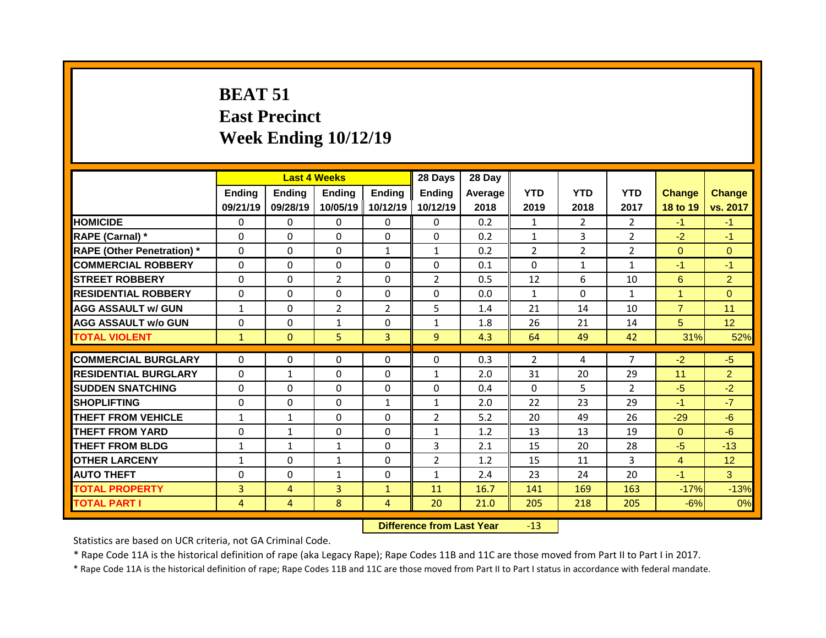# **BEAT 51 East Precinct Week Ending 10/12/19**

|                                   |                           |                           | <b>Last 4 Weeks</b>       |                           | 28 Days                   | 28 Day          |                    |                    |                    |                           |                           |
|-----------------------------------|---------------------------|---------------------------|---------------------------|---------------------------|---------------------------|-----------------|--------------------|--------------------|--------------------|---------------------------|---------------------------|
|                                   | <b>Ending</b><br>09/21/19 | <b>Ending</b><br>09/28/19 | <b>Ending</b><br>10/05/19 | <b>Ending</b><br>10/12/19 | <b>Ending</b><br>10/12/19 | Average<br>2018 | <b>YTD</b><br>2019 | <b>YTD</b><br>2018 | <b>YTD</b><br>2017 | <b>Change</b><br>18 to 19 | <b>Change</b><br>vs. 2017 |
| <b>HOMICIDE</b>                   | $\mathbf{0}$              | 0                         | 0                         | $\mathbf{0}$              | $\mathbf{0}$              | 0.2             | $\mathbf{1}$       | $\overline{2}$     | $\overline{2}$     | $-1$                      | $-1$                      |
| <b>RAPE (Carnal)</b> *            | $\Omega$                  | $\Omega$                  | 0                         | $\Omega$                  | $\Omega$                  | 0.2             | $\mathbf{1}$       | $\overline{3}$     | $\overline{2}$     | $-2$                      | $-1$                      |
| <b>RAPE (Other Penetration) *</b> | $\mathbf 0$               | 0                         | 0                         | $\mathbf{1}$              | $\mathbf{1}$              | 0.2             | $\overline{2}$     | $\overline{2}$     | $\overline{2}$     | $\overline{0}$            | $\overline{0}$            |
| <b>COMMERCIAL ROBBERY</b>         | $\mathbf 0$               | 0                         | 0                         | $\Omega$                  | $\Omega$                  | 0.1             | $\Omega$           | $\mathbf{1}$       | $\mathbf{1}$       | $-1$                      | $-1$                      |
| <b>STREET ROBBERY</b>             | $\mathbf 0$               | 0                         | $\overline{2}$            | $\Omega$                  | $\overline{2}$            | 0.5             | 12                 | 6                  | 10                 | $6^{\circ}$               | $\overline{2}$            |
| <b>RESIDENTIAL ROBBERY</b>        | $\mathbf 0$               | 0                         | 0                         | 0                         | $\Omega$                  | 0.0             | $\mathbf{1}$       | $\Omega$           | $\mathbf{1}$       | $\mathbf{1}$              | $\overline{0}$            |
| <b>AGG ASSAULT w/ GUN</b>         | $\mathbf{1}$              | 0                         | $\overline{2}$            | $\overline{2}$            | 5                         | 1.4             | 21                 | 14                 | 10                 | $\overline{7}$            | 11                        |
| <b>AGG ASSAULT w/o GUN</b>        | $\mathbf 0$               | 0                         | $\mathbf{1}$              | 0                         | $\mathbf{1}$              | 1.8             | 26                 | 21                 | 14                 | 5                         | 12 <sup>2</sup>           |
| <b>TOTAL VIOLENT</b>              | $\mathbf{1}$              | $\mathbf{0}$              | 5                         | $\overline{3}$            | 9                         | 4.3             | 64                 | 49                 | 42                 | 31%                       | 52%                       |
| <b>COMMERCIAL BURGLARY</b>        | $\Omega$                  | 0                         | $\Omega$                  | $\Omega$                  | $\Omega$                  | 0.3             | $\overline{2}$     | 4                  | $\overline{7}$     | $-2$                      | $-5$                      |
| <b>RESIDENTIAL BURGLARY</b>       | $\Omega$                  | $\mathbf{1}$              | $\Omega$                  | $\Omega$                  | $\mathbf{1}$              | 2.0             | 31                 | 20                 | 29                 | 11                        | $\overline{2}$            |
| <b>SUDDEN SNATCHING</b>           | $\mathbf{0}$              | 0                         | 0                         | $\Omega$                  | $\Omega$                  | 0.4             | $\Omega$           | 5.                 | $\overline{2}$     | $-5$                      | $-2$                      |
| <b>SHOPLIFTING</b>                | $\mathbf 0$               | 0                         | 0                         | $\mathbf{1}$              | $\mathbf{1}$              | 2.0             | 22                 | 23                 | 29                 | $-1$                      | $-7$                      |
| <b>THEFT FROM VEHICLE</b>         | $\mathbf{1}$              | $\mathbf{1}$              | 0                         | $\Omega$                  | $\overline{2}$            | 5.2             | 20                 | 49                 | 26                 | $-29$                     | $-6$                      |
| <b>THEFT FROM YARD</b>            | $\mathbf 0$               | $\mathbf{1}$              | $\overline{0}$            | 0                         | $\mathbf{1}$              | 1.2             | 13                 | 13                 | 19                 | $\Omega$                  | $-6$                      |
| <b>THEFT FROM BLDG</b>            | $\mathbf{1}$              | $\mathbf{1}$              | $\mathbf{1}$              | $\Omega$                  | 3                         | 2.1             | 15                 | 20                 | 28                 | $-5$                      | $-13$                     |
| <b>OTHER LARCENY</b>              | $\mathbf{1}$              | 0                         | $\mathbf{1}$              | 0                         | $\overline{2}$            | 1.2             | 15                 | 11                 | 3                  | $\overline{4}$            | 12                        |
| <b>AUTO THEFT</b>                 | $\mathbf{0}$              | 0                         | $\mathbf{1}$              | 0                         | $\mathbf{1}$              | 2.4             | 23                 | 24                 | 20                 | $-1$                      | 3                         |
| <b>TOTAL PROPERTY</b>             | 3                         | 4                         | $\overline{3}$            | $\mathbf{1}$              | 11                        | 16.7            | 141                | 169                | 163                | $-17%$                    | $-13%$                    |
| <b>TOTAL PART I</b>               | 4                         | $\overline{4}$            | 8                         | $\overline{4}$            | 20                        | 21.0            | 205                | 218                | 205                | $-6%$                     | 0%                        |

**Difference from Last Year** -13

Statistics are based on UCR criteria, not GA Criminal Code.

\* Rape Code 11A is the historical definition of rape (aka Legacy Rape); Rape Codes 11B and 11C are those moved from Part II to Part I in 2017.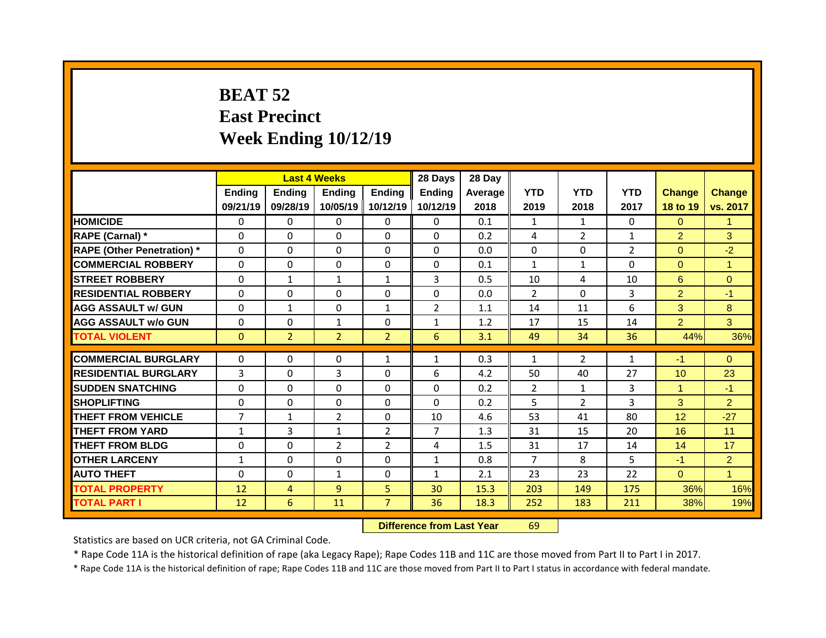## **BEAT 52 East Precinct Week Ending 10/12/19**

|                                   |                | <b>Last 4 Weeks</b> |                |                | 28 Days        | 28 Day  |                |                |                |                 |                |
|-----------------------------------|----------------|---------------------|----------------|----------------|----------------|---------|----------------|----------------|----------------|-----------------|----------------|
|                                   | <b>Ending</b>  | <b>Ending</b>       | <b>Ending</b>  | <b>Ending</b>  | <b>Ending</b>  | Average | <b>YTD</b>     | <b>YTD</b>     | <b>YTD</b>     | <b>Change</b>   | Change         |
|                                   | 09/21/19       | 09/28/19            | 10/05/19       | 10/12/19       | 10/12/19       | 2018    | 2019           | 2018           | 2017           | 18 to 19        | vs. 2017       |
| <b>HOMICIDE</b>                   | $\Omega$       | $\Omega$            | $\Omega$       | $\Omega$       | $\Omega$       | 0.1     | $\mathbf{1}$   | $\mathbf{1}$   | 0              | $\Omega$        | 1              |
| RAPE (Carnal) *                   | $\Omega$       | $\Omega$            | $\Omega$       | $\Omega$       | $\Omega$       | 0.2     | 4              | $\overline{2}$ | $\mathbf{1}$   | $\overline{2}$  | 3              |
| <b>RAPE (Other Penetration)</b> * | 0              | 0                   | $\Omega$       | $\Omega$       | $\Omega$       | 0.0     | 0              | $\Omega$       | $\overline{2}$ | $\overline{0}$  | $-2$           |
| <b>COMMERCIAL ROBBERY</b>         | 0              | 0                   | $\mathbf 0$    | $\Omega$       | $\Omega$       | 0.1     | $\mathbf{1}$   | $\mathbf{1}$   | $\Omega$       | $\Omega$        | 1              |
| <b>STREET ROBBERY</b>             | $\Omega$       | $\mathbf{1}$        | $\mathbf{1}$   | $\mathbf{1}$   | 3              | 0.5     | 10             | 4              | 10             | $6^{\circ}$     | $\overline{0}$ |
| <b>RESIDENTIAL ROBBERY</b>        | 0              | 0                   | $\Omega$       | $\Omega$       | $\Omega$       | 0.0     | $\overline{2}$ | $\Omega$       | 3              | $\overline{2}$  | $-1$           |
| <b>AGG ASSAULT w/ GUN</b>         | 0              | $\mathbf{1}$        | $\Omega$       | $\mathbf{1}$   | $\overline{2}$ | 1.1     | 14             | 11             | 6              | 3               | 8              |
| <b>AGG ASSAULT W/o GUN</b>        | $\mathbf 0$    | 0                   | $\mathbf{1}$   | 0              | $\mathbf{1}$   | 1.2     | 17             | 15             | 14             | $\overline{2}$  | 3              |
| <b>TOTAL VIOLENT</b>              | $\mathbf{0}$   | 2 <sup>1</sup>      | $\overline{2}$ | 2 <sup>1</sup> | 6              | 3.1     | 49             | 34             | 36             | 44%             | 36%            |
| <b>COMMERCIAL BURGLARY</b>        | 0              | 0                   | $\mathbf{0}$   | $\mathbf{1}$   | $\mathbf{1}$   | 0.3     | $\mathbf{1}$   | $\overline{2}$ | $\mathbf{1}$   | $-1$            | $\Omega$       |
| <b>RESIDENTIAL BURGLARY</b>       | 3              | $\Omega$            | 3              | $\Omega$       | 6              | 4.2     | 50             | 40             | 27             | 10 <sup>°</sup> | 23             |
| <b>SUDDEN SNATCHING</b>           | 0              | 0                   | $\mathbf 0$    | $\Omega$       | 0              | 0.2     | $\overline{2}$ | $\mathbf{1}$   | 3              | $\mathbf{1}$    | $-1$           |
| <b>SHOPLIFTING</b>                | $\Omega$       | $\Omega$            | $\Omega$       | $\Omega$       | $\Omega$       | 0.2     | 5              | $\overline{2}$ | 3              | 3               | $\overline{2}$ |
| <b>THEFT FROM VEHICLE</b>         | $\overline{7}$ | $\mathbf{1}$        | $\overline{2}$ | $\Omega$       | 10             | 4.6     | 53             | 41             | 80             | 12 <sup>°</sup> | $-27$          |
| <b>THEFT FROM YARD</b>            | $\mathbf{1}$   | $\overline{3}$      | $\mathbf{1}$   | $2^{\circ}$    | $\overline{7}$ | 1.3     | 31             | 15             | 20             | 16              | 11             |
| <b>THEFT FROM BLDG</b>            | $\mathbf{0}$   | 0                   | 2              | $\overline{2}$ | 4              | 1.5     | 31             | 17             | 14             | 14              | 17             |
| <b>OTHER LARCENY</b>              | $\mathbf{1}$   | 0                   | $\Omega$       | $\Omega$       | $\mathbf{1}$   | 0.8     | $\overline{7}$ | 8              | 5              | $-1$            | $\overline{2}$ |
| <b>AUTO THEFT</b>                 | $\mathbf 0$    | 0                   | $\mathbf{1}$   | 0              | $\mathbf{1}$   | 2.1     | 23             | 23             | 22             | $\overline{0}$  | $\mathbf{1}$   |
| <b>TOTAL PROPERTY</b>             | 12             |                     | 9              | 5              | 30             | 15.3    | 203            | 149            | 175            | 36%             | 16%            |
|                                   |                | $\overline{4}$      |                |                |                |         |                |                |                |                 |                |
| <b>TOTAL PART I</b>               | 12             | 6                   | 11             | $\overline{7}$ | 36             | 18.3    | 252            | 183            | 211            | 38%             | 19%            |

**Difference from Last Year** 69

Statistics are based on UCR criteria, not GA Criminal Code.

\* Rape Code 11A is the historical definition of rape (aka Legacy Rape); Rape Codes 11B and 11C are those moved from Part II to Part I in 2017.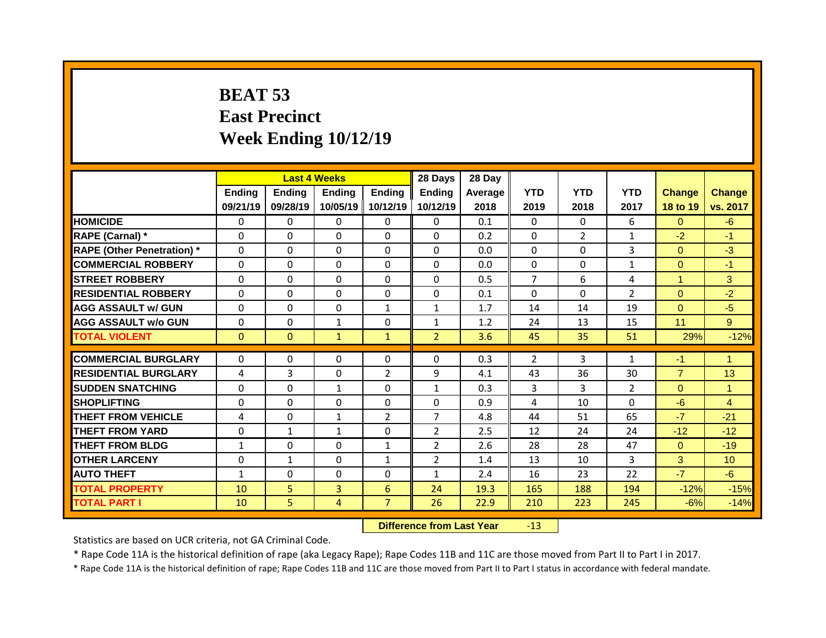## **BEAT 53 East Precinct Week Ending 10/12/19**

|                                   |              |               | <b>Last 4 Weeks</b> |                | 28 Days                    | 28 Day  |                |                |                            |                |                |
|-----------------------------------|--------------|---------------|---------------------|----------------|----------------------------|---------|----------------|----------------|----------------------------|----------------|----------------|
|                                   | Ending       | <b>Ending</b> | <b>Ending</b>       | <b>Ending</b>  | <b>Ending</b>              | Average | <b>YTD</b>     | <b>YTD</b>     | <b>YTD</b>                 | <b>Change</b>  | <b>Change</b>  |
|                                   | 09/21/19     | 09/28/19      | 10/05/19            | 10/12/19       | 10/12/19                   | 2018    | 2019           | 2018           | 2017                       | 18 to 19       | vs. 2017       |
| <b>HOMICIDE</b>                   | $\mathbf{0}$ | 0             | $\Omega$            | $\Omega$       | $\Omega$                   | 0.1     | $\Omega$       | $\Omega$       | 6                          | $\Omega$       | $-6$           |
| RAPE (Carnal) *                   | $\mathbf{0}$ | $\Omega$      | $\Omega$            | $\Omega$       | $\Omega$                   | 0.2     | $\Omega$       | $\overline{2}$ | $\mathbf{1}$               | $-2$           | $-1$           |
| <b>RAPE (Other Penetration)</b> * | 0            | 0             | 0                   | $\Omega$       | $\Omega$                   | 0.0     | $\Omega$       | $\Omega$       | 3                          | $\overline{0}$ | $-3$           |
| <b>COMMERCIAL ROBBERY</b>         | $\mathbf 0$  | 0             | $\Omega$            | $\Omega$       | $\Omega$                   | 0.0     | $\Omega$       | $\Omega$       | $\mathbf{1}$               | $\overline{0}$ | $-1$           |
| <b>STREET ROBBERY</b>             | $\Omega$     | 0             | $\Omega$            | $\Omega$       | $\Omega$                   | 0.5     | $\overline{7}$ | 6              | 4                          | $\mathbf{1}$   | 3              |
| <b>RESIDENTIAL ROBBERY</b>        | 0            | 0             | 0                   | 0              | 0                          | 0.1     | $\Omega$       | $\Omega$       | $\overline{2}$             | $\overline{0}$ | $-2$           |
| <b>AGG ASSAULT w/ GUN</b>         | $\mathbf 0$  | 0             | 0                   | $\mathbf{1}$   | $\mathbf{1}$               | 1.7     | 14             | 14             | 19                         | $\overline{0}$ | $-5$           |
| <b>AGG ASSAULT W/o GUN</b>        | $\mathbf 0$  | 0             | $\mathbf{1}$        | 0              | $\mathbf{1}$               | 1.2     | 24             | 13             | 15                         | 11             | 9 <sup>°</sup> |
| <b>TOTAL VIOLENT</b>              | $\mathbf{0}$ | $\mathbf{0}$  | $\mathbf{1}$        | $\mathbf{1}$   | 2 <sup>1</sup>             | 3.6     | 45             | 35             | 51                         | 29%            | $-12%$         |
| <b>COMMERCIAL BURGLARY</b>        | 0            | $\Omega$      | 0                   | $\mathbf{0}$   | 0                          | 0.3     | $\overline{2}$ | 3              | $\mathbf{1}$               | $-1$           | $\mathbf{1}$   |
|                                   |              |               |                     |                |                            |         |                |                |                            |                |                |
| <b>RESIDENTIAL BURGLARY</b>       | 4            | 3             | 0                   | 2              | 9                          | 4.1     | 43             | 36             | 30                         | $\overline{7}$ | 13             |
| <b>SUDDEN SNATCHING</b>           | $\mathbf{0}$ | 0             | $\mathbf{1}$        | 0              | $\mathbf{1}$               | 0.3     | 3              | 3              | $\overline{2}$<br>$\Omega$ | $\overline{0}$ | $\mathbf{1}$   |
| <b>SHOPLIFTING</b>                | $\mathbf{0}$ | $\Omega$      | $\Omega$            | $\Omega$       | $\Omega$<br>$\overline{7}$ | 0.9     | 4              | 10             |                            | $-6$           | $\overline{4}$ |
| <b>THEFT FROM VEHICLE</b>         | 4            | 0             | $\mathbf{1}$        | $\overline{2}$ |                            | 4.8     | 44             | 51             | 65                         | $-7$           | $-21$          |
| <b>THEFT FROM YARD</b>            | 0            | $\mathbf{1}$  | $\mathbf{1}$        | $\Omega$       | $\overline{2}$             | 2.5     | 12             | 24             | 24                         | $-12$          | $-12$          |
| <b>THEFT FROM BLDG</b>            | $\mathbf{1}$ | 0             | 0                   | $\mathbf{1}$   | $\overline{2}$             | 2.6     | 28             | 28             | 47                         | $\overline{0}$ | $-19$          |
| <b>OTHER LARCENY</b>              | $\mathbf 0$  | $\mathbf{1}$  | 0                   | $\mathbf{1}$   | $\overline{2}$             | 1.4     | 13             | 10             | $\overline{3}$             | 3              | 10             |
| <b>AUTO THEFT</b>                 | $\mathbf{1}$ | 0             | 0                   | 0              | $\mathbf{1}$               | 2.4     | 16             | 23             | 22                         | $-7$           | $-6$           |
| <b>TOTAL PROPERTY</b>             | 10           | 5             | $\overline{3}$      | 6              | 24                         | 19.3    | 165            | 188            | 194                        | $-12%$         | $-15%$         |
| <b>TOTAL PART I</b>               | 10           | 5             | 4                   | $\overline{7}$ | 26                         | 22.9    | 210            | 223            | 245                        | $-6%$          | $-14%$         |

**Difference from Last Year** -13

Statistics are based on UCR criteria, not GA Criminal Code.

\* Rape Code 11A is the historical definition of rape (aka Legacy Rape); Rape Codes 11B and 11C are those moved from Part II to Part I in 2017.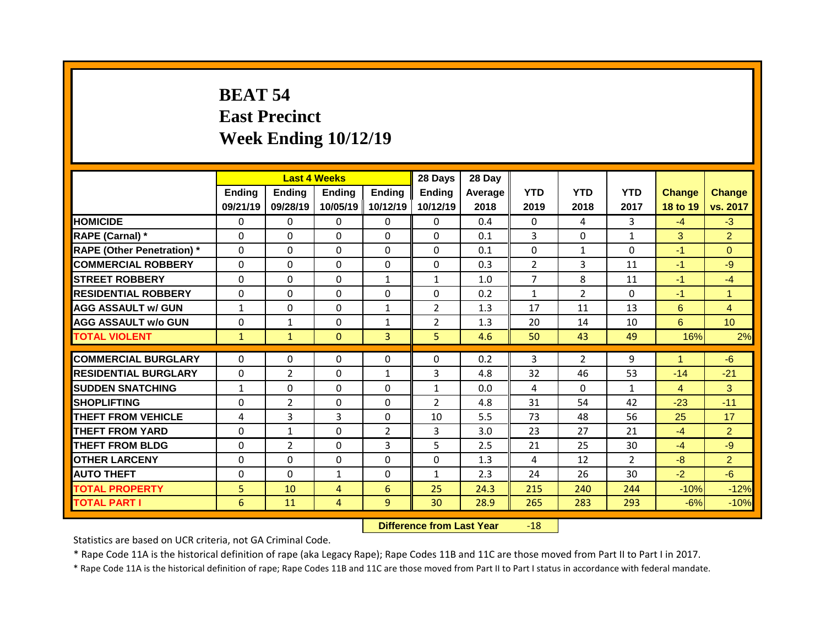## **BEAT 54 East Precinct Week Ending 10/12/19**

|                                   |              |                | <b>Last 4 Weeks</b> |                | 28 Days        | 28 Day  |                |                |                |                |                |
|-----------------------------------|--------------|----------------|---------------------|----------------|----------------|---------|----------------|----------------|----------------|----------------|----------------|
|                                   | Ending       | <b>Ending</b>  | <b>Ending</b>       | Ending         | <b>Ending</b>  | Average | <b>YTD</b>     | <b>YTD</b>     | <b>YTD</b>     | <b>Change</b>  | <b>Change</b>  |
|                                   | 09/21/19     | 09/28/19       | 10/05/19            | 10/12/19       | 10/12/19       | 2018    | 2019           | 2018           | 2017           | 18 to 19       | vs. 2017       |
| <b>HOMICIDE</b>                   | 0            | 0              | $\Omega$            | $\Omega$       | $\Omega$       | 0.4     | $\Omega$       | 4              | 3              | $-4$           | $-3$           |
| RAPE (Carnal) *                   | $\mathbf{0}$ | 0              | 0                   | $\Omega$       | $\Omega$       | 0.1     | 3              | $\Omega$       | $\mathbf{1}$   | 3              | $\overline{2}$ |
| <b>RAPE (Other Penetration)</b> * | $\mathbf{0}$ | 0              | $\Omega$            | $\Omega$       | $\Omega$       | 0.1     | $\Omega$       | $\mathbf{1}$   | $\Omega$       | $-1$           | $\Omega$       |
| <b>COMMERCIAL ROBBERY</b>         | $\mathbf 0$  | $\Omega$       | $\Omega$            | $\Omega$       | $\Omega$       | 0.3     | 2              | 3              | 11             | $-1$           | $-9$           |
| <b>STREET ROBBERY</b>             | $\mathbf{0}$ | 0              | 0                   | $\mathbf{1}$   | $\mathbf{1}$   | 1.0     | $\overline{7}$ | 8              | 11             | $-1$           | $-4$           |
| <b>RESIDENTIAL ROBBERY</b>        | $\mathbf 0$  | $\Omega$       | $\Omega$            | $\Omega$       | $\Omega$       | 0.2     | $\mathbf{1}$   | $\overline{2}$ | $\Omega$       | $-1$           | $\mathbf{1}$   |
| <b>AGG ASSAULT w/ GUN</b>         | $\mathbf{1}$ | 0              | 0                   | $\mathbf{1}$   | $\overline{2}$ | 1.3     | 17             | 11             | 13             | 6              | $\overline{4}$ |
| <b>AGG ASSAULT W/o GUN</b>        | $\mathbf 0$  | $\mathbf{1}$   | 0                   | $\mathbf{1}$   | $\overline{2}$ | 1.3     | 20             | 14             | 10             | 6              | 10             |
| <b>TOTAL VIOLENT</b>              | $\mathbf{1}$ | $\mathbf{1}$   | $\mathbf{0}$        | $\overline{3}$ | 5 <sup>1</sup> | 4.6     | 50             | 43             | 49             | 16%            | 2%             |
| <b>COMMERCIAL BURGLARY</b>        | 0            | $\Omega$       | $\Omega$            | $\Omega$       | 0              | 0.2     | 3              | $\overline{2}$ | 9              | $\mathbf{1}$   | $-6$           |
|                                   |              |                |                     |                |                |         |                |                |                |                |                |
| <b>RESIDENTIAL BURGLARY</b>       | 0            | $\overline{2}$ | 0                   | $\mathbf{1}$   | 3              | 4.8     | 32             | 46             | 53             | $-14$          | $-21$          |
| <b>SUDDEN SNATCHING</b>           | $\mathbf{1}$ | $\Omega$       | 0                   | $\Omega$       | $\mathbf{1}$   | 0.0     | 4              | $\Omega$       | $\mathbf{1}$   | $\overline{4}$ | 3              |
| <b>SHOPLIFTING</b>                | 0            | $\overline{2}$ | 0                   | 0              | $\overline{2}$ | 4.8     | 31             | 54             | 42             | $-23$          | $-11$          |
| <b>THEFT FROM VEHICLE</b>         | 4            | 3              | 3                   | $\Omega$       | 10             | 5.5     | 73             | 48             | 56             | 25             | 17             |
| <b>THEFT FROM YARD</b>            | $\Omega$     | $\mathbf{1}$   | $\Omega$            | $\overline{2}$ | 3              | 3.0     | 23             | 27             | 21             | $-4$           | $\overline{2}$ |
| <b>THEFT FROM BLDG</b>            | $\mathbf{0}$ | $\overline{2}$ | $\Omega$            | 3              | 5              | 2.5     | 21             | 25             | 30             | $-4$           | $-9$           |
| <b>OTHER LARCENY</b>              | $\mathbf{0}$ | 0              | $\Omega$            | $\Omega$       | $\Omega$       | 1.3     | 4              | 12             | $\overline{2}$ | $-8$           | $\overline{2}$ |
| <b>AUTO THEFT</b>                 | $\mathbf 0$  | 0              | $\mathbf{1}$        | 0              | $\mathbf{1}$   | 2.3     | 24             | 26             | 30             | $-2$           | $-6$           |
| <b>TOTAL PROPERTY</b>             | 5            | 10             | $\overline{4}$      | 6              | 25             | 24.3    | 215            | 240            | 244            | $-10%$         | $-12%$         |
|                                   |              |                |                     |                |                |         |                |                |                |                |                |

**Difference from Last Year** -18

Statistics are based on UCR criteria, not GA Criminal Code.

\* Rape Code 11A is the historical definition of rape (aka Legacy Rape); Rape Codes 11B and 11C are those moved from Part II to Part I in 2017.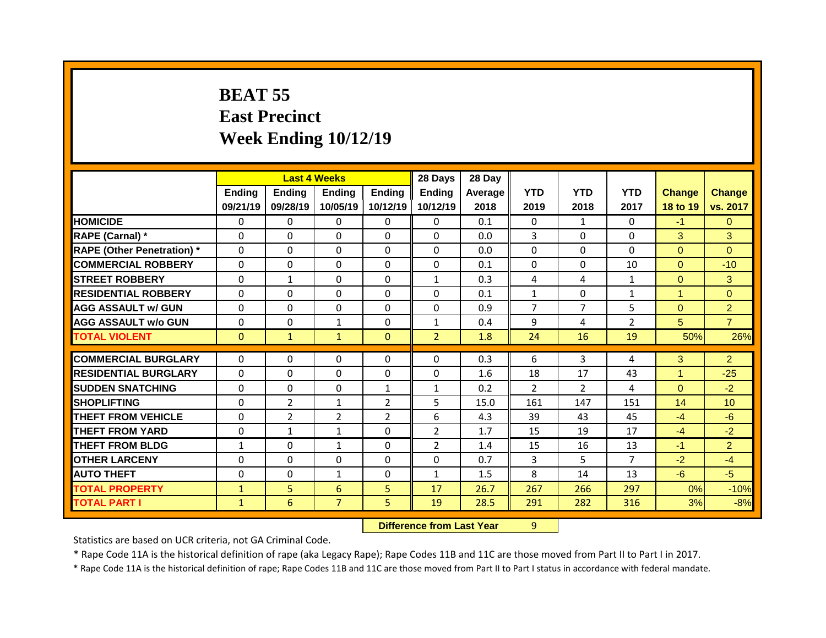## **BEAT 55 East Precinct Week Ending 10/12/19**

|                                   |              |                | <b>Last 4 Weeks</b> |                | 28 Days        | 28 Day  |                |                |                |                |                 |
|-----------------------------------|--------------|----------------|---------------------|----------------|----------------|---------|----------------|----------------|----------------|----------------|-----------------|
|                                   | Ending       | <b>Ending</b>  | <b>Ending</b>       | Ending         | <b>Ending</b>  | Average | <b>YTD</b>     | <b>YTD</b>     | <b>YTD</b>     | <b>Change</b>  | <b>Change</b>   |
|                                   | 09/21/19     | 09/28/19       | 10/05/19            | 10/12/19       | 10/12/19       | 2018    | 2019           | 2018           | 2017           | 18 to 19       | vs. 2017        |
| <b>HOMICIDE</b>                   | 0            | $\Omega$       | $\Omega$            | $\Omega$       | $\Omega$       | 0.1     | $\Omega$       | $\mathbf{1}$   | $\Omega$       | $-1$           | $\Omega$        |
| RAPE (Carnal) *                   | $\mathbf{0}$ | 0              | $\Omega$            | $\Omega$       | $\Omega$       | 0.0     | 3              | $\Omega$       | $\Omega$       | 3              | 3               |
| <b>RAPE (Other Penetration)</b> * | $\Omega$     | 0              | $\Omega$            | $\Omega$       | $\Omega$       | 0.0     | $\Omega$       | $\Omega$       | $\Omega$       | $\overline{0}$ | $\Omega$        |
| <b>COMMERCIAL ROBBERY</b>         | $\mathbf 0$  | 0              | $\Omega$            | $\Omega$       | $\Omega$       | 0.1     | $\Omega$       | $\Omega$       | 10             | $\overline{0}$ | $-10$           |
| <b>STREET ROBBERY</b>             | $\Omega$     | $\mathbf{1}$   | $\Omega$            | $\Omega$       | $\mathbf{1}$   | 0.3     | 4              | 4              | $\mathbf{1}$   | $\overline{0}$ | 3               |
| <b>RESIDENTIAL ROBBERY</b>        | $\mathbf 0$  | 0              | 0                   | $\Omega$       | $\Omega$       | 0.1     | $\mathbf{1}$   | $\Omega$       | $\mathbf{1}$   | $\mathbf{1}$   | $\overline{0}$  |
| <b>AGG ASSAULT w/ GUN</b>         | $\Omega$     | 0              | $\Omega$            | $\Omega$       | $\Omega$       | 0.9     | $\overline{7}$ | $\overline{7}$ | 5              | $\overline{0}$ | $\overline{2}$  |
| <b>AGG ASSAULT W/o GUN</b>        | $\mathbf 0$  | 0              | $\mathbf{1}$        | 0              | $\mathbf{1}$   | 0.4     | 9              | 4              | $\overline{2}$ | 5              | $\overline{7}$  |
| <b>TOTAL VIOLENT</b>              | $\mathbf{0}$ | $\mathbf{1}$   | $\mathbf{1}$        | $\overline{0}$ | $\overline{2}$ | 1.8     | 24             | 16             | 19             | 50%            | 26%             |
|                                   |              |                |                     |                |                |         |                |                |                |                |                 |
|                                   |              |                |                     |                |                |         |                |                |                |                |                 |
| <b>COMMERCIAL BURGLARY</b>        | $\mathbf{0}$ | $\Omega$       | 0                   | $\mathbf{0}$   | $\Omega$       | 0.3     | 6              | 3              | 4              | 3              | $\overline{2}$  |
| <b>RESIDENTIAL BURGLARY</b>       | $\Omega$     | $\Omega$       | $\Omega$            | $\Omega$       | 0              | 1.6     | 18             | 17             | 43             | $\mathbf{1}$   | $-25$           |
| <b>SUDDEN SNATCHING</b>           | $\mathbf{0}$ | 0              | 0                   | 1              | $\mathbf{1}$   | 0.2     | $\overline{2}$ | $\overline{2}$ | 4              | $\overline{0}$ | $-2$            |
| <b>SHOPLIFTING</b>                | $\mathbf{0}$ | $\overline{2}$ | $\mathbf{1}$        | 2              | 5              | 15.0    | 161            | 147            | 151            | 14             | 10 <sup>°</sup> |
| <b>THEFT FROM VEHICLE</b>         | $\mathbf{0}$ | $\overline{2}$ | $\overline{2}$      | $\overline{2}$ | 6              | 4.3     | 39             | 43             | 45             | $-4$           | $-6$            |
| <b>THEFT FROM YARD</b>            | $\mathbf{0}$ | $\mathbf{1}$   | $\mathbf{1}$        | $\Omega$       | $\overline{2}$ | 1.7     | 15             | 19             | 17             | $-4$           | $-2$            |
| <b>THEFT FROM BLDG</b>            | $\mathbf{1}$ | $\Omega$       | $\mathbf{1}$        | 0              | $\overline{2}$ | 1.4     | 15             | 16             | 13             | $-1$           | $\overline{2}$  |
| <b>OTHER LARCENY</b>              | $\Omega$     | 0              | $\Omega$            | $\Omega$       | 0              | 0.7     | 3              | 5              | $\overline{7}$ | $-2$           | $-4$            |
| <b>AUTO THEFT</b>                 | $\mathbf{0}$ | 0              | $\mathbf{1}$        | 0              | $\mathbf{1}$   | 1.5     | 8              | 14             | 13             | $-6$           | $-5$            |
| <b>TOTAL PROPERTY</b>             | $\mathbf{1}$ | 5              | 6                   | 5              | 17             | 26.7    | 267            | 266            | 297            | 0%             | $-10%$          |
| <b>TOTAL PART I</b>               | $\mathbf{1}$ | 6              | $\overline{7}$      | 5              | 19             | 28.5    | 291            | 282            | 316            | 3%             | $-8%$           |

**Difference from Last Year** 9

Statistics are based on UCR criteria, not GA Criminal Code.

\* Rape Code 11A is the historical definition of rape (aka Legacy Rape); Rape Codes 11B and 11C are those moved from Part II to Part I in 2017.